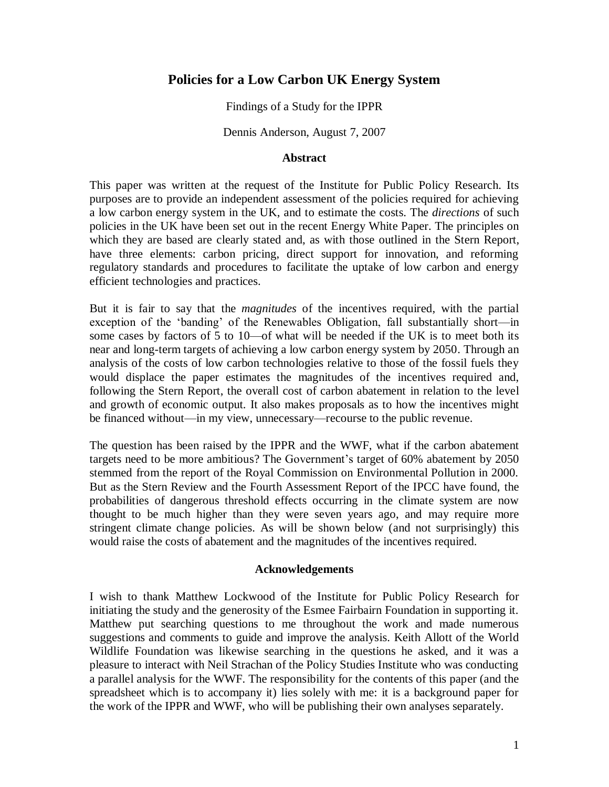## **Policies for a Low Carbon UK Energy System**

Findings of a Study for the IPPR

Dennis Anderson, August 7, 2007

#### **Abstract**

This paper was written at the request of the Institute for Public Policy Research. Its purposes are to provide an independent assessment of the policies required for achieving a low carbon energy system in the UK, and to estimate the costs. The *directions* of such policies in the UK have been set out in the recent Energy White Paper. The principles on which they are based are clearly stated and, as with those outlined in the Stern Report, have three elements: carbon pricing, direct support for innovation, and reforming regulatory standards and procedures to facilitate the uptake of low carbon and energy efficient technologies and practices.

But it is fair to say that the *magnitudes* of the incentives required, with the partial exception of the 'banding' of the Renewables Obligation, fall substantially short—in some cases by factors of 5 to 10—of what will be needed if the UK is to meet both its near and long-term targets of achieving a low carbon energy system by 2050. Through an analysis of the costs of low carbon technologies relative to those of the fossil fuels they would displace the paper estimates the magnitudes of the incentives required and, following the Stern Report, the overall cost of carbon abatement in relation to the level and growth of economic output. It also makes proposals as to how the incentives might be financed without—in my view, unnecessary—recourse to the public revenue.

The question has been raised by the IPPR and the WWF, what if the carbon abatement targets need to be more ambitious? The Government's target of 60% abatement by 2050 stemmed from the report of the Royal Commission on Environmental Pollution in 2000. But as the Stern Review and the Fourth Assessment Report of the IPCC have found, the probabilities of dangerous threshold effects occurring in the climate system are now thought to be much higher than they were seven years ago, and may require more stringent climate change policies. As will be shown below (and not surprisingly) this would raise the costs of abatement and the magnitudes of the incentives required.

#### **Acknowledgements**

I wish to thank Matthew Lockwood of the Institute for Public Policy Research for initiating the study and the generosity of the Esmee Fairbairn Foundation in supporting it. Matthew put searching questions to me throughout the work and made numerous suggestions and comments to guide and improve the analysis. Keith Allott of the World Wildlife Foundation was likewise searching in the questions he asked, and it was a pleasure to interact with Neil Strachan of the Policy Studies Institute who was conducting a parallel analysis for the WWF. The responsibility for the contents of this paper (and the spreadsheet which is to accompany it) lies solely with me: it is a background paper for the work of the IPPR and WWF, who will be publishing their own analyses separately.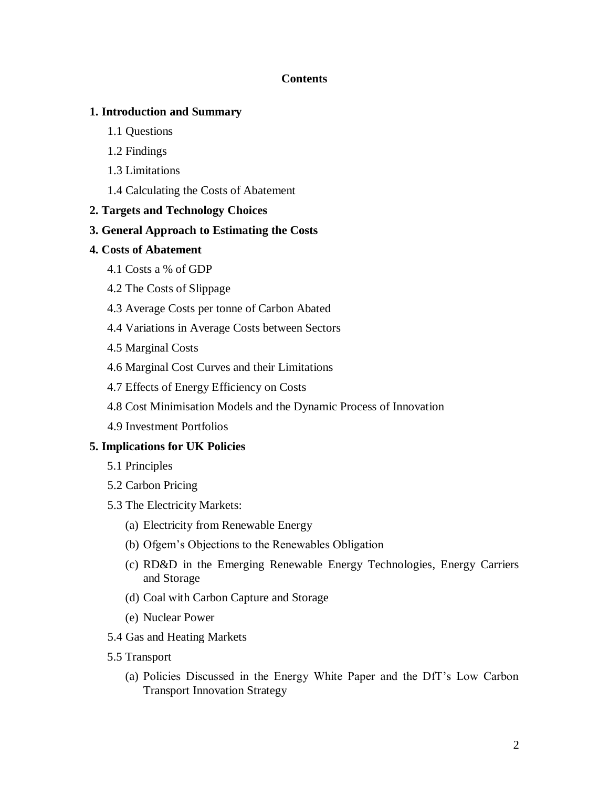### **Contents**

### **1. Introduction and Summary**

- 1.1 Questions
- 1.2 Findings
- 1.3 Limitations
- 1.4 Calculating the Costs of Abatement

### **2. Targets and Technology Choices**

### **3. General Approach to Estimating the Costs**

- **4. Costs of Abatement**
	- 4.1 Costs a % of GDP
	- 4.2 The Costs of Slippage
	- 4.3 Average Costs per tonne of Carbon Abated
	- 4.4 Variations in Average Costs between Sectors
	- 4.5 Marginal Costs
	- 4.6 Marginal Cost Curves and their Limitations
	- 4.7 Effects of Energy Efficiency on Costs
	- 4.8 Cost Minimisation Models and the Dynamic Process of Innovation
	- 4.9 Investment Portfolios

### **5. Implications for UK Policies**

- 5.1 Principles
- 5.2 Carbon Pricing
- 5.3 The Electricity Markets:
	- (a) Electricity from Renewable Energy
	- (b) Ofgem's Objections to the Renewables Obligation
	- (c) RD&D in the Emerging Renewable Energy Technologies, Energy Carriers and Storage
	- (d) Coal with Carbon Capture and Storage
	- (e) Nuclear Power
- 5.4 Gas and Heating Markets
- 5.5 Transport
	- (a) Policies Discussed in the Energy White Paper and the DfT's Low Carbon Transport Innovation Strategy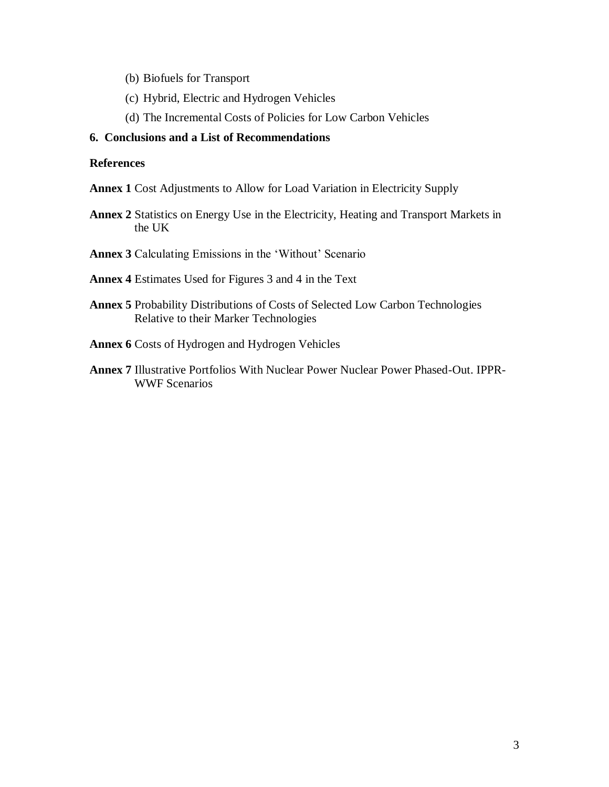- (b) Biofuels for Transport
- (c) Hybrid, Electric and Hydrogen Vehicles
- (d) The Incremental Costs of Policies for Low Carbon Vehicles

#### **6. Conclusions and a List of Recommendations**

#### **References**

- **Annex 1** Cost Adjustments to Allow for Load Variation in Electricity Supply
- **Annex 2** Statistics on Energy Use in the Electricity, Heating and Transport Markets in the UK
- Annex 3 Calculating Emissions in the 'Without' Scenario
- **Annex 4** Estimates Used for Figures 3 and 4 in the Text
- **Annex 5** Probability Distributions of Costs of Selected Low Carbon Technologies Relative to their Marker Technologies
- **Annex 6** Costs of Hydrogen and Hydrogen Vehicles
- **Annex 7** Illustrative Portfolios With Nuclear Power Nuclear Power Phased-Out. IPPR-WWF Scenarios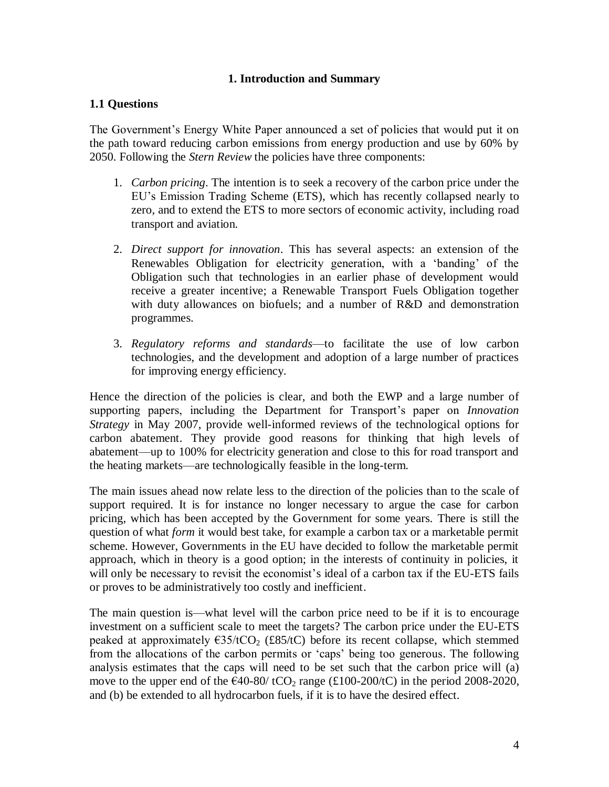### **1. Introduction and Summary**

### **1.1 Questions**

The Government's Energy White Paper announced a set of policies that would put it on the path toward reducing carbon emissions from energy production and use by 60% by 2050. Following the *Stern Review* the policies have three components:

- 1. *Carbon pricing*. The intention is to seek a recovery of the carbon price under the EU's Emission Trading Scheme (ETS), which has recently collapsed nearly to zero, and to extend the ETS to more sectors of economic activity, including road transport and aviation.
- 2. *Direct support for innovation*. This has several aspects: an extension of the Renewables Obligation for electricity generation, with a 'banding' of the Obligation such that technologies in an earlier phase of development would receive a greater incentive; a Renewable Transport Fuels Obligation together with duty allowances on biofuels; and a number of R&D and demonstration programmes.
- 3. *Regulatory reforms and standards*—to facilitate the use of low carbon technologies, and the development and adoption of a large number of practices for improving energy efficiency.

Hence the direction of the policies is clear, and both the EWP and a large number of supporting papers, including the Department for Transport's paper on *Innovation Strategy* in May 2007, provide well-informed reviews of the technological options for carbon abatement. They provide good reasons for thinking that high levels of abatement—up to 100% for electricity generation and close to this for road transport and the heating markets—are technologically feasible in the long-term.

The main issues ahead now relate less to the direction of the policies than to the scale of support required. It is for instance no longer necessary to argue the case for carbon pricing, which has been accepted by the Government for some years. There is still the question of what *form* it would best take, for example a carbon tax or a marketable permit scheme. However, Governments in the EU have decided to follow the marketable permit approach, which in theory is a good option; in the interests of continuity in policies, it will only be necessary to revisit the economist's ideal of a carbon tax if the EU-ETS fails or proves to be administratively too costly and inefficient.

The main question is—what level will the carbon price need to be if it is to encourage investment on a sufficient scale to meet the targets? The carbon price under the EU-ETS peaked at approximately  $\epsilon$ 35/tCO<sub>2</sub> (£85/tC) before its recent collapse, which stemmed from the allocations of the carbon permits or 'caps' being too generous. The following analysis estimates that the caps will need to be set such that the carbon price will (a) move to the upper end of the  $\epsilon$ 40-80/ tCO<sub>2</sub> range (£100-200/tC) in the period 2008-2020, and (b) be extended to all hydrocarbon fuels, if it is to have the desired effect.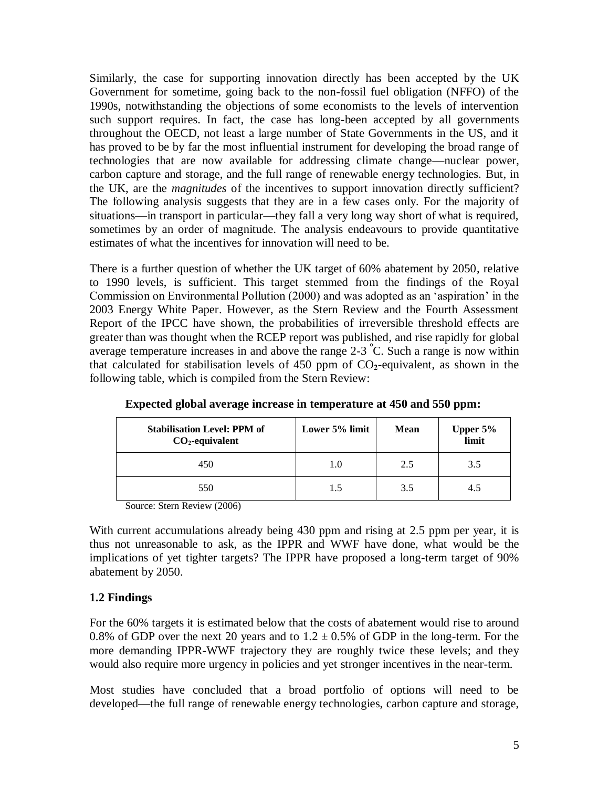Similarly, the case for supporting innovation directly has been accepted by the UK Government for sometime, going back to the non-fossil fuel obligation (NFFO) of the 1990s, notwithstanding the objections of some economists to the levels of intervention such support requires. In fact, the case has long-been accepted by all governments throughout the OECD, not least a large number of State Governments in the US, and it has proved to be by far the most influential instrument for developing the broad range of technologies that are now available for addressing climate change—nuclear power, carbon capture and storage, and the full range of renewable energy technologies. But, in the UK, are the *magnitudes* of the incentives to support innovation directly sufficient? The following analysis suggests that they are in a few cases only. For the majority of situations—in transport in particular—they fall a very long way short of what is required, sometimes by an order of magnitude. The analysis endeavours to provide quantitative estimates of what the incentives for innovation will need to be.

There is a further question of whether the UK target of 60% abatement by 2050, relative to 1990 levels, is sufficient. This target stemmed from the findings of the Royal Commission on Environmental Pollution (2000) and was adopted as an ‗aspiration' in the 2003 Energy White Paper. However, as the Stern Review and the Fourth Assessment Report of the IPCC have shown, the probabilities of irreversible threshold effects are greater than was thought when the RCEP report was published, and rise rapidly for global average temperature increases in and above the range  $2-3$  °C. Such a range is now within that calculated for stabilisation levels of  $450$  ppm of  $CO<sub>2</sub>$ -equivalent, as shown in the following table, which is compiled from the Stern Review:

| <b>Stabilisation Level: PPM of</b><br>$CO2$ -equivalent | Lower 5% limit | <b>Mean</b> | Upper 5%<br>limit |
|---------------------------------------------------------|----------------|-------------|-------------------|
| 450                                                     |                | 2.5         | 3.5               |
| 550                                                     | 1.5            | 3.5         | 4.5               |

**Expected global average increase in temperature at 450 and 550 ppm:**

Source: Stern Review (2006)

With current accumulations already being 430 ppm and rising at 2.5 ppm per year, it is thus not unreasonable to ask, as the IPPR and WWF have done, what would be the implications of yet tighter targets? The IPPR have proposed a long-term target of 90% abatement by 2050.

### **1.2 Findings**

For the 60% targets it is estimated below that the costs of abatement would rise to around 0.8% of GDP over the next 20 years and to  $1.2 \pm 0.5$ % of GDP in the long-term. For the more demanding IPPR-WWF trajectory they are roughly twice these levels; and they would also require more urgency in policies and yet stronger incentives in the near-term.

Most studies have concluded that a broad portfolio of options will need to be developed—the full range of renewable energy technologies, carbon capture and storage,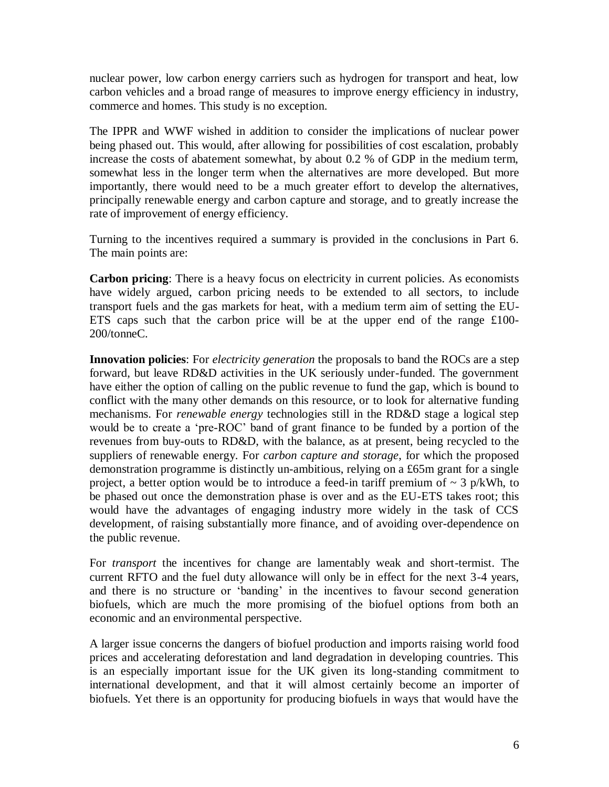nuclear power, low carbon energy carriers such as hydrogen for transport and heat, low carbon vehicles and a broad range of measures to improve energy efficiency in industry, commerce and homes. This study is no exception.

The IPPR and WWF wished in addition to consider the implications of nuclear power being phased out. This would, after allowing for possibilities of cost escalation, probably increase the costs of abatement somewhat, by about 0.2 % of GDP in the medium term, somewhat less in the longer term when the alternatives are more developed. But more importantly, there would need to be a much greater effort to develop the alternatives, principally renewable energy and carbon capture and storage, and to greatly increase the rate of improvement of energy efficiency.

Turning to the incentives required a summary is provided in the conclusions in Part 6. The main points are:

**Carbon pricing**: There is a heavy focus on electricity in current policies. As economists have widely argued, carbon pricing needs to be extended to all sectors, to include transport fuels and the gas markets for heat, with a medium term aim of setting the EU-ETS caps such that the carbon price will be at the upper end of the range £100- 200/tonneC.

**Innovation policies**: For *electricity generation* the proposals to band the ROCs are a step forward, but leave RD&D activities in the UK seriously under-funded. The government have either the option of calling on the public revenue to fund the gap, which is bound to conflict with the many other demands on this resource, or to look for alternative funding mechanisms. For *renewable energy* technologies still in the RD&D stage a logical step would be to create a 'pre-ROC' band of grant finance to be funded by a portion of the revenues from buy-outs to RD&D, with the balance, as at present, being recycled to the suppliers of renewable energy. For *carbon capture and storage*, for which the proposed demonstration programme is distinctly un-ambitious, relying on a £65m grant for a single project, a better option would be to introduce a feed-in tariff premium of  $\sim 3$  p/kWh, to be phased out once the demonstration phase is over and as the EU-ETS takes root; this would have the advantages of engaging industry more widely in the task of CCS development, of raising substantially more finance, and of avoiding over-dependence on the public revenue.

For *transport* the incentives for change are lamentably weak and short-termist. The current RFTO and the fuel duty allowance will only be in effect for the next 3-4 years, and there is no structure or 'banding' in the incentives to favour second generation biofuels, which are much the more promising of the biofuel options from both an economic and an environmental perspective.

A larger issue concerns the dangers of biofuel production and imports raising world food prices and accelerating deforestation and land degradation in developing countries. This is an especially important issue for the UK given its long-standing commitment to international development, and that it will almost certainly become an importer of biofuels. Yet there is an opportunity for producing biofuels in ways that would have the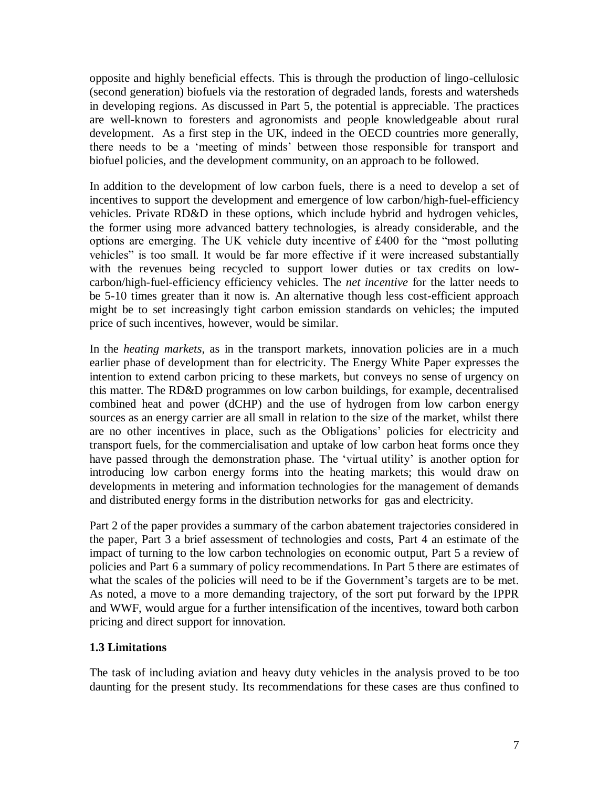opposite and highly beneficial effects. This is through the production of lingo-cellulosic (second generation) biofuels via the restoration of degraded lands, forests and watersheds in developing regions. As discussed in Part 5, the potential is appreciable. The practices are well-known to foresters and agronomists and people knowledgeable about rural development. As a first step in the UK, indeed in the OECD countries more generally, there needs to be a 'meeting of minds' between those responsible for transport and biofuel policies, and the development community, on an approach to be followed.

In addition to the development of low carbon fuels, there is a need to develop a set of incentives to support the development and emergence of low carbon/high-fuel-efficiency vehicles. Private RD&D in these options, which include hybrid and hydrogen vehicles, the former using more advanced battery technologies, is already considerable, and the options are emerging. The UK vehicle duty incentive of £400 for the "most polluting vehicles" is too small. It would be far more effective if it were increased substantially with the revenues being recycled to support lower duties or tax credits on lowcarbon/high-fuel-efficiency efficiency vehicles. The *net incentive* for the latter needs to be 5-10 times greater than it now is. An alternative though less cost-efficient approach might be to set increasingly tight carbon emission standards on vehicles; the imputed price of such incentives, however, would be similar.

In the *heating markets*, as in the transport markets, innovation policies are in a much earlier phase of development than for electricity. The Energy White Paper expresses the intention to extend carbon pricing to these markets, but conveys no sense of urgency on this matter. The RD&D programmes on low carbon buildings, for example, decentralised combined heat and power (dCHP) and the use of hydrogen from low carbon energy sources as an energy carrier are all small in relation to the size of the market, whilst there are no other incentives in place, such as the Obligations' policies for electricity and transport fuels, for the commercialisation and uptake of low carbon heat forms once they have passed through the demonstration phase. The 'virtual utility' is another option for introducing low carbon energy forms into the heating markets; this would draw on developments in metering and information technologies for the management of demands and distributed energy forms in the distribution networks for gas and electricity.

Part 2 of the paper provides a summary of the carbon abatement trajectories considered in the paper, Part 3 a brief assessment of technologies and costs, Part 4 an estimate of the impact of turning to the low carbon technologies on economic output, Part 5 a review of policies and Part 6 a summary of policy recommendations. In Part 5 there are estimates of what the scales of the policies will need to be if the Government's targets are to be met. As noted, a move to a more demanding trajectory, of the sort put forward by the IPPR and WWF, would argue for a further intensification of the incentives, toward both carbon pricing and direct support for innovation.

### **1.3 Limitations**

The task of including aviation and heavy duty vehicles in the analysis proved to be too daunting for the present study. Its recommendations for these cases are thus confined to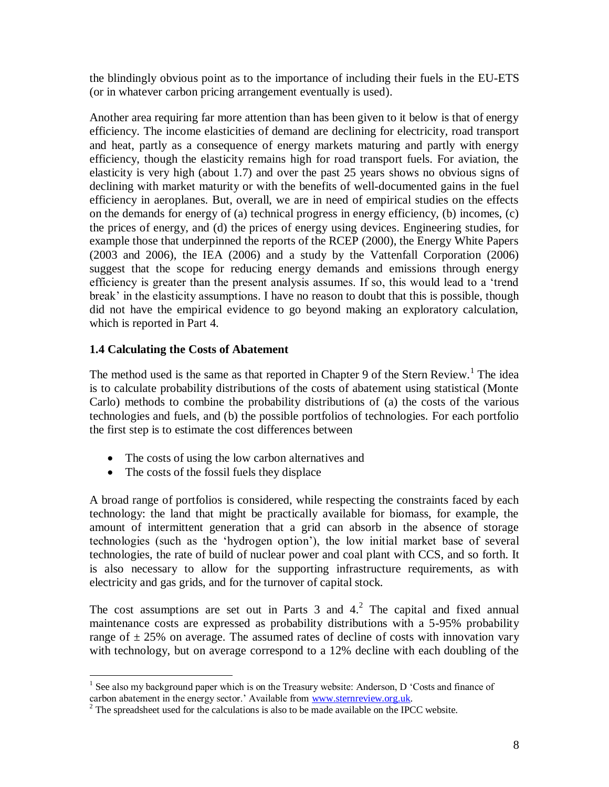the blindingly obvious point as to the importance of including their fuels in the EU-ETS (or in whatever carbon pricing arrangement eventually is used).

Another area requiring far more attention than has been given to it below is that of energy efficiency. The income elasticities of demand are declining for electricity, road transport and heat, partly as a consequence of energy markets maturing and partly with energy efficiency, though the elasticity remains high for road transport fuels. For aviation, the elasticity is very high (about 1.7) and over the past 25 years shows no obvious signs of declining with market maturity or with the benefits of well-documented gains in the fuel efficiency in aeroplanes. But, overall, we are in need of empirical studies on the effects on the demands for energy of (a) technical progress in energy efficiency, (b) incomes, (c) the prices of energy, and (d) the prices of energy using devices. Engineering studies, for example those that underpinned the reports of the RCEP (2000), the Energy White Papers (2003 and 2006), the IEA (2006) and a study by the Vattenfall Corporation (2006) suggest that the scope for reducing energy demands and emissions through energy efficiency is greater than the present analysis assumes. If so, this would lead to a 'trend break' in the elasticity assumptions. I have no reason to doubt that this is possible, though did not have the empirical evidence to go beyond making an exploratory calculation, which is reported in Part 4.

### **1.4 Calculating the Costs of Abatement**

The method used is the same as that reported in Chapter 9 of the Stern Review.<sup>1</sup> The idea is to calculate probability distributions of the costs of abatement using statistical (Monte Carlo) methods to combine the probability distributions of (a) the costs of the various technologies and fuels, and (b) the possible portfolios of technologies. For each portfolio the first step is to estimate the cost differences between

- The costs of using the low carbon alternatives and
- The costs of the fossil fuels they displace

A broad range of portfolios is considered, while respecting the constraints faced by each technology: the land that might be practically available for biomass, for example, the amount of intermittent generation that a grid can absorb in the absence of storage technologies (such as the ‗hydrogen option'), the low initial market base of several technologies, the rate of build of nuclear power and coal plant with CCS, and so forth. It is also necessary to allow for the supporting infrastructure requirements, as with electricity and gas grids, and for the turnover of capital stock.

The cost assumptions are set out in Parts 3 and  $4<sup>2</sup>$ . The capital and fixed annual maintenance costs are expressed as probability distributions with a 5-95% probability range of  $\pm$  25% on average. The assumed rates of decline of costs with innovation vary with technology, but on average correspond to a 12% decline with each doubling of the

 $\overline{a}$ <sup>1</sup> See also my background paper which is on the Treasury website: Anderson, D 'Costs and finance of carbon abatement in the energy sector.' Available from [www.sternreview.org.uk.](http://www.sternreview.org.uk/)

<sup>&</sup>lt;sup>2</sup> The spreadsheet used for the calculations is also to be made available on the IPCC website.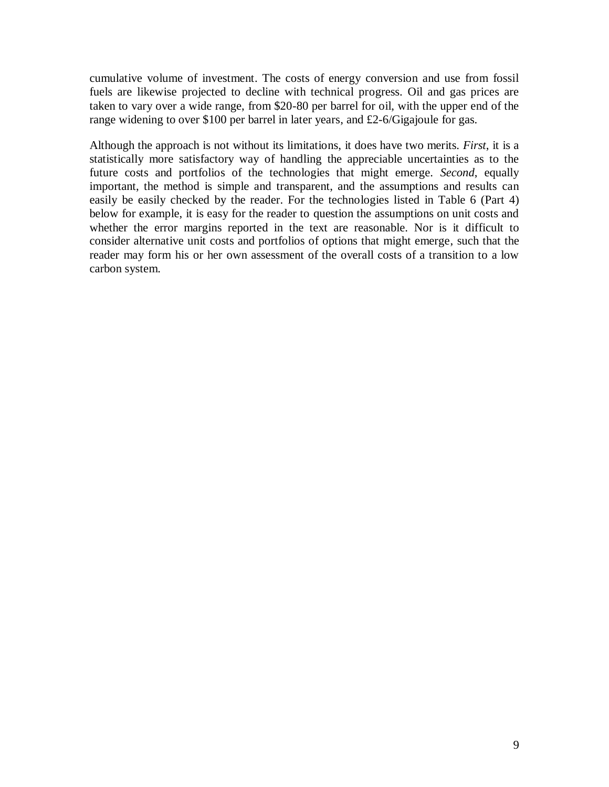cumulative volume of investment. The costs of energy conversion and use from fossil fuels are likewise projected to decline with technical progress. Oil and gas prices are taken to vary over a wide range, from \$20-80 per barrel for oil, with the upper end of the range widening to over \$100 per barrel in later years, and £2-6/Gigajoule for gas.

Although the approach is not without its limitations, it does have two merits. *First*, it is a statistically more satisfactory way of handling the appreciable uncertainties as to the future costs and portfolios of the technologies that might emerge. *Second*, equally important, the method is simple and transparent, and the assumptions and results can easily be easily checked by the reader. For the technologies listed in Table 6 (Part 4) below for example, it is easy for the reader to question the assumptions on unit costs and whether the error margins reported in the text are reasonable. Nor is it difficult to consider alternative unit costs and portfolios of options that might emerge, such that the reader may form his or her own assessment of the overall costs of a transition to a low carbon system.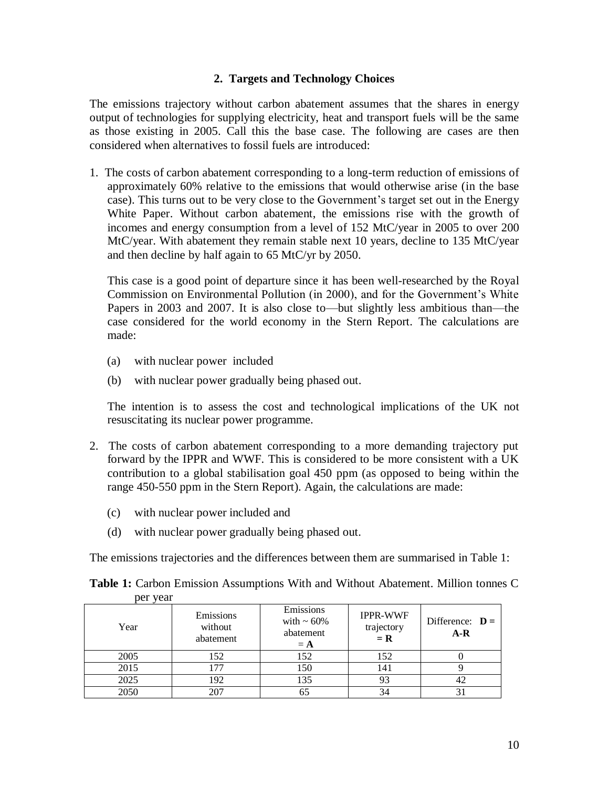### **2. Targets and Technology Choices**

The emissions trajectory without carbon abatement assumes that the shares in energy output of technologies for supplying electricity, heat and transport fuels will be the same as those existing in 2005. Call this the base case. The following are cases are then considered when alternatives to fossil fuels are introduced:

1. The costs of carbon abatement corresponding to a long-term reduction of emissions of approximately 60% relative to the emissions that would otherwise arise (in the base case). This turns out to be very close to the Government's target set out in the Energy White Paper. Without carbon abatement, the emissions rise with the growth of incomes and energy consumption from a level of 152 MtC/year in 2005 to over 200 MtC/year. With abatement they remain stable next 10 years, decline to 135 MtC/year and then decline by half again to 65 MtC/yr by 2050.

This case is a good point of departure since it has been well-researched by the Royal Commission on Environmental Pollution (in 2000), and for the Government's White Papers in 2003 and 2007. It is also close to—but slightly less ambitious than—the case considered for the world economy in the Stern Report. The calculations are made:

- (a) with nuclear power included
- (b) with nuclear power gradually being phased out.

The intention is to assess the cost and technological implications of the UK not resuscitating its nuclear power programme.

- 2. The costs of carbon abatement corresponding to a more demanding trajectory put forward by the IPPR and WWF. This is considered to be more consistent with a UK contribution to a global stabilisation goal 450 ppm (as opposed to being within the range 450-550 ppm in the Stern Report). Again, the calculations are made:
	- (c) with nuclear power included and
	- (d) with nuclear power gradually being phased out.

The emissions trajectories and the differences between them are summarised in Table 1:

| per vear |                                   |                                                     |                                        |                            |
|----------|-----------------------------------|-----------------------------------------------------|----------------------------------------|----------------------------|
| Year     | Emissions<br>without<br>abatement | Emissions<br>with $\sim 60\%$<br>abatement<br>$=$ A | <b>IPPR-WWF</b><br>trajectory<br>$= R$ | Difference: $D =$<br>$A-R$ |
| 2005     | 152                               | 152                                                 | 152                                    |                            |
| 2015     | 177                               | 150                                                 | 141                                    |                            |
| 2025     | 192                               | 135                                                 | 93                                     |                            |
| 2050     | 207                               |                                                     |                                        |                            |

**Table 1:** Carbon Emission Assumptions With and Without Abatement. Million tonnes C per year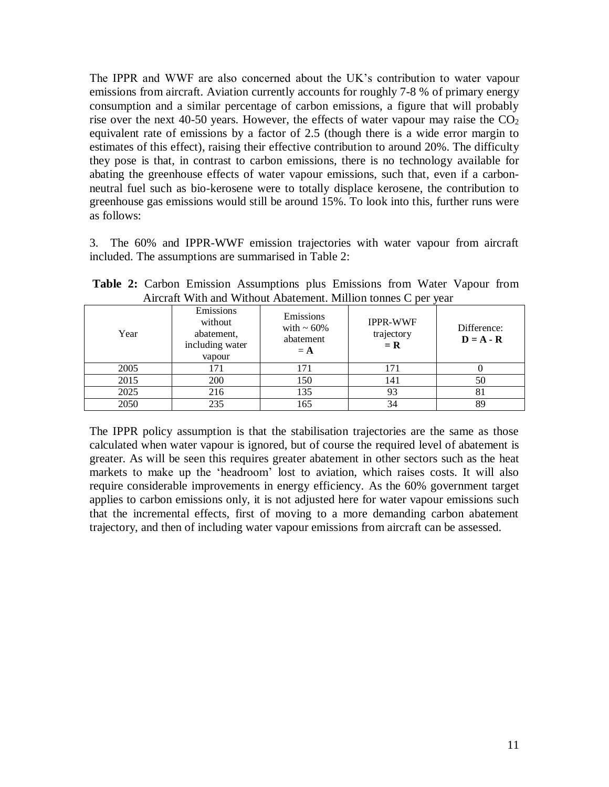The IPPR and WWF are also concerned about the UK's contribution to water vapour emissions from aircraft. Aviation currently accounts for roughly 7-8 % of primary energy consumption and a similar percentage of carbon emissions, a figure that will probably rise over the next 40-50 years. However, the effects of water vapour may raise the  $CO<sub>2</sub>$ equivalent rate of emissions by a factor of 2.5 (though there is a wide error margin to estimates of this effect), raising their effective contribution to around 20%. The difficulty they pose is that, in contrast to carbon emissions, there is no technology available for abating the greenhouse effects of water vapour emissions, such that, even if a carbonneutral fuel such as bio-kerosene were to totally displace kerosene, the contribution to greenhouse gas emissions would still be around 15%. To look into this, further runs were as follows:

3. The 60% and IPPR-WWF emission trajectories with water vapour from aircraft included. The assumptions are summarised in Table 2:

| Year | Emissions<br>without<br>abatement,<br>including water<br>vapour | Emissions<br>with $\sim 60\%$<br>abatement<br>$=$ A | <b>IPPR-WWF</b><br>trajectory<br>$= R$ | Difference:<br>$D = A - R$ |
|------|-----------------------------------------------------------------|-----------------------------------------------------|----------------------------------------|----------------------------|
| 2005 | 171                                                             | 71                                                  | 171                                    |                            |
| 2015 | 200                                                             | 150                                                 | 141                                    | 50                         |
| 2025 | 216                                                             | 135                                                 | 93                                     | 81                         |
| 2050 | 235                                                             | 165                                                 | 34                                     | 89                         |

**Table 2:** Carbon Emission Assumptions plus Emissions from Water Vapour from Aircraft With and Without Abatement. Million tonnes C per year

The IPPR policy assumption is that the stabilisation trajectories are the same as those calculated when water vapour is ignored, but of course the required level of abatement is greater. As will be seen this requires greater abatement in other sectors such as the heat markets to make up the 'headroom' lost to aviation, which raises costs. It will also require considerable improvements in energy efficiency. As the 60% government target applies to carbon emissions only, it is not adjusted here for water vapour emissions such that the incremental effects, first of moving to a more demanding carbon abatement trajectory, and then of including water vapour emissions from aircraft can be assessed.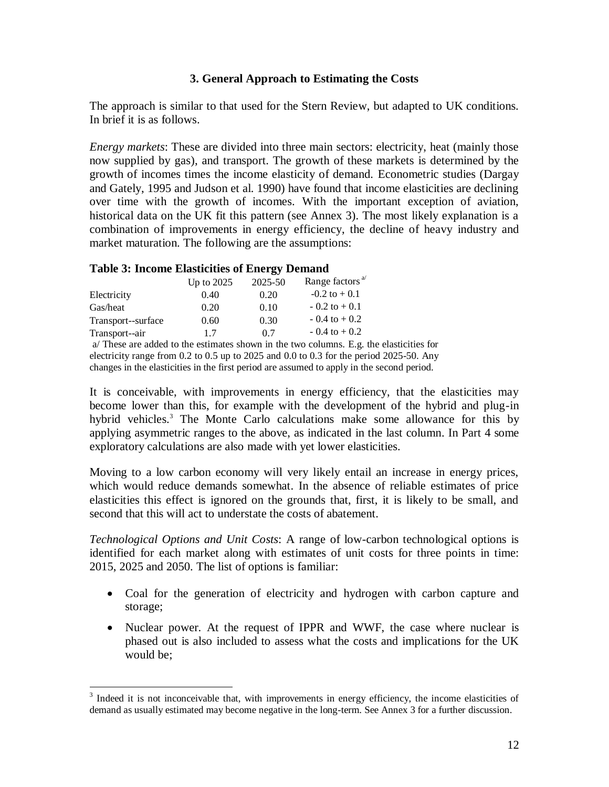### **3. General Approach to Estimating the Costs**

The approach is similar to that used for the Stern Review, but adapted to UK conditions. In brief it is as follows.

*Energy markets*: These are divided into three main sectors: electricity, heat (mainly those now supplied by gas), and transport. The growth of these markets is determined by the growth of incomes times the income elasticity of demand. Econometric studies (Dargay and Gately, 1995 and Judson et al. 1990) have found that income elasticities are declining over time with the growth of incomes. With the important exception of aviation, historical data on the UK fit this pattern (see Annex 3). The most likely explanation is a combination of improvements in energy efficiency, the decline of heavy industry and market maturation. The following are the assumptions:

### **Table 3: Income Elasticities of Energy Demand**

|                    | Up to $2025$ | 2025-50 | Range factors <sup>a/</sup> |
|--------------------|--------------|---------|-----------------------------|
| Electricity        | 0.40         | 0.20    | $-0.2$ to $+0.1$            |
| Gas/heat           | 0.20         | 0.10    | $-0.2$ to $+0.1$            |
| Transport--surface | 0.60         | 0.30    | $-0.4$ to $+0.2$            |
| Transport--air     | 17           | 0.7     | $-0.4$ to $+0.2$            |

a/ These are added to the estimates shown in the two columns. E.g. the elasticities for electricity range from 0.2 to 0.5 up to 2025 and 0.0 to 0.3 for the period 2025-50. Any changes in the elasticities in the first period are assumed to apply in the second period.

It is conceivable, with improvements in energy efficiency, that the elasticities may become lower than this, for example with the development of the hybrid and plug-in hybrid vehicles.<sup>3</sup> The Monte Carlo calculations make some allowance for this by applying asymmetric ranges to the above, as indicated in the last column. In Part 4 some exploratory calculations are also made with yet lower elasticities.

Moving to a low carbon economy will very likely entail an increase in energy prices, which would reduce demands somewhat. In the absence of reliable estimates of price elasticities this effect is ignored on the grounds that, first, it is likely to be small, and second that this will act to understate the costs of abatement.

*Technological Options and Unit Costs*: A range of low-carbon technological options is identified for each market along with estimates of unit costs for three points in time: 2015, 2025 and 2050. The list of options is familiar:

- Coal for the generation of electricity and hydrogen with carbon capture and storage;
- Nuclear power. At the request of IPPR and WWF, the case where nuclear is phased out is also included to assess what the costs and implications for the UK would be;

<sup>&</sup>lt;sup>3</sup> Indeed it is not inconceivable that, with improvements in energy efficiency, the income elasticities of demand as usually estimated may become negative in the long-term. See Annex 3 for a further discussion.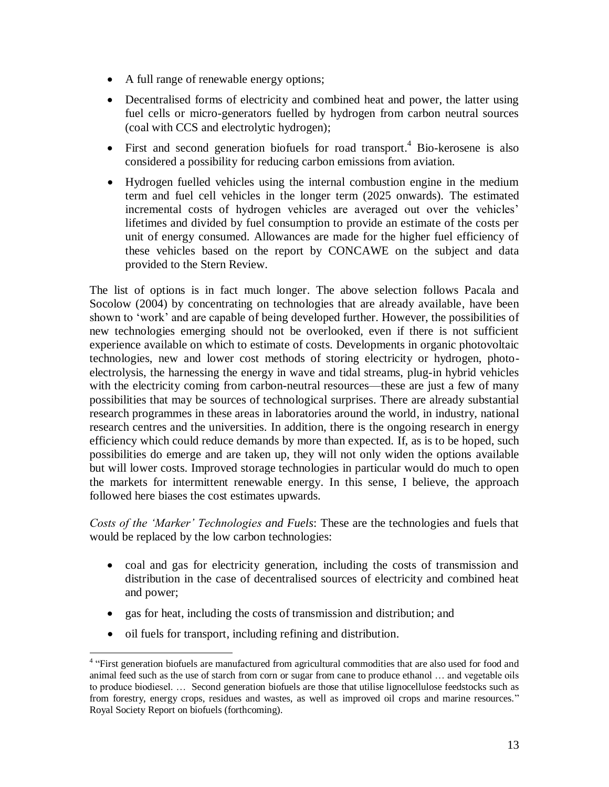- A full range of renewable energy options;
- Decentralised forms of electricity and combined heat and power, the latter using fuel cells or micro-generators fuelled by hydrogen from carbon neutral sources (coal with CCS and electrolytic hydrogen);
- First and second generation biofuels for road transport.<sup>4</sup> Bio-kerosene is also considered a possibility for reducing carbon emissions from aviation.
- Hydrogen fuelled vehicles using the internal combustion engine in the medium term and fuel cell vehicles in the longer term (2025 onwards). The estimated incremental costs of hydrogen vehicles are averaged out over the vehicles' lifetimes and divided by fuel consumption to provide an estimate of the costs per unit of energy consumed. Allowances are made for the higher fuel efficiency of these vehicles based on the report by CONCAWE on the subject and data provided to the Stern Review.

The list of options is in fact much longer. The above selection follows Pacala and Socolow (2004) by concentrating on technologies that are already available, have been shown to 'work' and are capable of being developed further. However, the possibilities of new technologies emerging should not be overlooked, even if there is not sufficient experience available on which to estimate of costs. Developments in organic photovoltaic technologies, new and lower cost methods of storing electricity or hydrogen, photoelectrolysis, the harnessing the energy in wave and tidal streams, plug-in hybrid vehicles with the electricity coming from carbon-neutral resources—these are just a few of many possibilities that may be sources of technological surprises. There are already substantial research programmes in these areas in laboratories around the world, in industry, national research centres and the universities. In addition, there is the ongoing research in energy efficiency which could reduce demands by more than expected. If, as is to be hoped, such possibilities do emerge and are taken up, they will not only widen the options available but will lower costs. Improved storage technologies in particular would do much to open the markets for intermittent renewable energy. In this sense, I believe, the approach followed here biases the cost estimates upwards.

*Costs of the 'Marker' Technologies and Fuels*: These are the technologies and fuels that would be replaced by the low carbon technologies:

- coal and gas for electricity generation, including the costs of transmission and distribution in the case of decentralised sources of electricity and combined heat and power;
- gas for heat, including the costs of transmission and distribution; and
- oil fuels for transport, including refining and distribution.

 4 ―First generation biofuels are manufactured from agricultural commodities that are also used for food and animal feed such as the use of starch from corn or sugar from cane to produce ethanol … and vegetable oils to produce biodiesel. … Second generation biofuels are those that utilise lignocellulose feedstocks such as from forestry, energy crops, residues and wastes, as well as improved oil crops and marine resources." Royal Society Report on biofuels (forthcoming).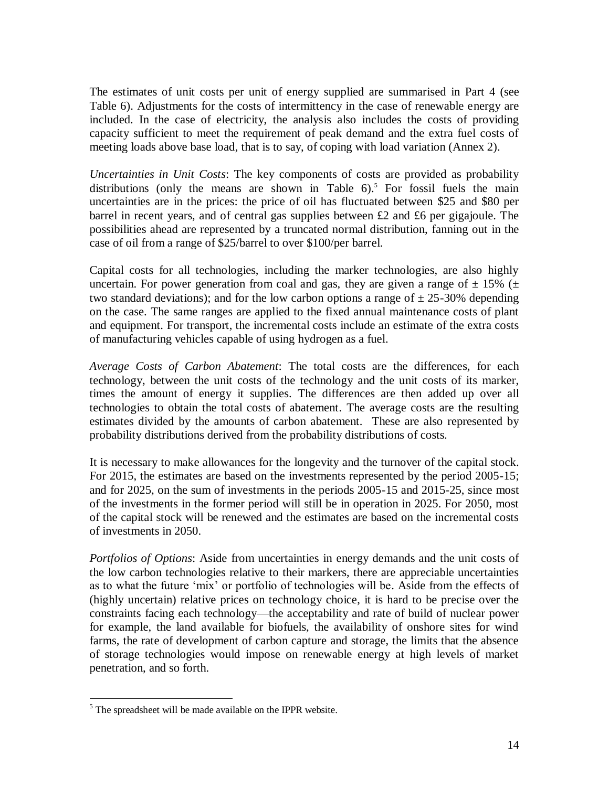The estimates of unit costs per unit of energy supplied are summarised in Part 4 (see Table 6). Adjustments for the costs of intermittency in the case of renewable energy are included. In the case of electricity, the analysis also includes the costs of providing capacity sufficient to meet the requirement of peak demand and the extra fuel costs of meeting loads above base load, that is to say, of coping with load variation (Annex 2).

*Uncertainties in Unit Costs*: The key components of costs are provided as probability distributions (only the means are shown in Table  $6$ ).<sup>5</sup> For fossil fuels the main uncertainties are in the prices: the price of oil has fluctuated between \$25 and \$80 per barrel in recent years, and of central gas supplies between £2 and £6 per gigajoule. The possibilities ahead are represented by a truncated normal distribution, fanning out in the case of oil from a range of \$25/barrel to over \$100/per barrel.

Capital costs for all technologies, including the marker technologies, are also highly uncertain. For power generation from coal and gas, they are given a range of  $\pm$  15% ( $\pm$ two standard deviations); and for the low carbon options a range of  $\pm$  25-30% depending on the case. The same ranges are applied to the fixed annual maintenance costs of plant and equipment. For transport, the incremental costs include an estimate of the extra costs of manufacturing vehicles capable of using hydrogen as a fuel.

*Average Costs of Carbon Abatement*: The total costs are the differences, for each technology, between the unit costs of the technology and the unit costs of its marker, times the amount of energy it supplies. The differences are then added up over all technologies to obtain the total costs of abatement. The average costs are the resulting estimates divided by the amounts of carbon abatement. These are also represented by probability distributions derived from the probability distributions of costs.

It is necessary to make allowances for the longevity and the turnover of the capital stock. For 2015, the estimates are based on the investments represented by the period 2005-15; and for 2025, on the sum of investments in the periods 2005-15 and 2015-25, since most of the investments in the former period will still be in operation in 2025. For 2050, most of the capital stock will be renewed and the estimates are based on the incremental costs of investments in 2050.

*Portfolios of Options*: Aside from uncertainties in energy demands and the unit costs of the low carbon technologies relative to their markers, there are appreciable uncertainties as to what the future 'mix' or portfolio of technologies will be. Aside from the effects of (highly uncertain) relative prices on technology choice, it is hard to be precise over the constraints facing each technology—the acceptability and rate of build of nuclear power for example, the land available for biofuels, the availability of onshore sites for wind farms, the rate of development of carbon capture and storage, the limits that the absence of storage technologies would impose on renewable energy at high levels of market penetration, and so forth.

 $\overline{a}$  $<sup>5</sup>$  The spreadsheet will be made available on the IPPR website.</sup>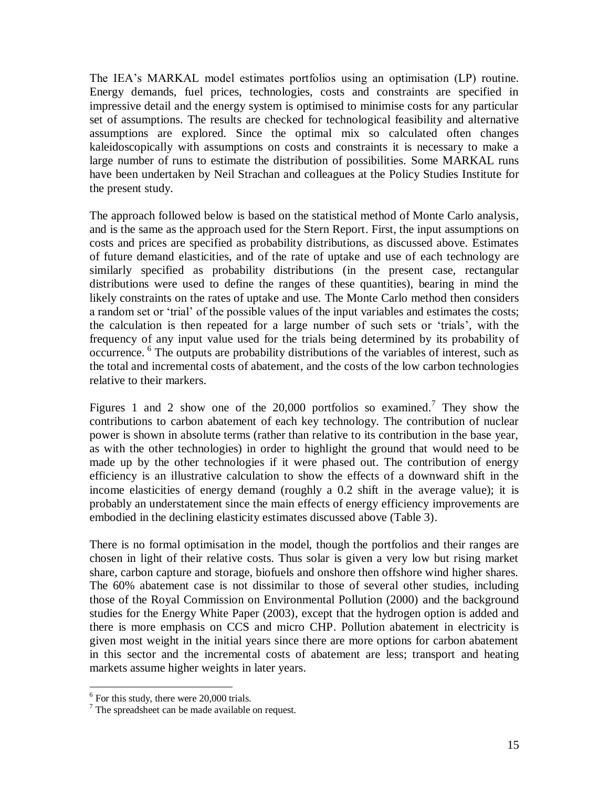The IEA's MARKAL model estimates portfolios using an optimisation (LP) routine. Energy demands, fuel prices, technologies, costs and constraints are specified in impressive detail and the energy system is optimised to minimise costs for any particular set of assumptions. The results are checked for technological feasibility and alternative assumptions are explored. Since the optimal mix so calculated often changes kaleidoscopically with assumptions on costs and constraints it is necessary to make a large number of runs to estimate the distribution of possibilities. Some MARKAL runs have been undertaken by Neil Strachan and colleagues at the Policy Studies Institute for the present study.

The approach followed below is based on the statistical method of Monte Carlo analysis, and is the same as the approach used for the Stern Report. First, the input assumptions on costs and prices are specified as probability distributions, as discussed above. Estimates of future demand elasticities, and of the rate of uptake and use of each technology are similarly specified as probability distributions (in the present case, rectangular distributions were used to define the ranges of these quantities), bearing in mind the likely constraints on the rates of uptake and use. The Monte Carlo method then considers a random set or 'trial' of the possible values of the input variables and estimates the costs; the calculation is then repeated for a large number of such sets or ‗trials', with the frequency of any input value used for the trials being determined by its probability of occurrence. 6 The outputs are probability distributions of the variables of interest, such as the total and incremental costs of abatement, and the costs of the low carbon technologies relative to their markers.

Figures 1 and 2 show one of the  $20,000$  portfolios so examined.<sup>7</sup> They show the contributions to carbon abatement of each key technology. The contribution of nuclear power is shown in absolute terms (rather than relative to its contribution in the base year, as with the other technologies) in order to highlight the ground that would need to be made up by the other technologies if it were phased out. The contribution of energy efficiency is an illustrative calculation to show the effects of a downward shift in the income elasticities of energy demand (roughly a 0.2 shift in the average value); it is probably an understatement since the main effects of energy efficiency improvements are embodied in the declining elasticity estimates discussed above (Table 3).

There is no formal optimisation in the model, though the portfolios and their ranges are chosen in light of their relative costs. Thus solar is given a very low but rising market share, carbon capture and storage, biofuels and onshore then offshore wind higher shares. The 60% abatement case is not dissimilar to those of several other studies, including those of the Royal Commission on Environmental Pollution (2000) and the background studies for the Energy White Paper (2003), except that the hydrogen option is added and there is more emphasis on CCS and micro CHP. Pollution abatement in electricity is given most weight in the initial years since there are more options for carbon abatement in this sector and the incremental costs of abatement are less; transport and heating markets assume higher weights in later years.

<sup>&</sup>lt;sup>6</sup> For this study, there were 20,000 trials.

 $<sup>7</sup>$  The spreadsheet can be made available on request.</sup>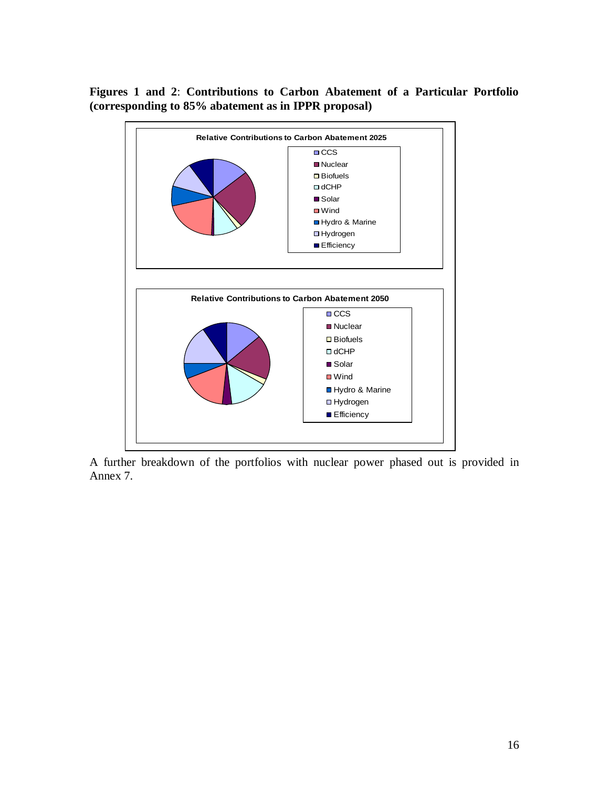### **Figures 1 and 2**: **Contributions to Carbon Abatement of a Particular Portfolio (corresponding to 85% abatement as in IPPR proposal)**



A further breakdown of the portfolios with nuclear power phased out is provided in Annex 7.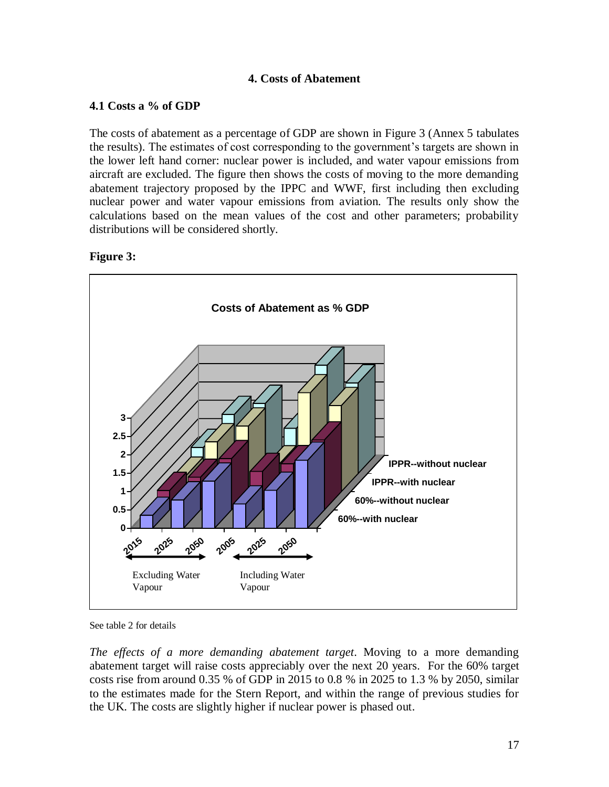### **4. Costs of Abatement**

### **4.1 Costs a % of GDP**

The costs of abatement as a percentage of GDP are shown in Figure 3 (Annex 5 tabulates the results). The estimates of cost corresponding to the government's targets are shown in the lower left hand corner: nuclear power is included, and water vapour emissions from aircraft are excluded. The figure then shows the costs of moving to the more demanding abatement trajectory proposed by the IPPC and WWF, first including then excluding nuclear power and water vapour emissions from aviation. The results only show the calculations based on the mean values of the cost and other parameters; probability distributions will be considered shortly.

### **Figure 3:**



See table 2 for details

*The effects of a more demanding abatement target*. Moving to a more demanding abatement target will raise costs appreciably over the next 20 years. For the 60% target costs rise from around 0.35 % of GDP in 2015 to 0.8 % in 2025 to 1.3 % by 2050, similar to the estimates made for the Stern Report, and within the range of previous studies for the UK. The costs are slightly higher if nuclear power is phased out.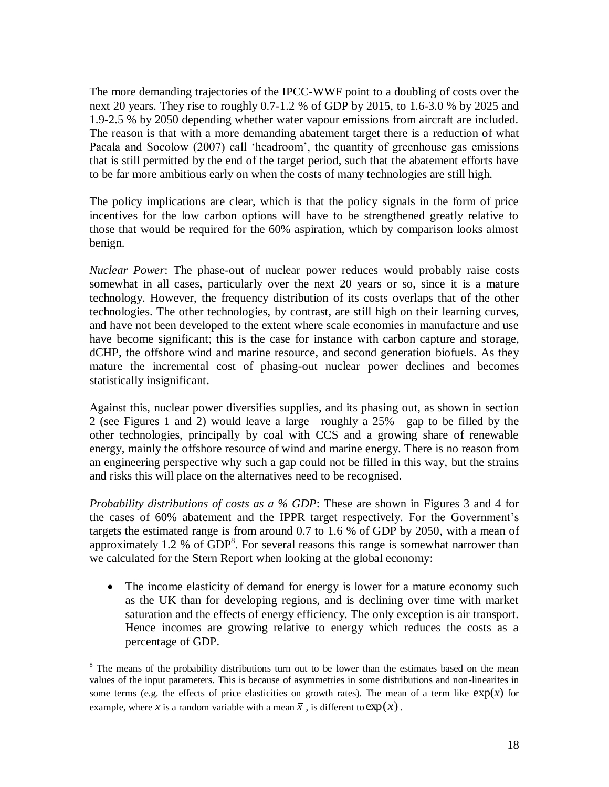The more demanding trajectories of the IPCC-WWF point to a doubling of costs over the next 20 years. They rise to roughly 0.7-1.2 % of GDP by 2015, to 1.6-3.0 % by 2025 and 1.9-2.5 % by 2050 depending whether water vapour emissions from aircraft are included. The reason is that with a more demanding abatement target there is a reduction of what Pacala and Socolow (2007) call 'headroom', the quantity of greenhouse gas emissions that is still permitted by the end of the target period, such that the abatement efforts have to be far more ambitious early on when the costs of many technologies are still high.

The policy implications are clear, which is that the policy signals in the form of price incentives for the low carbon options will have to be strengthened greatly relative to those that would be required for the 60% aspiration, which by comparison looks almost benign.

*Nuclear Power*: The phase-out of nuclear power reduces would probably raise costs somewhat in all cases, particularly over the next 20 years or so, since it is a mature technology. However, the frequency distribution of its costs overlaps that of the other technologies. The other technologies, by contrast, are still high on their learning curves, and have not been developed to the extent where scale economies in manufacture and use have become significant; this is the case for instance with carbon capture and storage, dCHP, the offshore wind and marine resource, and second generation biofuels. As they mature the incremental cost of phasing-out nuclear power declines and becomes statistically insignificant.

Against this, nuclear power diversifies supplies, and its phasing out, as shown in section 2 (see Figures 1 and 2) would leave a large—roughly a 25%—gap to be filled by the other technologies, principally by coal with CCS and a growing share of renewable energy, mainly the offshore resource of wind and marine energy. There is no reason from an engineering perspective why such a gap could not be filled in this way, but the strains and risks this will place on the alternatives need to be recognised.

*Probability distributions of costs as a % GDP*: These are shown in Figures 3 and 4 for the cases of 60% abatement and the IPPR target respectively. For the Government's targets the estimated range is from around 0.7 to 1.6 % of GDP by 2050, with a mean of approximately 1.2 % of  $GDP<sup>8</sup>$ . For several reasons this range is somewhat narrower than we calculated for the Stern Report when looking at the global economy:

• The income elasticity of demand for energy is lower for a mature economy such as the UK than for developing regions, and is declining over time with market saturation and the effects of energy efficiency. The only exception is air transport. Hence incomes are growing relative to energy which reduces the costs as a percentage of GDP.

 $\overline{a}$ 

<sup>&</sup>lt;sup>8</sup> The means of the probability distributions turn out to be lower than the estimates based on the mean values of the input parameters. This is because of asymmetries in some distributions and non-linearites in some terms (e.g. the effects of price elasticities on growth rates). The mean of a term like  $exp(x)$  for example, where *x* is a random variable with a mean  $\bar{x}$  , is different to  $\exp(\bar{x})$ .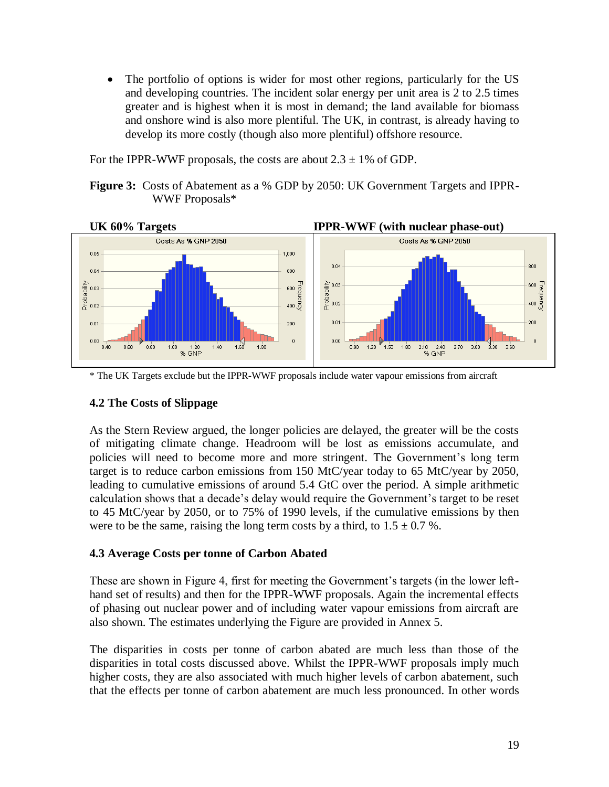• The portfolio of options is wider for most other regions, particularly for the US and developing countries. The incident solar energy per unit area is 2 to 2.5 times greater and is highest when it is most in demand; the land available for biomass and onshore wind is also more plentiful. The UK, in contrast, is already having to develop its more costly (though also more plentiful) offshore resource.

For the IPPR-WWF proposals, the costs are about  $2.3 \pm 1\%$  of GDP.

**Figure 3:** Costs of Abatement as a % GDP by 2050: UK Government Targets and IPPR-WWF Proposals\*



\* The UK Targets exclude but the IPPR-WWF proposals include water vapour emissions from aircraft

### **4.2 The Costs of Slippage**

As the Stern Review argued, the longer policies are delayed, the greater will be the costs of mitigating climate change. Headroom will be lost as emissions accumulate, and policies will need to become more and more stringent. The Government's long term target is to reduce carbon emissions from 150 MtC/year today to 65 MtC/year by 2050, leading to cumulative emissions of around 5.4 GtC over the period. A simple arithmetic calculation shows that a decade's delay would require the Government's target to be reset to 45 MtC/year by 2050, or to 75% of 1990 levels, if the cumulative emissions by then were to be the same, raising the long term costs by a third, to  $1.5 \pm 0.7$  %.

### **4.3 Average Costs per tonne of Carbon Abated**

These are shown in Figure 4, first for meeting the Government's targets (in the lower lefthand set of results) and then for the IPPR-WWF proposals. Again the incremental effects of phasing out nuclear power and of including water vapour emissions from aircraft are also shown. The estimates underlying the Figure are provided in Annex 5.

The disparities in costs per tonne of carbon abated are much less than those of the disparities in total costs discussed above. Whilst the IPPR-WWF proposals imply much higher costs, they are also associated with much higher levels of carbon abatement, such that the effects per tonne of carbon abatement are much less pronounced. In other words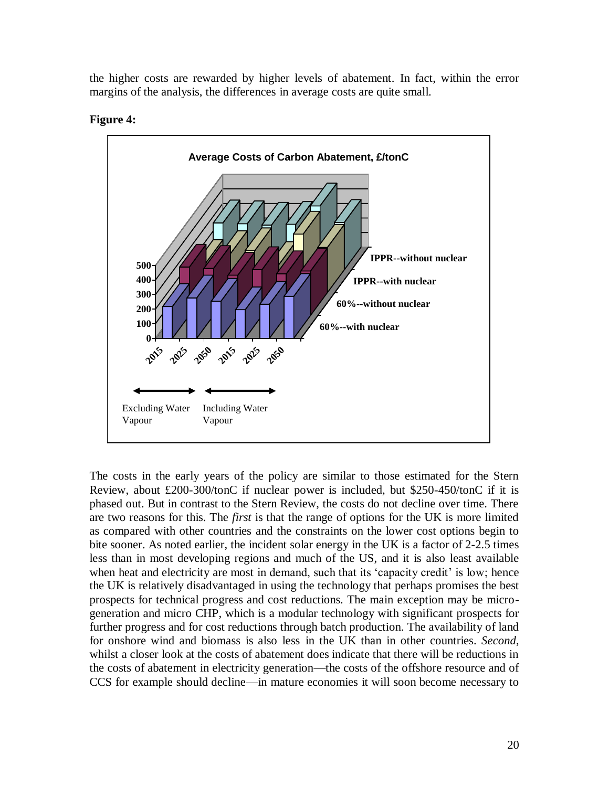the higher costs are rewarded by higher levels of abatement. In fact, within the error margins of the analysis, the differences in average costs are quite small.





The costs in the early years of the policy are similar to those estimated for the Stern Review, about £200-300/tonC if nuclear power is included, but \$250-450/tonC if it is phased out. But in contrast to the Stern Review, the costs do not decline over time. There are two reasons for this. The *first* is that the range of options for the UK is more limited as compared with other countries and the constraints on the lower cost options begin to bite sooner. As noted earlier, the incident solar energy in the UK is a factor of 2-2.5 times less than in most developing regions and much of the US, and it is also least available when heat and electricity are most in demand, such that its 'capacity credit' is low; hence the UK is relatively disadvantaged in using the technology that perhaps promises the best prospects for technical progress and cost reductions. The main exception may be microgeneration and micro CHP, which is a modular technology with significant prospects for further progress and for cost reductions through batch production. The availability of land for onshore wind and biomass is also less in the UK than in other countries. *Second*, whilst a closer look at the costs of abatement does indicate that there will be reductions in the costs of abatement in electricity generation—the costs of the offshore resource and of CCS for example should decline—in mature economies it will soon become necessary to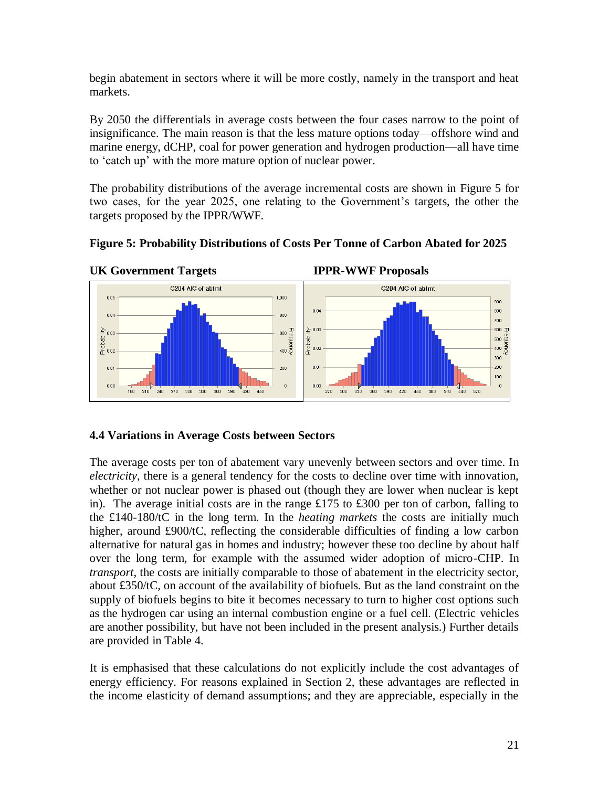begin abatement in sectors where it will be more costly, namely in the transport and heat markets.

By 2050 the differentials in average costs between the four cases narrow to the point of insignificance. The main reason is that the less mature options today—offshore wind and marine energy, dCHP, coal for power generation and hydrogen production—all have time to 'catch up' with the more mature option of nuclear power.

The probability distributions of the average incremental costs are shown in Figure 5 for two cases, for the year 2025, one relating to the Government's targets, the other the targets proposed by the IPPR/WWF.





### **4.4 Variations in Average Costs between Sectors**

The average costs per ton of abatement vary unevenly between sectors and over time. In *electricity*, there is a general tendency for the costs to decline over time with innovation, whether or not nuclear power is phased out (though they are lower when nuclear is kept in). The average initial costs are in the range £175 to £300 per ton of carbon, falling to the £140-180/tC in the long term. In the *heating markets* the costs are initially much higher, around £900/tC, reflecting the considerable difficulties of finding a low carbon alternative for natural gas in homes and industry; however these too decline by about half over the long term, for example with the assumed wider adoption of micro-CHP. In *transport*, the costs are initially comparable to those of abatement in the electricity sector, about £350/tC, on account of the availability of biofuels. But as the land constraint on the supply of biofuels begins to bite it becomes necessary to turn to higher cost options such as the hydrogen car using an internal combustion engine or a fuel cell. (Electric vehicles are another possibility, but have not been included in the present analysis.) Further details are provided in Table 4.

It is emphasised that these calculations do not explicitly include the cost advantages of energy efficiency. For reasons explained in Section 2, these advantages are reflected in the income elasticity of demand assumptions; and they are appreciable, especially in the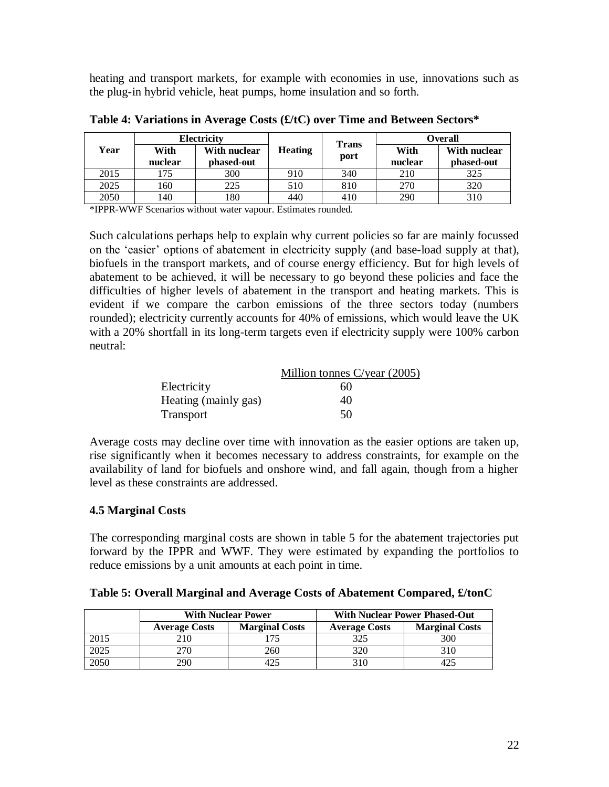heating and transport markets, for example with economies in use, innovations such as the plug-in hybrid vehicle, heat pumps, home insulation and so forth.

|      |                 | Electricity                |                |                      |                 | <b>Overall</b>             |
|------|-----------------|----------------------------|----------------|----------------------|-----------------|----------------------------|
| Year | With<br>nuclear | With nuclear<br>phased-out | <b>Heating</b> | <b>Trans</b><br>port | With<br>nuclear | With nuclear<br>phased-out |
| 2015 | 175             | 300                        | 910            | 340                  | 210             | 325                        |
| 2025 | 160             | 225                        | 510            | 810                  | 270             | 320                        |
| 2050 | 140             | 180                        | 440            | 410                  | 290             | 310                        |

**Table 4: Variations in Average Costs (£/tC) over Time and Between Sectors\***

\*IPPR-WWF Scenarios without water vapour. Estimates rounded.

Such calculations perhaps help to explain why current policies so far are mainly focussed on the ‗easier' options of abatement in electricity supply (and base-load supply at that), biofuels in the transport markets, and of course energy efficiency. But for high levels of abatement to be achieved, it will be necessary to go beyond these policies and face the difficulties of higher levels of abatement in the transport and heating markets. This is evident if we compare the carbon emissions of the three sectors today (numbers rounded); electricity currently accounts for 40% of emissions, which would leave the UK with a 20% shortfall in its long-term targets even if electricity supply were 100% carbon neutral:

|                      | Million tonnes $C/\text{year}$ (2005) |
|----------------------|---------------------------------------|
| Electricity          | 60                                    |
| Heating (mainly gas) | 40                                    |
| <b>Transport</b>     | 50                                    |

Average costs may decline over time with innovation as the easier options are taken up, rise significantly when it becomes necessary to address constraints, for example on the availability of land for biofuels and onshore wind, and fall again, though from a higher level as these constraints are addressed.

### **4.5 Marginal Costs**

The corresponding marginal costs are shown in table 5 for the abatement trajectories put forward by the IPPR and WWF. They were estimated by expanding the portfolios to reduce emissions by a unit amounts at each point in time.

| Table 5: Overall Marginal and Average Costs of Abatement Compared, £/tonC |  |  |  |  |  |
|---------------------------------------------------------------------------|--|--|--|--|--|
|---------------------------------------------------------------------------|--|--|--|--|--|

|      |                      | <b>With Nuclear Power</b> | <b>With Nuclear Power Phased-Out</b> |                       |  |
|------|----------------------|---------------------------|--------------------------------------|-----------------------|--|
|      | <b>Average Costs</b> | <b>Marginal Costs</b>     | <b>Average Costs</b>                 | <b>Marginal Costs</b> |  |
| 2015 | 210                  |                           | 325                                  | 300                   |  |
| 2025 | 270                  | 260                       | 320                                  |                       |  |
| 2050 | 290                  |                           |                                      |                       |  |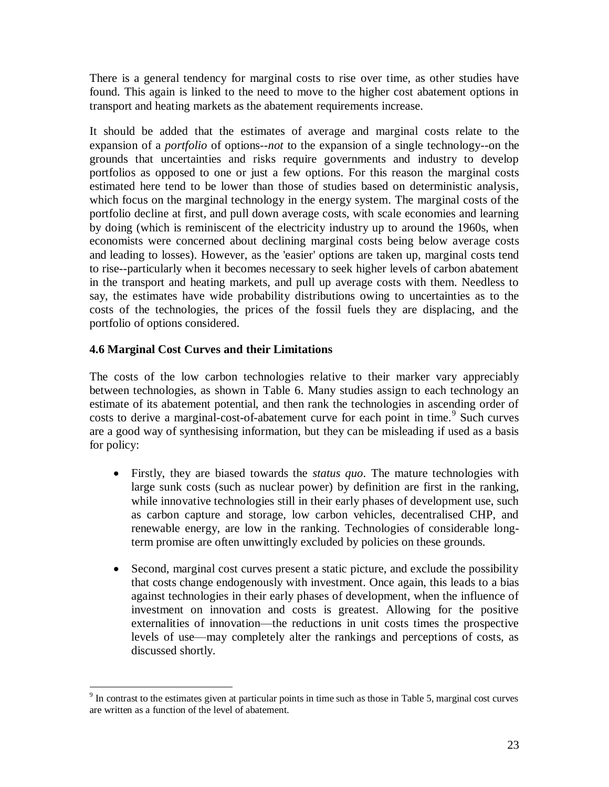There is a general tendency for marginal costs to rise over time, as other studies have found. This again is linked to the need to move to the higher cost abatement options in transport and heating markets as the abatement requirements increase.

It should be added that the estimates of average and marginal costs relate to the expansion of a *portfolio* of options--*not* to the expansion of a single technology--on the grounds that uncertainties and risks require governments and industry to develop portfolios as opposed to one or just a few options. For this reason the marginal costs estimated here tend to be lower than those of studies based on deterministic analysis, which focus on the marginal technology in the energy system. The marginal costs of the portfolio decline at first, and pull down average costs, with scale economies and learning by doing (which is reminiscent of the electricity industry up to around the 1960s, when economists were concerned about declining marginal costs being below average costs and leading to losses). However, as the 'easier' options are taken up, marginal costs tend to rise--particularly when it becomes necessary to seek higher levels of carbon abatement in the transport and heating markets, and pull up average costs with them. Needless to say, the estimates have wide probability distributions owing to uncertainties as to the costs of the technologies, the prices of the fossil fuels they are displacing, and the portfolio of options considered.

### **4.6 Marginal Cost Curves and their Limitations**

The costs of the low carbon technologies relative to their marker vary appreciably between technologies, as shown in Table 6. Many studies assign to each technology an estimate of its abatement potential, and then rank the technologies in ascending order of costs to derive a marginal-cost-of-abatement curve for each point in time.<sup>9</sup> Such curves are a good way of synthesising information, but they can be misleading if used as a basis for policy:

- Firstly, they are biased towards the *status quo*. The mature technologies with large sunk costs (such as nuclear power) by definition are first in the ranking, while innovative technologies still in their early phases of development use, such as carbon capture and storage, low carbon vehicles, decentralised CHP, and renewable energy, are low in the ranking. Technologies of considerable longterm promise are often unwittingly excluded by policies on these grounds.
- Second, marginal cost curves present a static picture, and exclude the possibility that costs change endogenously with investment. Once again, this leads to a bias against technologies in their early phases of development, when the influence of investment on innovation and costs is greatest. Allowing for the positive externalities of innovation—the reductions in unit costs times the prospective levels of use—may completely alter the rankings and perceptions of costs, as discussed shortly.

<sup>&</sup>lt;sup>9</sup> In contrast to the estimates given at particular points in time such as those in Table 5, marginal cost curves are written as a function of the level of abatement.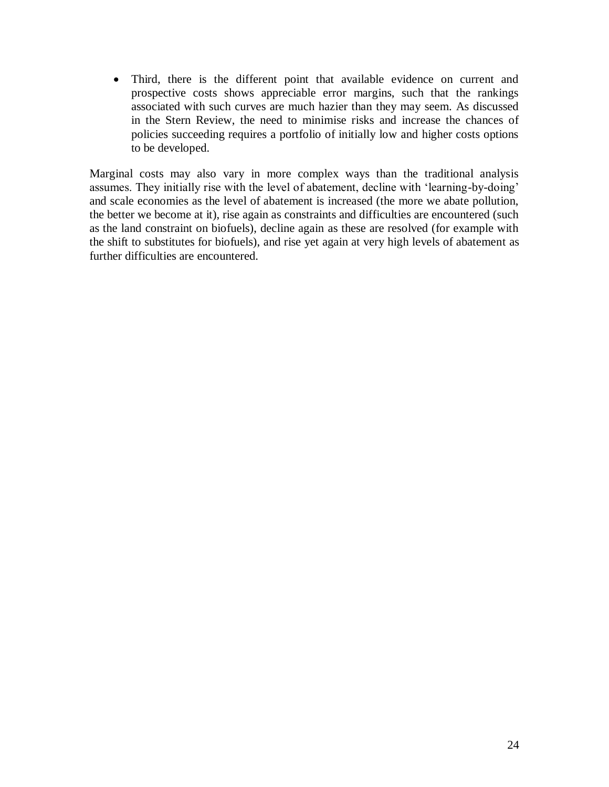Third, there is the different point that available evidence on current and prospective costs shows appreciable error margins, such that the rankings associated with such curves are much hazier than they may seem. As discussed in the Stern Review, the need to minimise risks and increase the chances of policies succeeding requires a portfolio of initially low and higher costs options to be developed.

Marginal costs may also vary in more complex ways than the traditional analysis assumes. They initially rise with the level of abatement, decline with 'learning-by-doing' and scale economies as the level of abatement is increased (the more we abate pollution, the better we become at it), rise again as constraints and difficulties are encountered (such as the land constraint on biofuels), decline again as these are resolved (for example with the shift to substitutes for biofuels), and rise yet again at very high levels of abatement as further difficulties are encountered.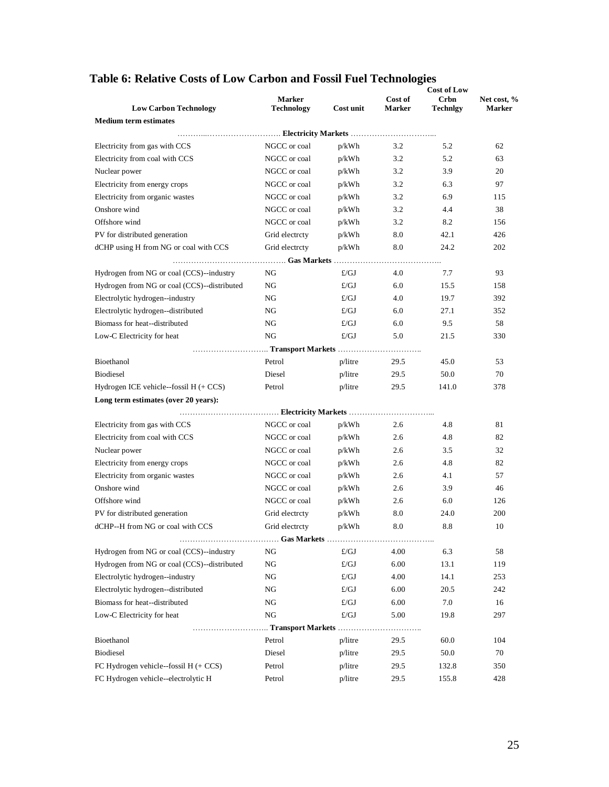| <b>Low Carbon Technology</b>                | <b>Marker</b><br><b>Technology</b> | Cost unit    | Cost of<br><b>Marker</b> | <b>Crbn</b><br><b>Technigy</b> | Net cost, %<br><b>Marker</b> |
|---------------------------------------------|------------------------------------|--------------|--------------------------|--------------------------------|------------------------------|
| <b>Medium term estimates</b>                |                                    |              |                          |                                |                              |
|                                             |                                    |              |                          |                                |                              |
| Electricity from gas with CCS               | NGCC or coal                       | p/kWh        | 3.2                      | 5.2                            | 62                           |
| Electricity from coal with CCS              | NGCC or coal                       | p/kWh        | 3.2                      | 5.2                            | 63                           |
| Nuclear power                               | NGCC or coal                       | p/kWh        | 3.2                      | 3.9                            | 20                           |
| Electricity from energy crops               | NGCC or coal                       | p/kWh        | 3.2                      | 6.3                            | 97                           |
| Electricity from organic wastes             | NGCC or coal                       | p/kWh        | 3.2                      | 6.9                            | 115                          |
| Onshore wind                                | NGCC or coal                       | $p/kWh$      | 3.2                      | 4.4                            | 38                           |
| Offshore wind                               | NGCC or coal                       | p/kWh        | 3.2                      | 8.2                            | 156                          |
| PV for distributed generation               | Grid electrity                     | p/kWh        | 8.0                      | 42.1                           | 426                          |
| dCHP using H from NG or coal with CCS       | Grid electrcty                     | p/kWh        | 8.0                      | 24.2                           | 202                          |
|                                             |                                    |              | .                        |                                |                              |
| Hydrogen from NG or coal (CCS)--industry    | NG                                 | $\pounds/GJ$ | 4.0                      | 7.7                            | 93                           |
| Hydrogen from NG or coal (CCS)--distributed | NG                                 | E/GJ         | 6.0                      | 15.5                           | 158                          |
| Electrolytic hydrogen--industry             | NG                                 | $\pounds/GJ$ | 4.0                      | 19.7                           | 392                          |
| Electrolytic hydrogen--distributed          | NG                                 | $\pounds/GJ$ | 6.0                      | 27.1                           | 352                          |
| Biomass for heat--distributed               | NG                                 | $\pounds/GJ$ | 6.0                      | 9.5                            | 58                           |
| Low-C Electricity for heat                  | NG                                 | $\pounds/GJ$ | 5.0                      | 21.5                           | 330                          |
|                                             |                                    |              |                          |                                |                              |
| Bioethanol                                  | Petrol                             | p/litre      | 29.5                     | 45.0                           | 53                           |
| <b>Biodiesel</b>                            | Diesel                             | $p/l$ itre   | 29.5                     | 50.0                           | 70                           |
| Hydrogen ICE vehicle--fossil $H (+ CCS)$    | Petrol                             | $p/l$ itre   | 29.5                     | 141.0                          | 378                          |
| Long term estimates (over 20 years):        |                                    |              |                          |                                |                              |
|                                             |                                    |              |                          |                                |                              |
| Electricity from gas with CCS               | NGCC or coal                       | p/kWh        | 2.6                      | 4.8                            | 81                           |
| Electricity from coal with CCS              | NGCC or coal                       | p/kWh        | 2.6                      | 4.8                            | 82                           |
| Nuclear power                               | NGCC or coal                       | p/kWh        | 2.6                      | 3.5                            | 32                           |
| Electricity from energy crops               | NGCC or coal                       | p/kWh        | 2.6                      | 4.8                            | 82                           |
| Electricity from organic wastes             | NGCC or coal                       | p/kWh        | 2.6                      | 4.1                            | 57                           |
| Onshore wind                                | NGCC or coal                       | p/kWh        | 2.6                      | 3.9                            | 46                           |
| Offshore wind                               | NGCC or coal                       | p/kWh        | 2.6                      | 6.0                            | 126                          |
| PV for distributed generation               | Grid electrcty                     | p/kWh        | 8.0                      | 24.0                           | 200                          |
| dCHP--H from NG or coal with CCS            | Grid electrcty                     | p/kWh        | 8.0                      | 8.8                            | 10                           |
|                                             |                                    |              |                          |                                |                              |
| Hydrogen from NG or coal (CCS)--industry    | NG                                 | $\pounds/GJ$ | 4.00                     | 6.3                            | 58                           |
| Hydrogen from NG or coal (CCS)--distributed | NG                                 | $\pounds/GJ$ | 6.00                     | 13.1                           | 119                          |
| Electrolytic hydrogen--industry             | NG                                 | £/GJ         | 4.00                     | 14.1                           | 253                          |
| Electrolytic hydrogen--distributed          | NG                                 | £/GJ         | 6.00                     | 20.5                           | 242                          |
| Biomass for heat--distributed               | NG                                 | £/GJ         | 6.00                     | 7.0                            | 16                           |
| Low-C Electricity for heat                  | NG                                 | £/GJ         | 5.00                     | 19.8                           | 297                          |
|                                             | Transport Markets                  |              | .                        |                                |                              |
| Bioethanol                                  | Petrol                             | p/litre      | 29.5                     | 60.0                           | 104                          |
| Biodiesel                                   | Diesel                             | p/litre      | 29.5                     | 50.0                           | 70                           |
| FC Hydrogen vehicle--fossil $H (+ CCS)$     | Petrol                             | p/litre      | 29.5                     | 132.8                          | 350                          |
| FC Hydrogen vehicle--electrolytic H         | Petrol                             | p/litre      | 29.5                     | 155.8                          | 428                          |
|                                             |                                    |              |                          |                                |                              |

# **Table 6: Relative Costs of Low Carbon and Fossil Fuel Technologies**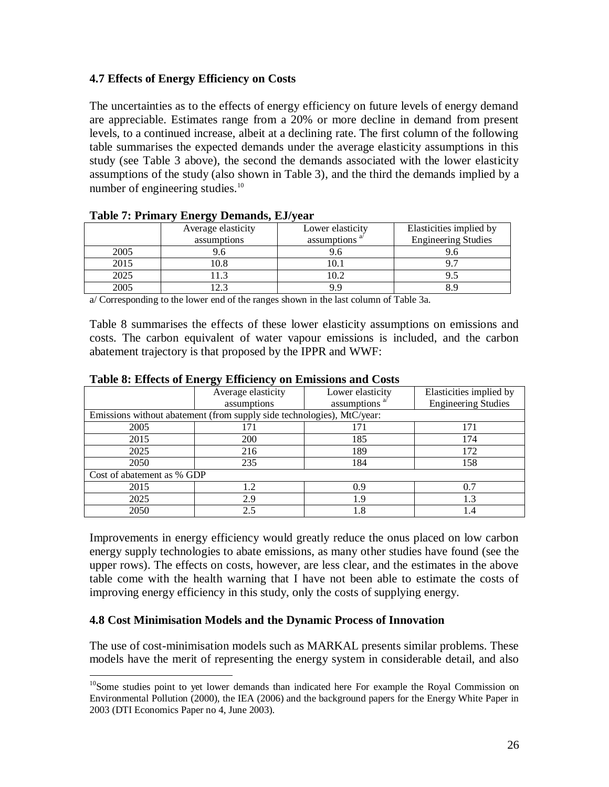### **4.7 Effects of Energy Efficiency on Costs**

The uncertainties as to the effects of energy efficiency on future levels of energy demand are appreciable. Estimates range from a 20% or more decline in demand from present levels, to a continued increase, albeit at a declining rate. The first column of the following table summarises the expected demands under the average elasticity assumptions in this study (see Table 3 above), the second the demands associated with the lower elasticity assumptions of the study (also shown in Table 3), and the third the demands implied by a number of engineering studies. $10<sup>10</sup>$ 

|      | ີ<br>Average elasticity<br>assumptions | Lower elasticity<br>assumptions <sup>a</sup> | Elasticities implied by<br><b>Engineering Studies</b> |
|------|----------------------------------------|----------------------------------------------|-------------------------------------------------------|
| 2005 | 9.6                                    | 9.6                                          |                                                       |
| 2015 | 0.8                                    | 0.1                                          |                                                       |
| 2025 | 1.3                                    | 10.2                                         |                                                       |
| 2005 | $2^{\circ}$                            | 9 Q                                          |                                                       |

#### **Table 7: Primary Energy Demands, EJ/year**

a/ Corresponding to the lower end of the ranges shown in the last column of Table 3a.

Table 8 summarises the effects of these lower elasticity assumptions on emissions and costs. The carbon equivalent of water vapour emissions is included, and the carbon abatement trajectory is that proposed by the IPPR and WWF:

|                            | Average elasticity                                                     | Lower elasticity | Elasticities implied by    |
|----------------------------|------------------------------------------------------------------------|------------------|----------------------------|
|                            | assumptions                                                            | assumptions      | <b>Engineering Studies</b> |
|                            | Emissions without abatement (from supply side technologies), MtC/year: |                  |                            |
| 2005                       | 171                                                                    | 171              | 171                        |
| 2015                       | <b>200</b>                                                             | 185              | 174                        |
| 2025                       | 216                                                                    | 189              | 172                        |
| 2050                       | 235                                                                    | 184              | 158                        |
| Cost of abatement as % GDP |                                                                        |                  |                            |
| 2015                       | 1.2                                                                    | 0.9              | 0.7                        |
| 2025                       | 2.9                                                                    | 1.9              | 1.3                        |
| 2050                       | 2.5                                                                    | 1.8              | l.4                        |

#### **Table 8: Effects of Energy Efficiency on Emissions and Costs**

Improvements in energy efficiency would greatly reduce the onus placed on low carbon energy supply technologies to abate emissions, as many other studies have found (see the upper rows). The effects on costs, however, are less clear, and the estimates in the above table come with the health warning that I have not been able to estimate the costs of improving energy efficiency in this study, only the costs of supplying energy.

### **4.8 Cost Minimisation Models and the Dynamic Process of Innovation**

 $\overline{a}$ 

The use of cost-minimisation models such as MARKAL presents similar problems. These models have the merit of representing the energy system in considerable detail, and also

<sup>&</sup>lt;sup>10</sup>Some studies point to yet lower demands than indicated here For example the Royal Commission on Environmental Pollution (2000), the IEA (2006) and the background papers for the Energy White Paper in 2003 (DTI Economics Paper no 4, June 2003).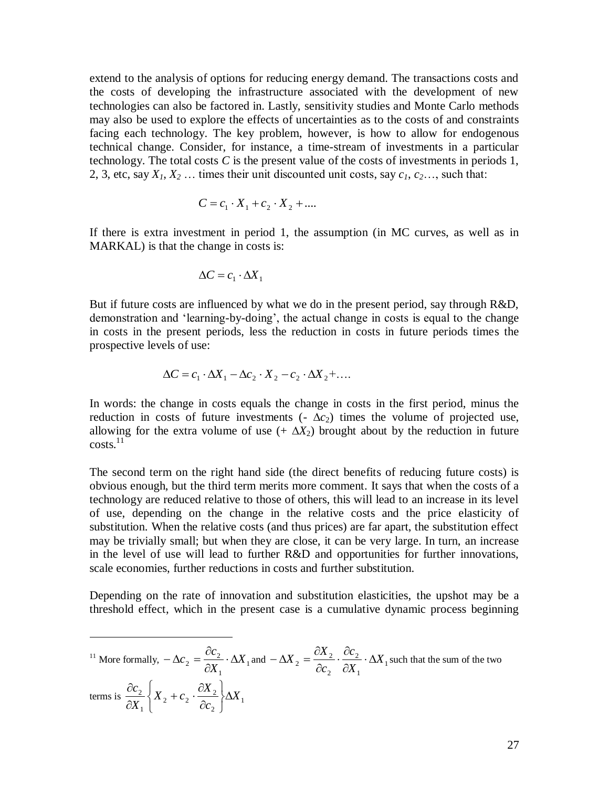extend to the analysis of options for reducing energy demand. The transactions costs and the costs of developing the infrastructure associated with the development of new technologies can also be factored in. Lastly, sensitivity studies and Monte Carlo methods may also be used to explore the effects of uncertainties as to the costs of and constraints facing each technology. The key problem, however, is how to allow for endogenous technical change. Consider, for instance, a time-stream of investments in a particular technology. The total costs  $C$  is the present value of the costs of investments in periods 1, 2, 3, etc, say  $X_1, X_2, \ldots$  times their unit discounted unit costs, say  $c_1, c_2, \ldots$ , such that:

$$
C = c_1 \cdot X_1 + c_2 \cdot X_2 + \dots
$$

If there is extra investment in period 1, the assumption (in MC curves, as well as in MARKAL) is that the change in costs is:

$$
\Delta C = c_1 \cdot \Delta X_1
$$

 $\overline{a}$ 

But if future costs are influenced by what we do in the present period, say through R&D, demonstration and 'learning-by-doing', the actual change in costs is equal to the change in costs in the present periods, less the reduction in costs in future periods times the prospective levels of use:

$$
\Delta C = c_1 \cdot \Delta X_1 - \Delta c_2 \cdot X_2 - c_2 \cdot \Delta X_2 + \dots
$$

In words: the change in costs equals the change in costs in the first period, minus the reduction in costs of future investments  $(-\Delta c_2)$  times the volume of projected use, allowing for the extra volume of use  $(+ \Delta X_2)$  brought about by the reduction in future  $costs.<sup>11</sup>$ 

The second term on the right hand side (the direct benefits of reducing future costs) is obvious enough, but the third term merits more comment. It says that when the costs of a technology are reduced relative to those of others, this will lead to an increase in its level of use, depending on the change in the relative costs and the price elasticity of substitution. When the relative costs (and thus prices) are far apart, the substitution effect may be trivially small; but when they are close, it can be very large. In turn, an increase in the level of use will lead to further R&D and opportunities for further innovations, scale economies, further reductions in costs and further substitution.

Depending on the rate of innovation and substitution elasticities, the upshot may be a threshold effect, which in the present case is a cumulative dynamic process beginning

<sup>11</sup> More formally, 
$$
-\Delta c_2 = \frac{\partial c_2}{\partial X_1} \cdot \Delta X_1
$$
 and  $-\Delta X_2 = \frac{\partial X_2}{\partial c_2} \cdot \frac{\partial c_2}{\partial X_1} \cdot \Delta X_1$  such that the sum of the two  
terms is  $\frac{\partial c_2}{\partial X_1} \left\{ X_2 + c_2 \cdot \frac{\partial X_2}{\partial c_2} \right\} \Delta X_1$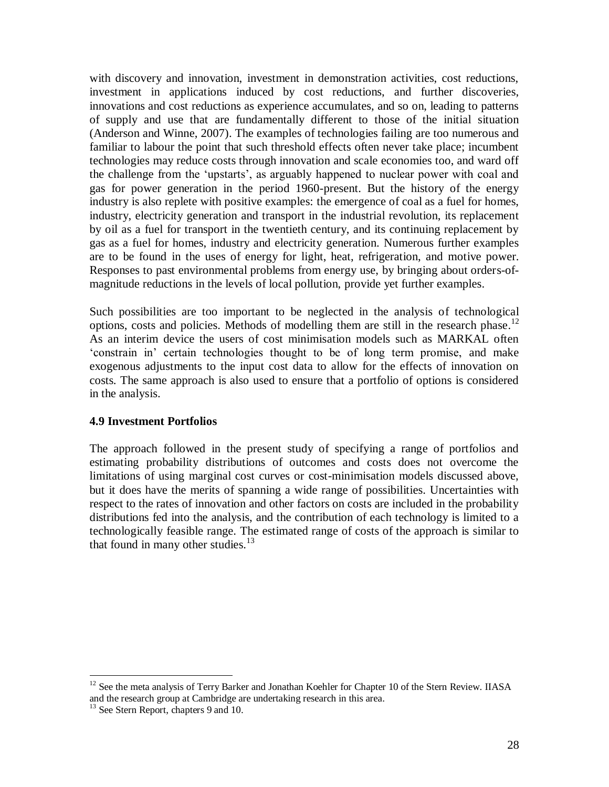with discovery and innovation, investment in demonstration activities, cost reductions, investment in applications induced by cost reductions, and further discoveries, innovations and cost reductions as experience accumulates, and so on, leading to patterns of supply and use that are fundamentally different to those of the initial situation (Anderson and Winne, 2007). The examples of technologies failing are too numerous and familiar to labour the point that such threshold effects often never take place; incumbent technologies may reduce costs through innovation and scale economies too, and ward off the challenge from the 'upstarts', as arguably happened to nuclear power with coal and gas for power generation in the period 1960-present. But the history of the energy industry is also replete with positive examples: the emergence of coal as a fuel for homes, industry, electricity generation and transport in the industrial revolution, its replacement by oil as a fuel for transport in the twentieth century, and its continuing replacement by gas as a fuel for homes, industry and electricity generation. Numerous further examples are to be found in the uses of energy for light, heat, refrigeration, and motive power. Responses to past environmental problems from energy use, by bringing about orders-ofmagnitude reductions in the levels of local pollution, provide yet further examples.

Such possibilities are too important to be neglected in the analysis of technological options, costs and policies. Methods of modelling them are still in the research phase. 12 As an interim device the users of cost minimisation models such as MARKAL often ‗constrain in' certain technologies thought to be of long term promise, and make exogenous adjustments to the input cost data to allow for the effects of innovation on costs. The same approach is also used to ensure that a portfolio of options is considered in the analysis.

### **4.9 Investment Portfolios**

The approach followed in the present study of specifying a range of portfolios and estimating probability distributions of outcomes and costs does not overcome the limitations of using marginal cost curves or cost-minimisation models discussed above, but it does have the merits of spanning a wide range of possibilities. Uncertainties with respect to the rates of innovation and other factors on costs are included in the probability distributions fed into the analysis, and the contribution of each technology is limited to a technologically feasible range. The estimated range of costs of the approach is similar to that found in many other studies. $13$ 

 $\overline{a}$ 

<sup>&</sup>lt;sup>12</sup> See the meta analysis of Terry Barker and Jonathan Koehler for Chapter 10 of the Stern Review. IIASA and the research group at Cambridge are undertaking research in this area.

<sup>&</sup>lt;sup>13</sup> See Stern Report, chapters 9 and 10.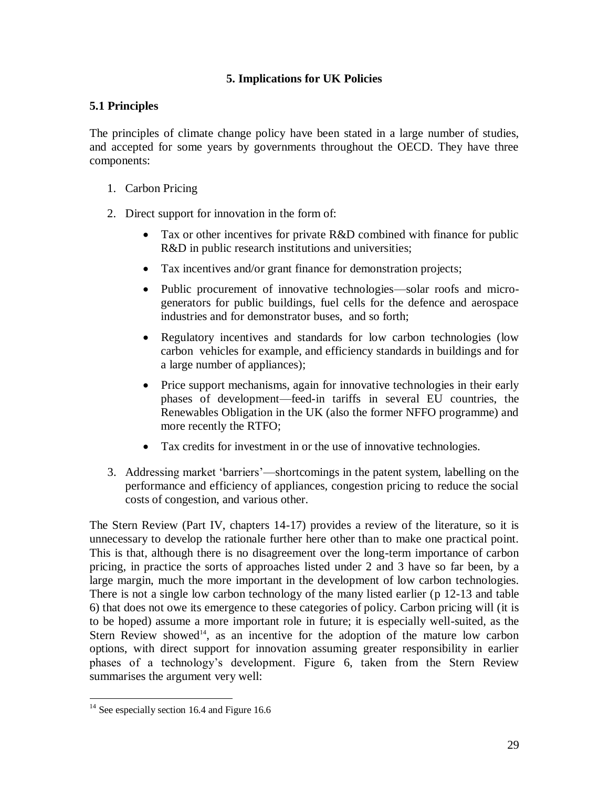### **5. Implications for UK Policies**

### **5.1 Principles**

The principles of climate change policy have been stated in a large number of studies, and accepted for some years by governments throughout the OECD. They have three components:

- 1. Carbon Pricing
- 2. Direct support for innovation in the form of:
	- Tax or other incentives for private R&D combined with finance for public R&D in public research institutions and universities;
	- Tax incentives and/or grant finance for demonstration projects;
	- Public procurement of innovative technologies—solar roofs and microgenerators for public buildings, fuel cells for the defence and aerospace industries and for demonstrator buses, and so forth;
	- Regulatory incentives and standards for low carbon technologies (low carbon vehicles for example, and efficiency standards in buildings and for a large number of appliances);
	- Price support mechanisms, again for innovative technologies in their early phases of development—feed-in tariffs in several EU countries, the Renewables Obligation in the UK (also the former NFFO programme) and more recently the RTFO;
	- Tax credits for investment in or the use of innovative technologies.
- 3. Addressing market ‗barriers'—shortcomings in the patent system, labelling on the performance and efficiency of appliances, congestion pricing to reduce the social costs of congestion, and various other.

The Stern Review (Part IV, chapters 14-17) provides a review of the literature, so it is unnecessary to develop the rationale further here other than to make one practical point. This is that, although there is no disagreement over the long-term importance of carbon pricing, in practice the sorts of approaches listed under 2 and 3 have so far been, by a large margin, much the more important in the development of low carbon technologies. There is not a single low carbon technology of the many listed earlier (p 12-13 and table 6) that does not owe its emergence to these categories of policy. Carbon pricing will (it is to be hoped) assume a more important role in future; it is especially well-suited, as the Stern Review showed<sup>14</sup>, as an incentive for the adoption of the mature low carbon options, with direct support for innovation assuming greater responsibility in earlier phases of a technology's development. Figure 6, taken from the Stern Review summarises the argument very well:

 $\overline{a}$  $14$  See especially section 16.4 and Figure 16.6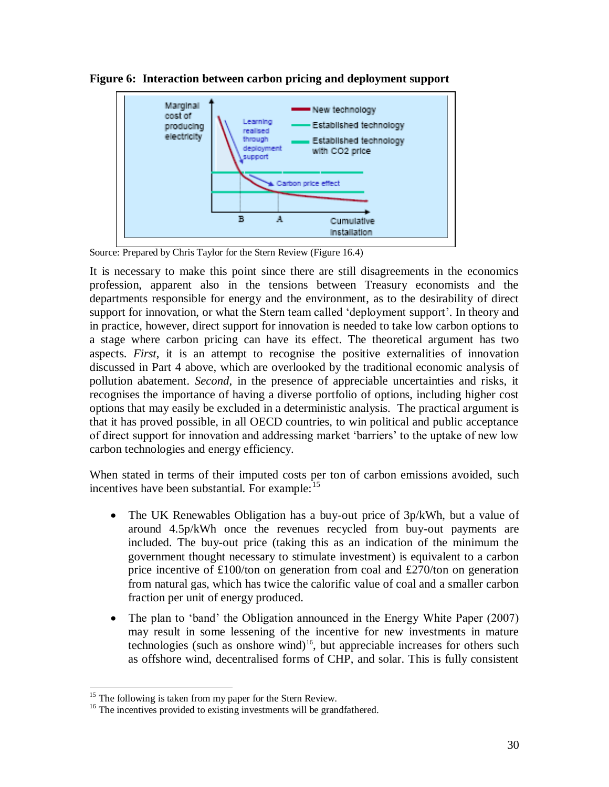

**Figure 6: Interaction between carbon pricing and deployment support**

Source: Prepared by Chris Taylor for the Stern Review (Figure 16.4)

It is necessary to make this point since there are still disagreements in the economics profession, apparent also in the tensions between Treasury economists and the departments responsible for energy and the environment, as to the desirability of direct support for innovation, or what the Stern team called 'deployment support'. In theory and in practice, however, direct support for innovation is needed to take low carbon options to a stage where carbon pricing can have its effect. The theoretical argument has two aspects. *First*, it is an attempt to recognise the positive externalities of innovation discussed in Part 4 above, which are overlooked by the traditional economic analysis of pollution abatement. *Second*, in the presence of appreciable uncertainties and risks, it recognises the importance of having a diverse portfolio of options, including higher cost options that may easily be excluded in a deterministic analysis. The practical argument is that it has proved possible, in all OECD countries, to win political and public acceptance of direct support for innovation and addressing market ‗barriers' to the uptake of new low carbon technologies and energy efficiency.

When stated in terms of their imputed costs per ton of carbon emissions avoided, such incentives have been substantial. For example:<sup>15</sup>

- The UK Renewables Obligation has a buy-out price of 3p/kWh, but a value of around 4.5p/kWh once the revenues recycled from buy-out payments are included. The buy-out price (taking this as an indication of the minimum the government thought necessary to stimulate investment) is equivalent to a carbon price incentive of £100/ton on generation from coal and £270/ton on generation from natural gas, which has twice the calorific value of coal and a smaller carbon fraction per unit of energy produced.
- The plan to 'band' the Obligation announced in the Energy White Paper (2007) may result in some lessening of the incentive for new investments in mature technologies (such as onshore wind)<sup>16</sup>, but appreciable increases for others such as offshore wind, decentralised forms of CHP, and solar. This is fully consistent

 $\overline{a}$  $15$  The following is taken from my paper for the Stern Review.

<sup>&</sup>lt;sup>16</sup> The incentives provided to existing investments will be grandfathered.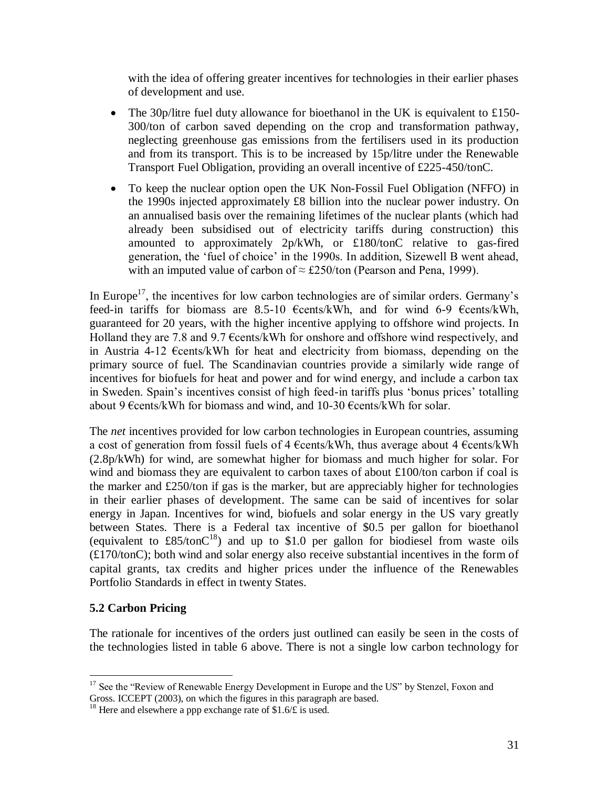with the idea of offering greater incentives for technologies in their earlier phases of development and use.

- The 30p/litre fuel duty allowance for bioethanol in the UK is equivalent to £150-300/ton of carbon saved depending on the crop and transformation pathway, neglecting greenhouse gas emissions from the fertilisers used in its production and from its transport. This is to be increased by 15p/litre under the Renewable Transport Fuel Obligation, providing an overall incentive of £225-450/tonC.
- To keep the nuclear option open the UK Non-Fossil Fuel Obligation (NFFO) in the 1990s injected approximately £8 billion into the nuclear power industry. On an annualised basis over the remaining lifetimes of the nuclear plants (which had already been subsidised out of electricity tariffs during construction) this amounted to approximately 2p/kWh, or £180/tonC relative to gas-fired generation, the 'fuel of choice' in the 1990s. In addition, Sizewell B went ahead, with an imputed value of carbon of  $\approx$  £250/ton (Pearson and Pena, 1999).

In Europe<sup>17</sup>, the incentives for low carbon technologies are of similar orders. Germany's feed-in tariffs for biomass are 8.5-10 €cents/kWh, and for wind 6-9 €cents/kWh, guaranteed for 20 years, with the higher incentive applying to offshore wind projects. In Holland they are 7.8 and 9.7  $\epsilon$ cents/kWh for onshore and offshore wind respectively, and in Austria 4-12 €cents/kWh for heat and electricity from biomass, depending on the primary source of fuel. The Scandinavian countries provide a similarly wide range of incentives for biofuels for heat and power and for wind energy, and include a carbon tax in Sweden. Spain's incentives consist of high feed-in tariffs plus 'bonus prices' totalling about 9  $\epsilon$ cents/kWh for biomass and wind, and 10-30  $\epsilon$ cents/kWh for solar.

The *net* incentives provided for low carbon technologies in European countries, assuming a cost of generation from fossil fuels of 4 €cents/kWh, thus average about 4 €cents/kWh (2.8p/kWh) for wind, are somewhat higher for biomass and much higher for solar. For wind and biomass they are equivalent to carbon taxes of about £100/ton carbon if coal is the marker and £250/ton if gas is the marker, but are appreciably higher for technologies in their earlier phases of development. The same can be said of incentives for solar energy in Japan. Incentives for wind, biofuels and solar energy in the US vary greatly between States. There is a Federal tax incentive of \$0.5 per gallon for bioethanol (equivalent to  $\text{\textsterling}85/\text{\text{ton}}\text{C}^{18}$ ) and up to \$1.0 per gallon for biodiesel from waste oils (£170/tonC); both wind and solar energy also receive substantial incentives in the form of capital grants, tax credits and higher prices under the influence of the Renewables Portfolio Standards in effect in twenty States.

## **5.2 Carbon Pricing**

The rationale for incentives of the orders just outlined can easily be seen in the costs of the technologies listed in table 6 above. There is not a single low carbon technology for

 $\overline{a}$ <sup>17</sup> See the "Review of Renewable Energy Development in Europe and the US" by Stenzel, Foxon and Gross. ICCEPT (2003), on which the figures in this paragraph are based.

<sup>&</sup>lt;sup>18</sup> Here and elsewhere a ppp exchange rate of \$1.6/ $\angle$  is used.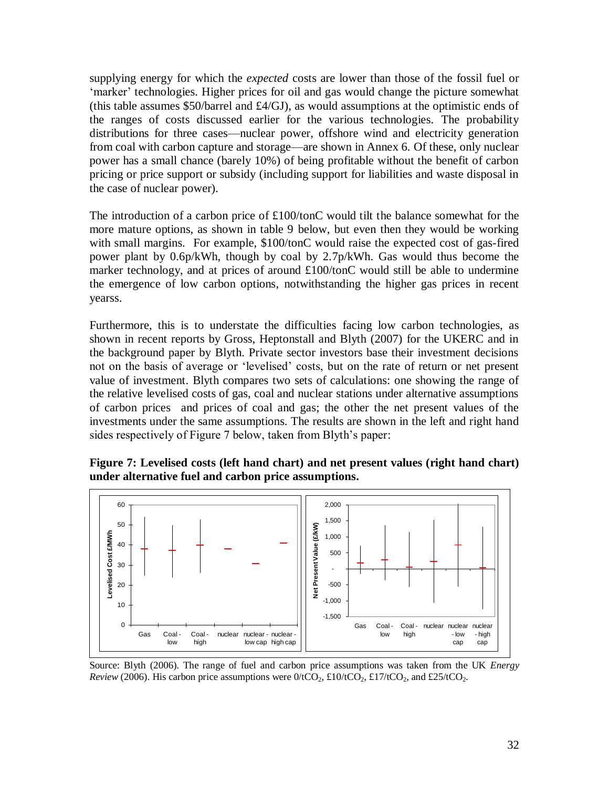supplying energy for which the *expected* costs are lower than those of the fossil fuel or ‗marker' technologies. Higher prices for oil and gas would change the picture somewhat (this table assumes \$50/barrel and  $\text{\pounds}4/\text{GJ}$ ), as would assumptions at the optimistic ends of the ranges of costs discussed earlier for the various technologies. The probability distributions for three cases—nuclear power, offshore wind and electricity generation from coal with carbon capture and storage—are shown in Annex 6. Of these, only nuclear power has a small chance (barely 10%) of being profitable without the benefit of carbon pricing or price support or subsidy (including support for liabilities and waste disposal in the case of nuclear power).

The introduction of a carbon price of £100/tonC would tilt the balance somewhat for the more mature options, as shown in table 9 below, but even then they would be working with small margins. For example, \$100/tonC would raise the expected cost of gas-fired power plant by 0.6p/kWh, though by coal by 2.7p/kWh. Gas would thus become the marker technology, and at prices of around £100/tonC would still be able to undermine the emergence of low carbon options, notwithstanding the higher gas prices in recent yearss.

Furthermore, this is to understate the difficulties facing low carbon technologies, as shown in recent reports by Gross, Heptonstall and Blyth (2007) for the UKERC and in the background paper by Blyth. Private sector investors base their investment decisions not on the basis of average or ‗levelised' costs, but on the rate of return or net present value of investment. Blyth compares two sets of calculations: one showing the range of the relative levelised costs of gas, coal and nuclear stations under alternative assumptions of carbon prices and prices of coal and gas; the other the net present values of the investments under the same assumptions. The results are shown in the left and right hand sides respectively of Figure 7 below, taken from Blyth's paper:

**Figure 7: Levelised costs (left hand chart) and net present values (right hand chart) under alternative fuel and carbon price assumptions.**



Source: Blyth (2006). The range of fuel and carbon price assumptions was taken from the UK *Energy Review* (2006). His carbon price assumptions were  $0/1CO_2$ , £10/tCO<sub>2</sub>, £17/tCO<sub>2</sub>, and £25/tCO<sub>2</sub>.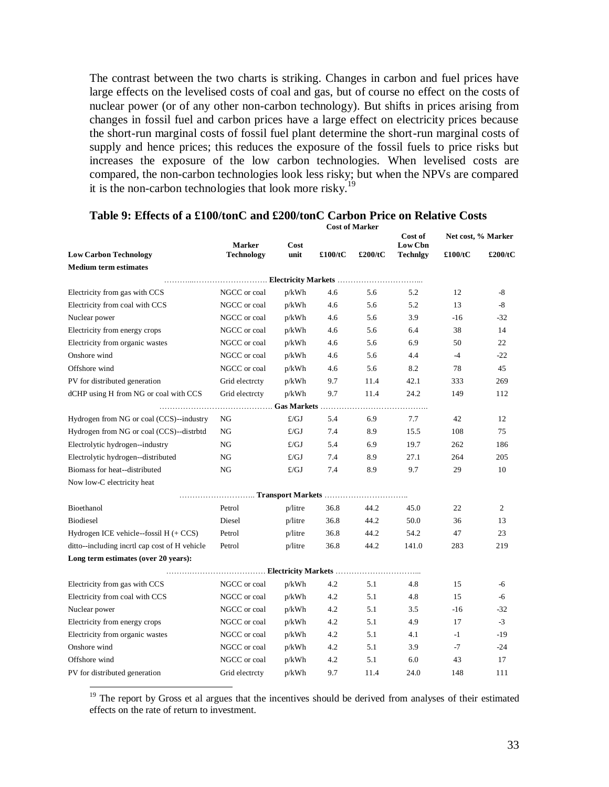The contrast between the two charts is striking. Changes in carbon and fuel prices have large effects on the levelised costs of coal and gas, but of course no effect on the costs of nuclear power (or of any other non-carbon technology). But shifts in prices arising from changes in fossil fuel and carbon prices have a large effect on electricity prices because the short-run marginal costs of fossil fuel plant determine the short-run marginal costs of supply and hence prices; this reduces the exposure of the fossil fuels to price risks but increases the exposure of the low carbon technologies. When levelised costs are compared, the non-carbon technologies look less risky; but when the NPVs are compared it is the non-carbon technologies that look more risky.<sup>19</sup>

|                                               | <b>Marker</b>     | Cost         |                     |         | Cost of<br>Low Cbn | Net cost, % Marker |         |
|-----------------------------------------------|-------------------|--------------|---------------------|---------|--------------------|--------------------|---------|
| <b>Low Carbon Technology</b>                  | <b>Technology</b> | unit         | £100/tC             | £200/tC | <b>Technlgy</b>    | £100/tC            | £200/tC |
| <b>Medium term estimates</b>                  |                   |              |                     |         |                    |                    |         |
|                                               |                   |              |                     |         |                    |                    |         |
| Electricity from gas with CCS                 | NGCC or coal      | p/kWh        | 4.6                 | 5.6     | 5.2                | 12                 | -8      |
| Electricity from coal with CCS                | NGCC or coal      | p/kWh        | 4.6                 | 5.6     | 5.2                | 13                 | $-8$    |
| Nuclear power                                 | NGCC or coal      | p/kWh        | 4.6                 | 5.6     | 3.9                | -16                | $-32$   |
| Electricity from energy crops                 | NGCC or coal      | p/kWh        | 4.6                 | 5.6     | 6.4                | 38                 | 14      |
| Electricity from organic wastes               | NGCC or coal      | p/kWh        | 4.6                 | 5.6     | 6.9                | 50                 | 22      |
| Onshore wind                                  | NGCC or coal      | p/kWh        | 4.6                 | 5.6     | 4.4                | $-4$               | $-22$   |
| Offshore wind                                 | NGCC or coal      | p/kWh        | 4.6                 | 5.6     | 8.2                | 78                 | 45      |
| PV for distributed generation                 | Grid electrcty    | p/kWh        | 9.7                 | 11.4    | 42.1               | 333                | 269     |
| dCHP using H from NG or coal with CCS         | Grid electrcty    | p/kWh        | 9.7                 | 11.4    | 24.2               | 149                | 112     |
|                                               |                   |              | Gas Markets $\dots$ |         |                    |                    |         |
| Hydrogen from NG or coal (CCS)--industry      | NG                | f/GJ         | 5.4                 | 6.9     | 7.7                | 42                 | 12      |
| Hydrogen from NG or coal (CCS)--distrbtd      | NG                | E/GJ         | 7.4                 | 8.9     | 15.5               | 108                | 75      |
| Electrolytic hydrogen--industry               | NG                | $\pounds/GJ$ | 5.4                 | 6.9     | 19.7               | 262                | 186     |
| Electrolytic hydrogen--distributed            | NG                | E/GJ         | 7.4                 | 8.9     | 27.1               | 264                | 205     |
| Biomass for heat--distributed                 | NG                | $\pounds/GJ$ | 7.4                 | 8.9     | 9.7                | 29                 | 10      |
| Now low-C electricity heat                    |                   |              |                     |         |                    |                    |         |
|                                               |                   |              | Transport Markets   |         |                    |                    |         |
| Bioethanol                                    | Petrol            | p/litre      | 36.8                | 44.2    | 45.0               | 22                 | 2       |
| <b>Biodiesel</b>                              | Diesel            | p/litre      | 36.8                | 44.2    | 50.0               | 36                 | 13      |
| Hydrogen ICE vehicle--fossil $H (+ CCS)$      | Petrol            | p/litre      | 36.8                | 44.2    | 54.2               | 47                 | 23      |
| ditto--including incrtl cap cost of H vehicle | Petrol            | p/litre      | 36.8                | 44.2    | 141.0              | 283                | 219     |
| Long term estimates (over 20 years):          |                   |              |                     |         |                    |                    |         |
|                                               |                   |              |                     |         |                    |                    |         |
| Electricity from gas with CCS                 | NGCC or coal      | p/kWh        | 4.2                 | 5.1     | 4.8                | 15                 | -6      |
| Electricity from coal with CCS                | NGCC or coal      | p/kWh        | 4.2                 | 5.1     | 4.8                | 15                 | -6      |
| Nuclear power                                 | NGCC or coal      | p/kWh        | 4.2                 | 5.1     | 3.5                | $-16$              | $-32$   |
| Electricity from energy crops                 | NGCC or coal      | p/kWh        | 4.2                 | 5.1     | 4.9                | 17                 | $-3$    |
| Electricity from organic wastes               | NGCC or coal      | p/kWh        | 4.2                 | 5.1     | 4.1                | $-1$               | $-19$   |
| Onshore wind                                  | NGCC or coal      | p/kWh        | 4.2                 | 5.1     | 3.9                | $-7$               | $-24$   |
| Offshore wind                                 | NGCC or coal      | p/kWh        | 4.2                 | 5.1     | 6.0                | 43                 | 17      |
| PV for distributed generation                 | Grid electrcty    | p/kWh        | 9.7                 | 11.4    | 24.0               | 148                | 111     |
|                                               |                   |              |                     |         |                    |                    |         |

#### **Table 9: Effects of a £100/tonC and £200/tonC Carbon Price on Relative Costs Cost of Marker**

<sup>19</sup> The report by Gross et al argues that the incentives should be derived from analyses of their estimated effects on the rate of return to investment.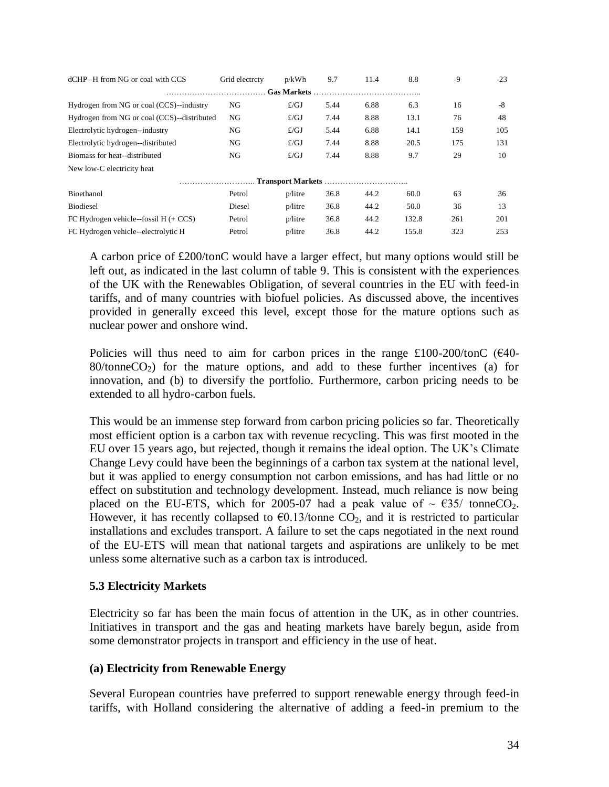| dCHP--H from NG or coal with CCS            | Grid electrcty | p/kWh        | 9.7  | 11.4 | 8.8   | $-9$ | $-23$ |  |  |
|---------------------------------------------|----------------|--------------|------|------|-------|------|-------|--|--|
| <b>Gas Markets</b>                          |                |              |      |      |       |      |       |  |  |
| Hydrogen from NG or coal (CCS)--industry    | NG             | $\pounds/GJ$ | 5.44 | 6.88 | 6.3   | 16   | -8    |  |  |
| Hydrogen from NG or coal (CCS)--distributed | NG             | $\pounds/GJ$ | 7.44 | 8.88 | 13.1  | 76   | 48    |  |  |
| Electrolytic hydrogen--industry             | NG             | $\pounds/GJ$ | 5.44 | 6.88 | 14.1  | 159  | 105   |  |  |
| Electrolytic hydrogen--distributed          | NG             | $\pounds/GJ$ | 7.44 | 8.88 | 20.5  | 175  | 131   |  |  |
| Biomass for heat--distributed               | NG             | $\pounds/GJ$ | 7.44 | 8.88 | 9.7   | 29   | 10    |  |  |
| New low-C electricity heat                  |                |              |      |      |       |      |       |  |  |
|                                             |                |              |      |      |       |      |       |  |  |
| <b>Bioethanol</b>                           | Petrol         | $p/l$ itre   | 36.8 | 44.2 | 60.0  | 63   | 36    |  |  |
| <b>Biodiesel</b>                            | Diesel         | $p/l$ itre   | 36.8 | 44.2 | 50.0  | 36   | 13    |  |  |
| FC Hydrogen vehicle--fossil $H + CCS$       | Petrol         | $p/l$ itre   | 36.8 | 44.2 | 132.8 | 261  | 201   |  |  |
| FC Hydrogen vehicle--electrolytic H         | Petrol         | $p/l$ itre   | 36.8 | 44.2 | 155.8 | 323  | 253   |  |  |

A carbon price of £200/tonC would have a larger effect, but many options would still be left out, as indicated in the last column of table 9. This is consistent with the experiences of the UK with the Renewables Obligation, of several countries in the EU with feed-in tariffs, and of many countries with biofuel policies. As discussed above, the incentives provided in generally exceed this level, except those for the mature options such as nuclear power and onshore wind.

Policies will thus need to aim for carbon prices in the range  $\text{\pounds}100\text{-}200/\text{tonC}$  ( $\text{\pounds}40\text{-}100/\text{cm}$  $80$ /tonne $CO<sub>2</sub>$ ) for the mature options, and add to these further incentives (a) for innovation, and (b) to diversify the portfolio. Furthermore, carbon pricing needs to be extended to all hydro-carbon fuels.

This would be an immense step forward from carbon pricing policies so far. Theoretically most efficient option is a carbon tax with revenue recycling. This was first mooted in the EU over 15 years ago, but rejected, though it remains the ideal option. The UK's Climate Change Levy could have been the beginnings of a carbon tax system at the national level, but it was applied to energy consumption not carbon emissions, and has had little or no effect on substitution and technology development. Instead, much reliance is now being placed on the EU-ETS, which for 2005-07 had a peak value of  $\sim \text{\textsterling}35/$  tonneCO<sub>2</sub>. However, it has recently collapsed to  $\epsilon$ 0.13/tonne CO<sub>2</sub>, and it is restricted to particular installations and excludes transport. A failure to set the caps negotiated in the next round of the EU-ETS will mean that national targets and aspirations are unlikely to be met unless some alternative such as a carbon tax is introduced.

### **5.3 Electricity Markets**

Electricity so far has been the main focus of attention in the UK, as in other countries. Initiatives in transport and the gas and heating markets have barely begun, aside from some demonstrator projects in transport and efficiency in the use of heat.

### **(a) Electricity from Renewable Energy**

Several European countries have preferred to support renewable energy through feed-in tariffs, with Holland considering the alternative of adding a feed-in premium to the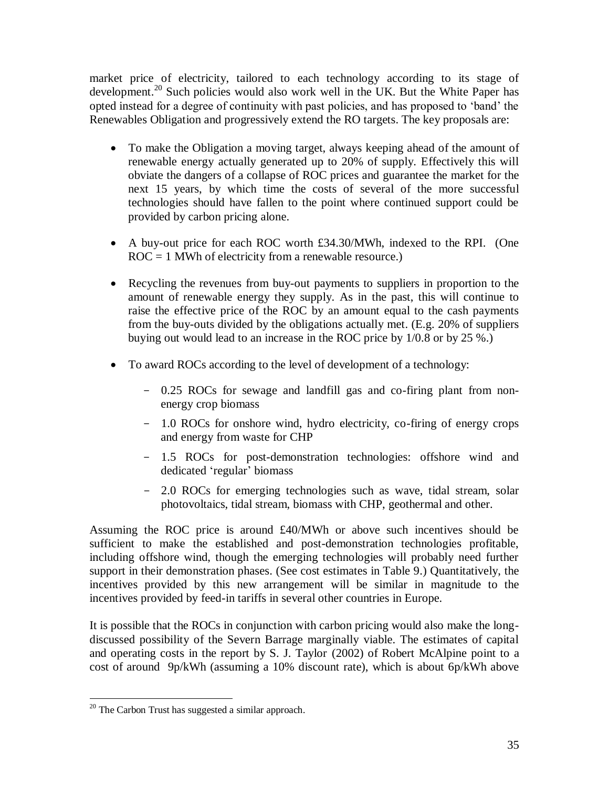market price of electricity, tailored to each technology according to its stage of development.<sup>20</sup> Such policies would also work well in the UK. But the White Paper has opted instead for a degree of continuity with past policies, and has proposed to 'band' the Renewables Obligation and progressively extend the RO targets. The key proposals are:

- To make the Obligation a moving target, always keeping ahead of the amount of renewable energy actually generated up to 20% of supply. Effectively this will obviate the dangers of a collapse of ROC prices and guarantee the market for the next 15 years, by which time the costs of several of the more successful technologies should have fallen to the point where continued support could be provided by carbon pricing alone.
- A buy-out price for each ROC worth £34.30/MWh, indexed to the RPI. (One  $ROC = 1$  MWh of electricity from a renewable resource.)
- Recycling the revenues from buy-out payments to suppliers in proportion to the amount of renewable energy they supply. As in the past, this will continue to raise the effective price of the ROC by an amount equal to the cash payments from the buy-outs divided by the obligations actually met. (E.g. 20% of suppliers buying out would lead to an increase in the ROC price by 1/0.8 or by 25 %.)
- To award ROCs according to the level of development of a technology:
	- 0.25 ROCs for sewage and landfill gas and co-firing plant from nonenergy crop biomass
	- 1.0 ROCs for onshore wind, hydro electricity, co-firing of energy crops and energy from waste for CHP
	- 1.5 ROCs for post-demonstration technologies: offshore wind and dedicated 'regular' biomass
	- 2.0 ROCs for emerging technologies such as wave, tidal stream, solar photovoltaics, tidal stream, biomass with CHP, geothermal and other.

Assuming the ROC price is around £40/MWh or above such incentives should be sufficient to make the established and post-demonstration technologies profitable, including offshore wind, though the emerging technologies will probably need further support in their demonstration phases. (See cost estimates in Table 9.) Quantitatively, the incentives provided by this new arrangement will be similar in magnitude to the incentives provided by feed-in tariffs in several other countries in Europe.

It is possible that the ROCs in conjunction with carbon pricing would also make the longdiscussed possibility of the Severn Barrage marginally viable. The estimates of capital and operating costs in the report by S. J. Taylor (2002) of Robert McAlpine point to a cost of around 9p/kWh (assuming a 10% discount rate), which is about 6p/kWh above

 $\overline{a}$  $20$  The Carbon Trust has suggested a similar approach.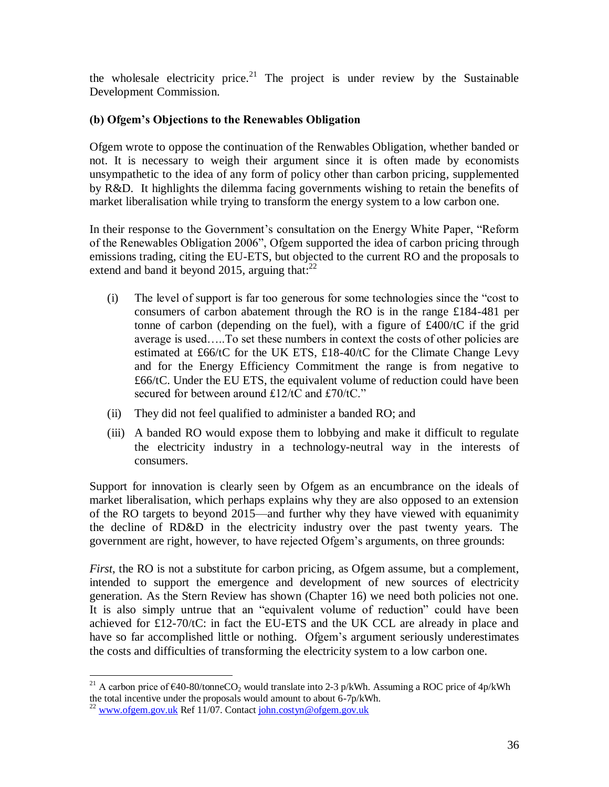the wholesale electricity price.<sup>21</sup> The project is under review by the Sustainable Development Commission.

## **(b) Ofgem's Objections to the Renewables Obligation**

Ofgem wrote to oppose the continuation of the Renwables Obligation, whether banded or not. It is necessary to weigh their argument since it is often made by economists unsympathetic to the idea of any form of policy other than carbon pricing, supplemented by R&D. It highlights the dilemma facing governments wishing to retain the benefits of market liberalisation while trying to transform the energy system to a low carbon one.

In their response to the Government's consultation on the Energy White Paper, "Reform of the Renewables Obligation 2006", Ofgem supported the idea of carbon pricing through emissions trading, citing the EU-ETS, but objected to the current RO and the proposals to extend and band it beyond 2015, arguing that: $^{22}$ 

- $(i)$  The level of support is far too generous for some technologies since the "cost to" consumers of carbon abatement through the RO is in the range £184-481 per tonne of carbon (depending on the fuel), with a figure of £400/tC if the grid average is used…..To set these numbers in context the costs of other policies are estimated at £66/tC for the UK ETS, £18-40/tC for the Climate Change Levy and for the Energy Efficiency Commitment the range is from negative to  $£66/tC$ . Under the EU ETS, the equivalent volume of reduction could have been secured for between around £12/tC and £70/tC."
- (ii) They did not feel qualified to administer a banded RO; and
- (iii) A banded RO would expose them to lobbying and make it difficult to regulate the electricity industry in a technology-neutral way in the interests of consumers.

Support for innovation is clearly seen by Ofgem as an encumbrance on the ideals of market liberalisation, which perhaps explains why they are also opposed to an extension of the RO targets to beyond 2015—and further why they have viewed with equanimity the decline of RD&D in the electricity industry over the past twenty years. The government are right, however, to have rejected Ofgem's arguments, on three grounds:

*First*, the RO is not a substitute for carbon pricing, as Ofgem assume, but a complement, intended to support the emergence and development of new sources of electricity generation. As the Stern Review has shown (Chapter 16) we need both policies not one. It is also simply untrue that an "equivalent volume of reduction" could have been achieved for £12-70/tC: in fact the EU-ETS and the UK CCL are already in place and have so far accomplished little or nothing. Ofgem's argument seriously underestimates the costs and difficulties of transforming the electricity system to a low carbon one.

 $\overline{a}$ <sup>21</sup> A carbon price of  $\epsilon$ 40-80/tonneCO<sub>2</sub> would translate into 2-3 p/kWh. Assuming a ROC price of 4p/kWh the total incentive under the proposals would amount to about 6-7p/kWh.

 $^{22}$  [www.ofgem.gov.uk](http://www.ofgem.gov.uk/) Ref 11/07. Contac[t john.costyn@ofgem.gov.uk](mailto:john.costyn@ofgem.gov.uk)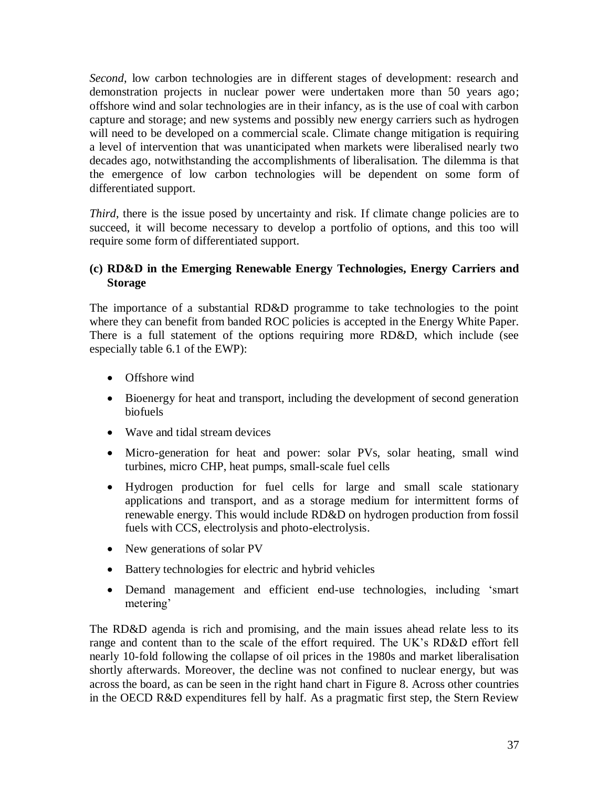*Second*, low carbon technologies are in different stages of development: research and demonstration projects in nuclear power were undertaken more than 50 years ago; offshore wind and solar technologies are in their infancy, as is the use of coal with carbon capture and storage; and new systems and possibly new energy carriers such as hydrogen will need to be developed on a commercial scale. Climate change mitigation is requiring a level of intervention that was unanticipated when markets were liberalised nearly two decades ago, notwithstanding the accomplishments of liberalisation. The dilemma is that the emergence of low carbon technologies will be dependent on some form of differentiated support.

*Third*, there is the issue posed by uncertainty and risk. If climate change policies are to succeed, it will become necessary to develop a portfolio of options, and this too will require some form of differentiated support.

### **(c) RD&D in the Emerging Renewable Energy Technologies, Energy Carriers and Storage**

The importance of a substantial RD&D programme to take technologies to the point where they can benefit from banded ROC policies is accepted in the Energy White Paper. There is a full statement of the options requiring more RD&D, which include (see especially table 6.1 of the EWP):

- Offshore wind
- Bioenergy for heat and transport, including the development of second generation biofuels
- Wave and tidal stream devices
- Micro-generation for heat and power: solar PVs, solar heating, small wind turbines, micro CHP, heat pumps, small-scale fuel cells
- Hydrogen production for fuel cells for large and small scale stationary applications and transport, and as a storage medium for intermittent forms of renewable energy. This would include RD&D on hydrogen production from fossil fuels with CCS, electrolysis and photo-electrolysis.
- New generations of solar PV
- Battery technologies for electric and hybrid vehicles
- Demand management and efficient end-use technologies, including 'smart metering'

The RD&D agenda is rich and promising, and the main issues ahead relate less to its range and content than to the scale of the effort required. The UK's RD&D effort fell nearly 10-fold following the collapse of oil prices in the 1980s and market liberalisation shortly afterwards. Moreover, the decline was not confined to nuclear energy, but was across the board, as can be seen in the right hand chart in Figure 8. Across other countries in the OECD R&D expenditures fell by half. As a pragmatic first step, the Stern Review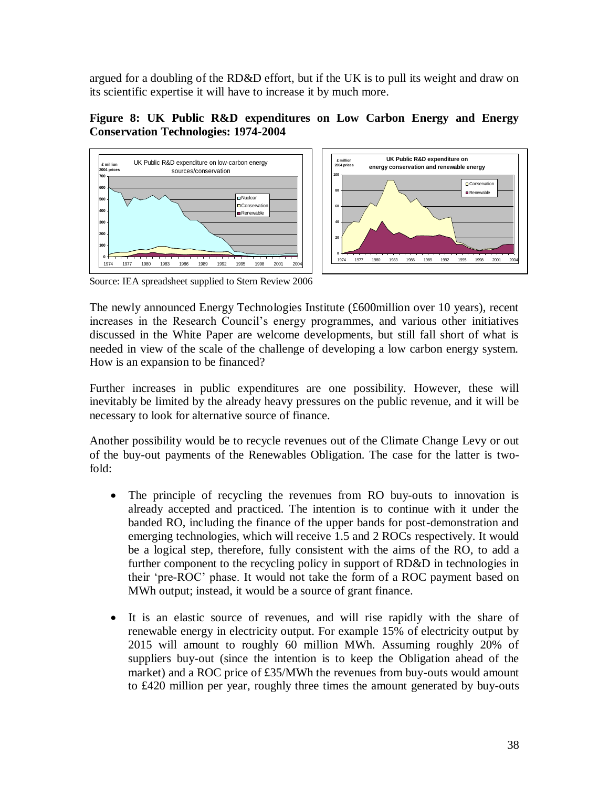argued for a doubling of the RD&D effort, but if the UK is to pull its weight and draw on its scientific expertise it will have to increase it by much more.

### **Figure 8: UK Public R&D expenditures on Low Carbon Energy and Energy Conservation Technologies: 1974-2004**





Source: IEA spreadsheet supplied to Stern Review 2006

The newly announced Energy Technologies Institute (£600million over 10 years), recent increases in the Research Council's energy programmes, and various other initiatives discussed in the White Paper are welcome developments, but still fall short of what is needed in view of the scale of the challenge of developing a low carbon energy system. How is an expansion to be financed?

Further increases in public expenditures are one possibility. However, these will inevitably be limited by the already heavy pressures on the public revenue, and it will be necessary to look for alternative source of finance.

Another possibility would be to recycle revenues out of the Climate Change Levy or out of the buy-out payments of the Renewables Obligation. The case for the latter is twofold:

- The principle of recycling the revenues from RO buy-outs to innovation is already accepted and practiced. The intention is to continue with it under the banded RO, including the finance of the upper bands for post-demonstration and emerging technologies, which will receive 1.5 and 2 ROCs respectively. It would be a logical step, therefore, fully consistent with the aims of the RO, to add a further component to the recycling policy in support of RD&D in technologies in their 'pre-ROC' phase. It would not take the form of a ROC payment based on MWh output; instead, it would be a source of grant finance.
- It is an elastic source of revenues, and will rise rapidly with the share of renewable energy in electricity output. For example 15% of electricity output by 2015 will amount to roughly 60 million MWh. Assuming roughly 20% of suppliers buy-out (since the intention is to keep the Obligation ahead of the market) and a ROC price of £35/MWh the revenues from buy-outs would amount to £420 million per year, roughly three times the amount generated by buy-outs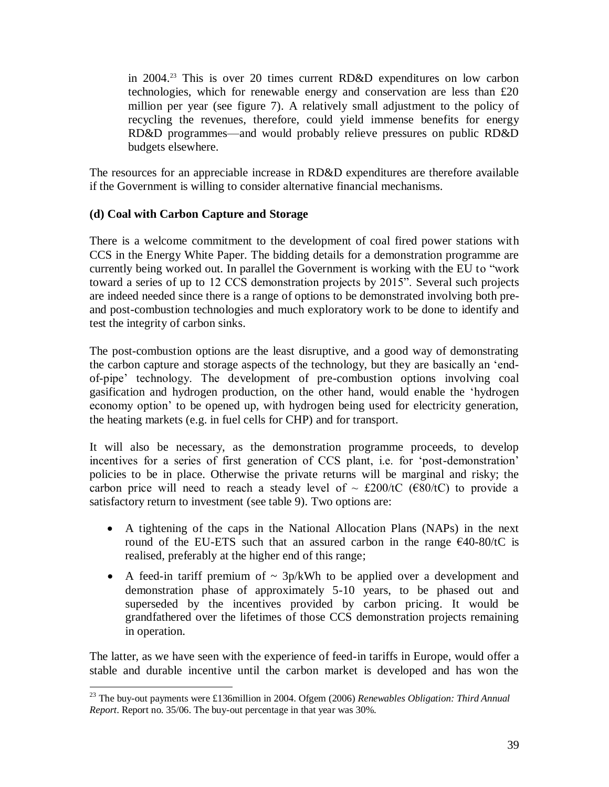in 2004. <sup>23</sup> This is over 20 times current RD&D expenditures on low carbon technologies, which for renewable energy and conservation are less than £20 million per year (see figure 7). A relatively small adjustment to the policy of recycling the revenues, therefore, could yield immense benefits for energy RD&D programmes—and would probably relieve pressures on public RD&D budgets elsewhere.

The resources for an appreciable increase in RD&D expenditures are therefore available if the Government is willing to consider alternative financial mechanisms.

### **(d) Coal with Carbon Capture and Storage**

There is a welcome commitment to the development of coal fired power stations with CCS in the Energy White Paper. The bidding details for a demonstration programme are currently being worked out. In parallel the Government is working with the EU to "work" toward a series of up to 12 CCS demonstration projects by 2015". Several such projects are indeed needed since there is a range of options to be demonstrated involving both preand post-combustion technologies and much exploratory work to be done to identify and test the integrity of carbon sinks.

The post-combustion options are the least disruptive, and a good way of demonstrating the carbon capture and storage aspects of the technology, but they are basically an 'endof-pipe' technology. The development of pre-combustion options involving coal gasification and hydrogen production, on the other hand, would enable the ‗hydrogen economy option' to be opened up, with hydrogen being used for electricity generation, the heating markets (e.g. in fuel cells for CHP) and for transport.

It will also be necessary, as the demonstration programme proceeds, to develop incentives for a series of first generation of CCS plant, i.e. for 'post-demonstration' policies to be in place. Otherwise the private returns will be marginal and risky; the carbon price will need to reach a steady level of  $\sim$  £200/tC (€80/tC) to provide a satisfactory return to investment (see table 9). Two options are:

- A tightening of the caps in the National Allocation Plans (NAPs) in the next round of the EU-ETS such that an assured carbon in the range  $\epsilon$ 40-80/tC is realised, preferably at the higher end of this range;
- A feed-in tariff premium of  $\sim 3p/kWh$  to be applied over a development and demonstration phase of approximately 5-10 years, to be phased out and superseded by the incentives provided by carbon pricing. It would be grandfathered over the lifetimes of those CCS demonstration projects remaining in operation.

The latter, as we have seen with the experience of feed-in tariffs in Europe, would offer a stable and durable incentive until the carbon market is developed and has won the

 $\overline{a}$ <sup>23</sup> The buy-out payments were £136million in 2004. Ofgem (2006) *Renewables Obligation: Third Annual Report*. Report no. 35/06. The buy-out percentage in that year was 30%.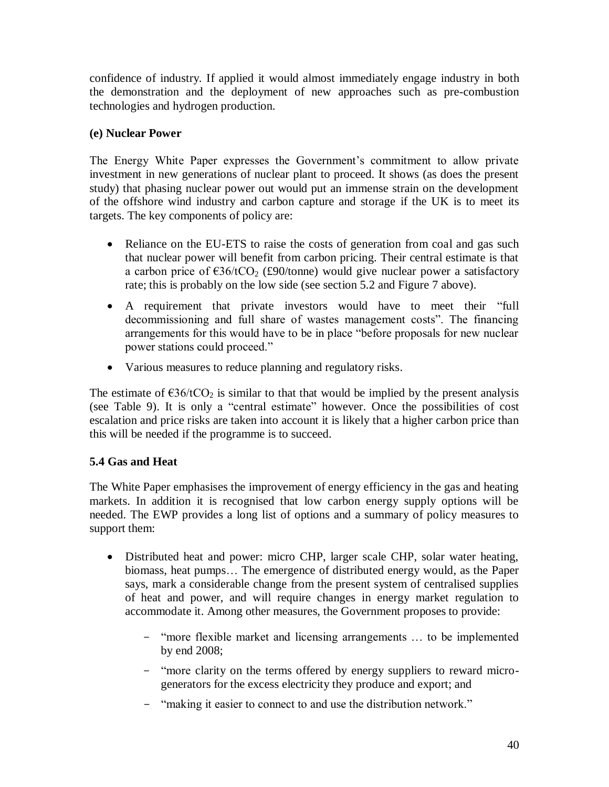confidence of industry. If applied it would almost immediately engage industry in both the demonstration and the deployment of new approaches such as pre-combustion technologies and hydrogen production.

## **(e) Nuclear Power**

The Energy White Paper expresses the Government's commitment to allow private investment in new generations of nuclear plant to proceed. It shows (as does the present study) that phasing nuclear power out would put an immense strain on the development of the offshore wind industry and carbon capture and storage if the UK is to meet its targets. The key components of policy are:

- Reliance on the EU-ETS to raise the costs of generation from coal and gas such that nuclear power will benefit from carbon pricing. Their central estimate is that a carbon price of  $\epsilon$ 36/tCO<sub>2</sub> (£90/tonne) would give nuclear power a satisfactory rate; this is probably on the low side (see section 5.2 and Figure 7 above).
- A requirement that private investors would have to meet their "full decommissioning and full share of wastes management costs". The financing arrangements for this would have to be in place "before proposals for new nuclear power stations could proceed."
- Various measures to reduce planning and regulatory risks.

The estimate of  $\epsilon$ 36/tCO<sub>2</sub> is similar to that that would be implied by the present analysis (see Table 9). It is only a "central estimate" however. Once the possibilities of cost escalation and price risks are taken into account it is likely that a higher carbon price than this will be needed if the programme is to succeed.

### **5.4 Gas and Heat**

The White Paper emphasises the improvement of energy efficiency in the gas and heating markets. In addition it is recognised that low carbon energy supply options will be needed. The EWP provides a long list of options and a summary of policy measures to support them:

- Distributed heat and power: micro CHP, larger scale CHP, solar water heating, biomass, heat pumps… The emergence of distributed energy would, as the Paper says, mark a considerable change from the present system of centralised supplies of heat and power, and will require changes in energy market regulation to accommodate it. Among other measures, the Government proposes to provide:
	- ―more flexible market and licensing arrangements … to be implemented by end 2008;
	- "more clarity on the terms offered by energy suppliers to reward microgenerators for the excess electricity they produce and export; and
	- "making it easier to connect to and use the distribution network."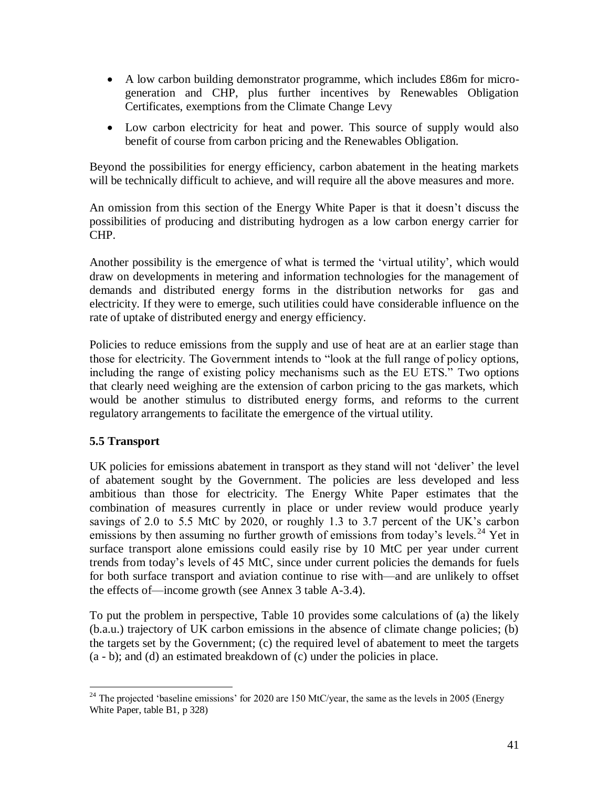- A low carbon building demonstrator programme, which includes £86m for microgeneration and CHP, plus further incentives by Renewables Obligation Certificates, exemptions from the Climate Change Levy
- Low carbon electricity for heat and power. This source of supply would also benefit of course from carbon pricing and the Renewables Obligation.

Beyond the possibilities for energy efficiency, carbon abatement in the heating markets will be technically difficult to achieve, and will require all the above measures and more.

An omission from this section of the Energy White Paper is that it doesn't discuss the possibilities of producing and distributing hydrogen as a low carbon energy carrier for CHP.

Another possibility is the emergence of what is termed the 'virtual utility', which would draw on developments in metering and information technologies for the management of demands and distributed energy forms in the distribution networks for gas and electricity. If they were to emerge, such utilities could have considerable influence on the rate of uptake of distributed energy and energy efficiency.

Policies to reduce emissions from the supply and use of heat are at an earlier stage than those for electricity. The Government intends to "look at the full range of policy options, including the range of existing policy mechanisms such as the EU ETS." Two options that clearly need weighing are the extension of carbon pricing to the gas markets, which would be another stimulus to distributed energy forms, and reforms to the current regulatory arrangements to facilitate the emergence of the virtual utility.

### **5.5 Transport**

UK policies for emissions abatement in transport as they stand will not ‗deliver' the level of abatement sought by the Government. The policies are less developed and less ambitious than those for electricity. The Energy White Paper estimates that the combination of measures currently in place or under review would produce yearly savings of 2.0 to 5.5 MtC by 2020, or roughly 1.3 to 3.7 percent of the UK's carbon emissions by then assuming no further growth of emissions from today's levels.<sup>24</sup> Yet in surface transport alone emissions could easily rise by 10 MtC per year under current trends from today's levels of 45 MtC, since under current policies the demands for fuels for both surface transport and aviation continue to rise with—and are unlikely to offset the effects of—income growth (see Annex 3 table A-3.4).

To put the problem in perspective, Table 10 provides some calculations of (a) the likely (b.a.u.) trajectory of UK carbon emissions in the absence of climate change policies; (b) the targets set by the Government; (c) the required level of abatement to meet the targets (a - b); and (d) an estimated breakdown of (c) under the policies in place.

 $\overline{a}$ <sup>24</sup> The projected 'baseline emissions' for 2020 are 150 MtC/year, the same as the levels in 2005 (Energy White Paper, table B1, p 328)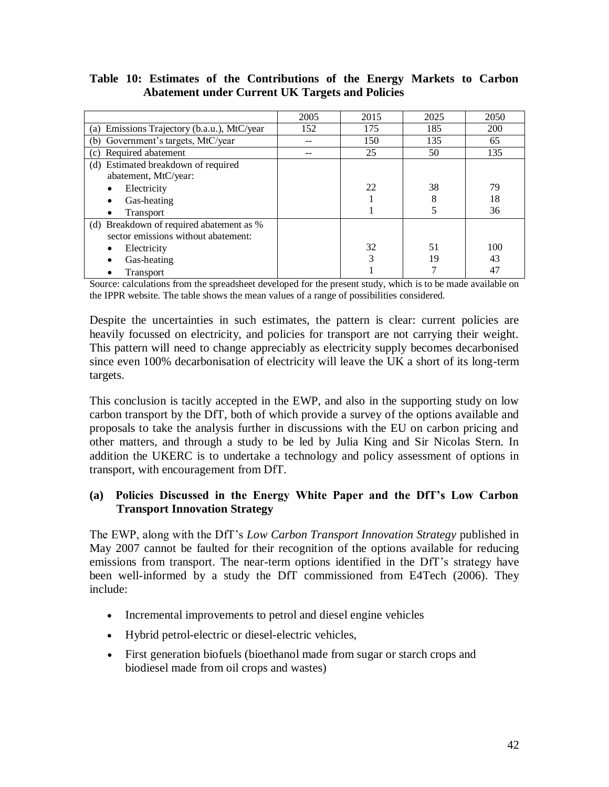|                                                             | 2005 | 2015 | 2025 | 2050 |
|-------------------------------------------------------------|------|------|------|------|
| Emissions Trajectory (b.a.u.), MtC/year<br>(a)              | 152  | 175  | 185  | 200  |
| Government's targets, MtC/year<br>(b)                       |      | 150  | 135  | 65   |
| Required abatement<br>(c)                                   |      | 25   | 50   | 135  |
| (d) Estimated breakdown of required<br>abatement, MtC/year: |      |      |      |      |
| Electricity                                                 |      | 22   | 38   | 79   |
|                                                             |      |      | 8    | 18   |
| Gas-heating                                                 |      |      |      |      |
| Transport                                                   |      |      |      | 36   |
| (d) Breakdown of required abatement as %                    |      |      |      |      |
| sector emissions without abatement:                         |      |      |      |      |
| Electricity                                                 |      | 32   | 51   | 100  |
| Gas-heating                                                 |      | 3    | 19   | 43   |
| Transport                                                   |      |      |      | 47   |

### **Table 10: Estimates of the Contributions of the Energy Markets to Carbon Abatement under Current UK Targets and Policies**

Source: calculations from the spreadsheet developed for the present study, which is to be made available on the IPPR website. The table shows the mean values of a range of possibilities considered.

Despite the uncertainties in such estimates, the pattern is clear: current policies are heavily focussed on electricity, and policies for transport are not carrying their weight. This pattern will need to change appreciably as electricity supply becomes decarbonised since even 100% decarbonisation of electricity will leave the UK a short of its long-term targets.

This conclusion is tacitly accepted in the EWP, and also in the supporting study on low carbon transport by the DfT, both of which provide a survey of the options available and proposals to take the analysis further in discussions with the EU on carbon pricing and other matters, and through a study to be led by Julia King and Sir Nicolas Stern. In addition the UKERC is to undertake a technology and policy assessment of options in transport, with encouragement from DfT.

### **(a) Policies Discussed in the Energy White Paper and the DfT's Low Carbon Transport Innovation Strategy**

The EWP, along with the DfT's *Low Carbon Transport Innovation Strategy* published in May 2007 cannot be faulted for their recognition of the options available for reducing emissions from transport. The near-term options identified in the DfT's strategy have been well-informed by a study the DfT commissioned from E4Tech (2006). They include:

- Incremental improvements to petrol and diesel engine vehicles
- Hybrid petrol-electric or diesel-electric vehicles,
- First generation biofuels (bioethanol made from sugar or starch crops and biodiesel made from oil crops and wastes)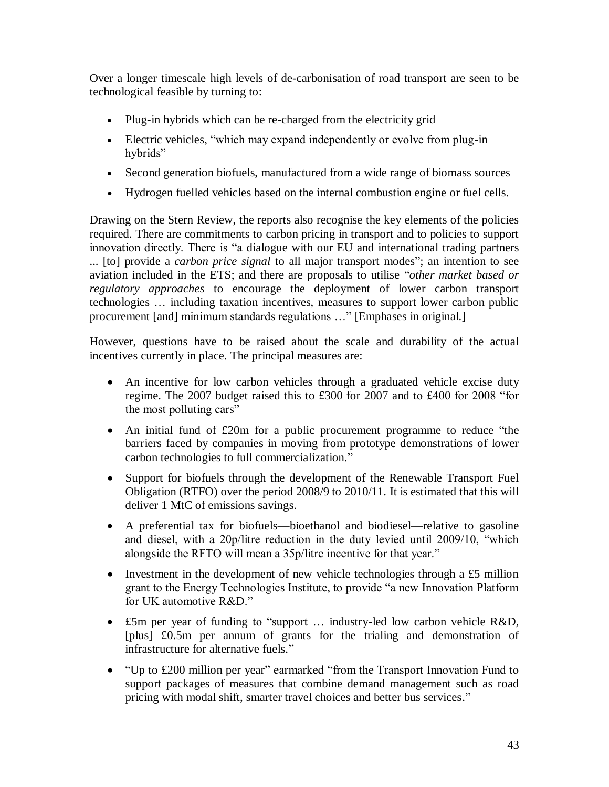Over a longer timescale high levels of de-carbonisation of road transport are seen to be technological feasible by turning to:

- Plug-in hybrids which can be re-charged from the electricity grid
- Electric vehicles, "which may expand independently or evolve from plug-in hybrids"
- Second generation biofuels, manufactured from a wide range of biomass sources
- Hydrogen fuelled vehicles based on the internal combustion engine or fuel cells.

Drawing on the Stern Review, the reports also recognise the key elements of the policies required. There are commitments to carbon pricing in transport and to policies to support innovation directly. There is "a dialogue with our EU and international trading partners ... [to] provide a *carbon price signal* to all major transport modes"; an intention to see aviation included in the ETS; and there are proposals to utilise "*other market based or regulatory approaches* to encourage the deployment of lower carbon transport technologies … including taxation incentives, measures to support lower carbon public procurement [and] minimum standards regulations ..." [Emphases in original.]

However, questions have to be raised about the scale and durability of the actual incentives currently in place. The principal measures are:

- An incentive for low carbon vehicles through a graduated vehicle excise duty regime. The 2007 budget raised this to £300 for 2007 and to £400 for 2008 "for the most polluting cars"
- An initial fund of  $£20m$  for a public procurement programme to reduce "the barriers faced by companies in moving from prototype demonstrations of lower carbon technologies to full commercialization."
- Support for biofuels through the development of the Renewable Transport Fuel Obligation (RTFO) over the period 2008/9 to 2010/11. It is estimated that this will deliver 1 MtC of emissions savings.
- A preferential tax for biofuels—bioethanol and biodiesel—relative to gasoline and diesel, with a  $20p/l$  itre reduction in the duty levied until  $2009/10$ , "which alongside the RFTO will mean a 35p/litre incentive for that year."
- Investment in the development of new vehicle technologies through a £5 million grant to the Energy Technologies Institute, to provide "a new Innovation Platform for UK automotive R&D."
- £5m per year of funding to "support ... industry-led low carbon vehicle R&D, [plus] £0.5m per annum of grants for the trialing and demonstration of infrastructure for alternative fuels."
- "Up to £200 million per year" earmarked "from the Transport Innovation Fund to support packages of measures that combine demand management such as road pricing with modal shift, smarter travel choices and better bus services."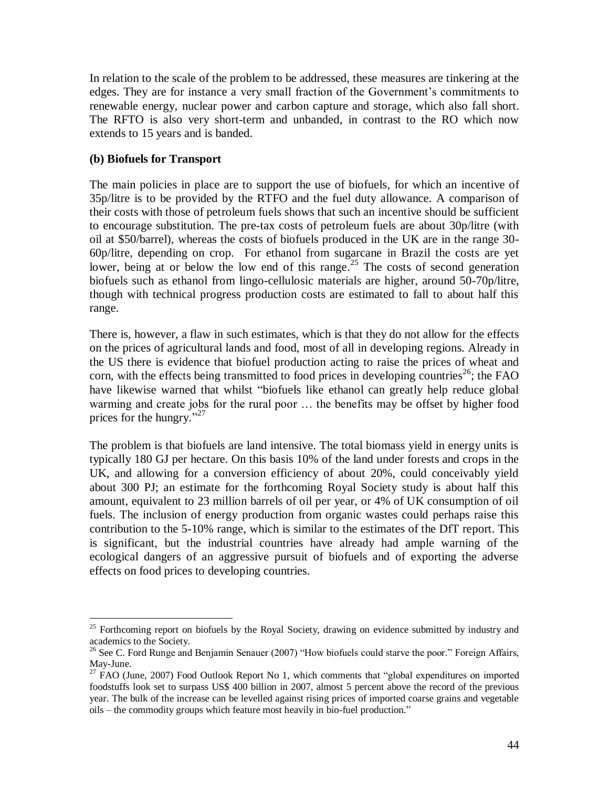In relation to the scale of the problem to be addressed, these measures are tinkering at the edges. They are for instance a very small fraction of the Government's commitments to renewable energy, nuclear power and carbon capture and storage, which also fall short. The RFTO is also very short-term and unbanded, in contrast to the RO which now extends to 15 years and is banded.

### **(b) Biofuels for Transport**

 $\overline{a}$ 

The main policies in place are to support the use of biofuels, for which an incentive of 35p/litre is to be provided by the RTFO and the fuel duty allowance. A comparison of their costs with those of petroleum fuels shows that such an incentive should be sufficient to encourage substitution. The pre-tax costs of petroleum fuels are about 30p/litre (with oil at \$50/barrel), whereas the costs of biofuels produced in the UK are in the range 30- 60p/litre, depending on crop. For ethanol from sugarcane in Brazil the costs are yet lower, being at or below the low end of this range.<sup>25</sup> The costs of second generation biofuels such as ethanol from lingo-cellulosic materials are higher, around 50-70p/litre, though with technical progress production costs are estimated to fall to about half this range.

There is, however, a flaw in such estimates, which is that they do not allow for the effects on the prices of agricultural lands and food, most of all in developing regions. Already in the US there is evidence that biofuel production acting to raise the prices of wheat and corn, with the effects being transmitted to food prices in developing countries<sup>26</sup>; the FAO have likewise warned that whilst "biofuels like ethanol can greatly help reduce global warming and create jobs for the rural poor … the benefits may be offset by higher food prices for the hungry." $27$ 

The problem is that biofuels are land intensive. The total biomass yield in energy units is typically 180 GJ per hectare. On this basis 10% of the land under forests and crops in the UK, and allowing for a conversion efficiency of about 20%, could conceivably yield about 300 PJ; an estimate for the forthcoming Royal Society study is about half this amount, equivalent to 23 million barrels of oil per year, or 4% of UK consumption of oil fuels. The inclusion of energy production from organic wastes could perhaps raise this contribution to the 5-10% range, which is similar to the estimates of the DfT report. This is significant, but the industrial countries have already had ample warning of the ecological dangers of an aggressive pursuit of biofuels and of exporting the adverse effects on food prices to developing countries.

<sup>&</sup>lt;sup>25</sup> Forthcoming report on biofuels by the Royal Society, drawing on evidence submitted by industry and academics to the Society.

<sup>&</sup>lt;sup>26</sup> See C. Ford Runge and Benjamin Senauer (2007) "How biofuels could starve the poor." Foreign Affairs, May-June.

<sup>&</sup>lt;sup>27</sup> FAO (June, 2007) Food Outlook Report No 1, which comments that "global expenditures on imported foodstuffs look set to surpass US\$ 400 billion in 2007, almost 5 percent above the record of the previous year. The bulk of the increase can be levelled against rising prices of imported coarse grains and vegetable oils – the commodity groups which feature most heavily in bio-fuel production."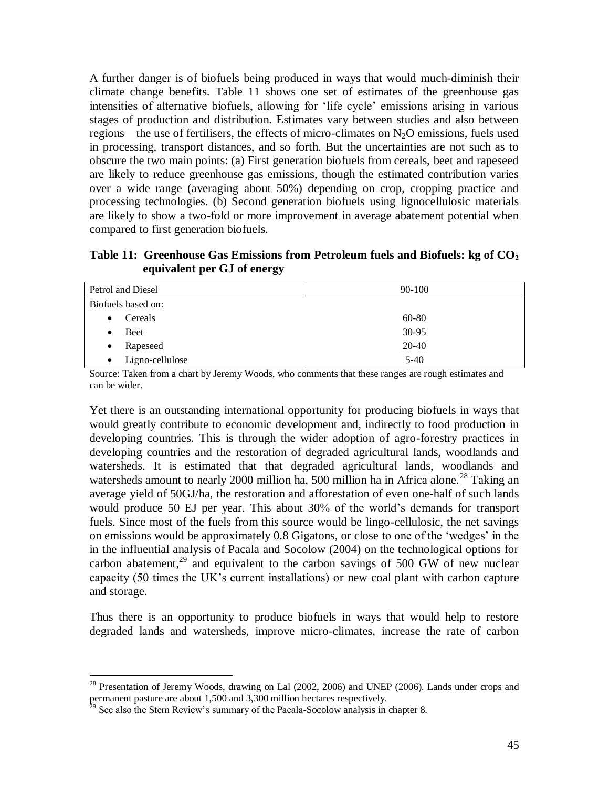A further danger is of biofuels being produced in ways that would much-diminish their climate change benefits. Table 11 shows one set of estimates of the greenhouse gas intensities of alternative biofuels, allowing for 'life cycle' emissions arising in various stages of production and distribution. Estimates vary between studies and also between regions—the use of fertilisers, the effects of micro-climates on  $N_2O$  emissions, fuels used in processing, transport distances, and so forth. But the uncertainties are not such as to obscure the two main points: (a) First generation biofuels from cereals, beet and rapeseed are likely to reduce greenhouse gas emissions, though the estimated contribution varies over a wide range (averaging about 50%) depending on crop, cropping practice and processing technologies. (b) Second generation biofuels using lignocellulosic materials are likely to show a two-fold or more improvement in average abatement potential when compared to first generation biofuels.

**Table 11: Greenhouse Gas Emissions from Petroleum fuels and Biofuels: kg of CO<sup>2</sup> equivalent per GJ of energy**

| Petrol and Diesel            | 90-100 |
|------------------------------|--------|
| Biofuels based on:           |        |
| Cereals<br>$\bullet$         | 60-80  |
| Beet                         | 30-95  |
| Rapeseed<br>٠                | 20-40  |
| Ligno-cellulose<br>$\bullet$ | $5-40$ |

Source: Taken from a chart by Jeremy Woods, who comments that these ranges are rough estimates and can be wider.

Yet there is an outstanding international opportunity for producing biofuels in ways that would greatly contribute to economic development and, indirectly to food production in developing countries. This is through the wider adoption of agro-forestry practices in developing countries and the restoration of degraded agricultural lands, woodlands and watersheds. It is estimated that that degraded agricultural lands, woodlands and watersheds amount to nearly 2000 million ha, 500 million ha in Africa alone.<sup>28</sup> Taking an average yield of 50GJ/ha, the restoration and afforestation of even one-half of such lands would produce 50 EJ per year. This about 30% of the world's demands for transport fuels. Since most of the fuels from this source would be lingo-cellulosic, the net savings on emissions would be approximately 0.8 Gigatons, or close to one of the 'wedges' in the in the influential analysis of Pacala and Socolow (2004) on the technological options for carbon abatement,<sup>29</sup> and equivalent to the carbon savings of 500 GW of new nuclear capacity (50 times the UK's current installations) or new coal plant with carbon capture and storage.

Thus there is an opportunity to produce biofuels in ways that would help to restore degraded lands and watersheds, improve micro-climates, increase the rate of carbon

 $\overline{a}$ 

 $^{28}$  Presentation of Jeremy Woods, drawing on Lal (2002, 2006) and UNEP (2006). Lands under crops and permanent pasture are about 1,500 and 3,300 million hectares respectively.

 $2<sup>29</sup>$  See also the Stern Review's summary of the Pacala-Socolow analysis in chapter 8.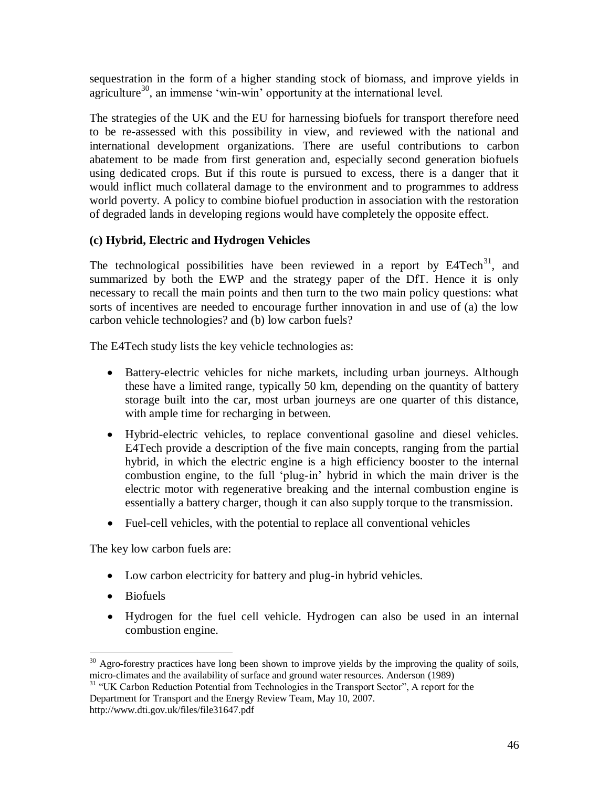sequestration in the form of a higher standing stock of biomass, and improve yields in agriculture<sup>30</sup>, an immense 'win-win' opportunity at the international level.

The strategies of the UK and the EU for harnessing biofuels for transport therefore need to be re-assessed with this possibility in view, and reviewed with the national and international development organizations. There are useful contributions to carbon abatement to be made from first generation and, especially second generation biofuels using dedicated crops. But if this route is pursued to excess, there is a danger that it would inflict much collateral damage to the environment and to programmes to address world poverty. A policy to combine biofuel production in association with the restoration of degraded lands in developing regions would have completely the opposite effect.

### **(c) Hybrid, Electric and Hydrogen Vehicles**

The technological possibilities have been reviewed in a report by  $E4Tech<sup>31</sup>$ , and summarized by both the EWP and the strategy paper of the DfT. Hence it is only necessary to recall the main points and then turn to the two main policy questions: what sorts of incentives are needed to encourage further innovation in and use of (a) the low carbon vehicle technologies? and (b) low carbon fuels?

The E4Tech study lists the key vehicle technologies as:

- Battery-electric vehicles for niche markets, including urban journeys. Although these have a limited range, typically 50 km, depending on the quantity of battery storage built into the car, most urban journeys are one quarter of this distance, with ample time for recharging in between.
- Hybrid-electric vehicles, to replace conventional gasoline and diesel vehicles. E4Tech provide a description of the five main concepts, ranging from the partial hybrid, in which the electric engine is a high efficiency booster to the internal combustion engine, to the full 'plug-in' hybrid in which the main driver is the electric motor with regenerative breaking and the internal combustion engine is essentially a battery charger, though it can also supply torque to the transmission.
- Fuel-cell vehicles, with the potential to replace all conventional vehicles

The key low carbon fuels are:

- Low carbon electricity for battery and plug-in hybrid vehicles.
- Biofuels

 $\overline{a}$ 

 Hydrogen for the fuel cell vehicle. Hydrogen can also be used in an internal combustion engine.

 $30$  Agro-forestry practices have long been shown to improve yields by the improving the quality of soils, micro-climates and the availability of surface and ground water resources. Anderson (1989)

<sup>&</sup>lt;sup>31</sup> "UK Carbon Reduction Potential from Technologies in the Transport Sector", A report for the Department for Transport and the Energy Review Team, May 10, 2007. http://www.dti.gov.uk/files/file31647.pdf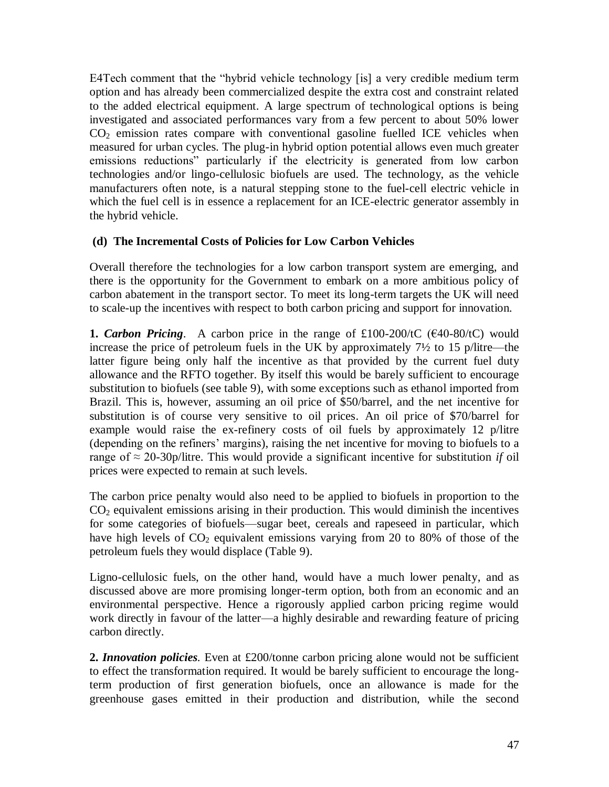E4Tech comment that the "hybrid vehicle technology [is] a very credible medium term option and has already been commercialized despite the extra cost and constraint related to the added electrical equipment. A large spectrum of technological options is being investigated and associated performances vary from a few percent to about 50% lower  $CO<sub>2</sub>$  emission rates compare with conventional gasoline fuelled ICE vehicles when measured for urban cycles. The plug-in hybrid option potential allows even much greater emissions reductions" particularly if the electricity is generated from low carbon technologies and/or lingo-cellulosic biofuels are used. The technology, as the vehicle manufacturers often note, is a natural stepping stone to the fuel-cell electric vehicle in which the fuel cell is in essence a replacement for an ICE-electric generator assembly in the hybrid vehicle.

### **(d) The Incremental Costs of Policies for Low Carbon Vehicles**

Overall therefore the technologies for a low carbon transport system are emerging, and there is the opportunity for the Government to embark on a more ambitious policy of carbon abatement in the transport sector. To meet its long-term targets the UK will need to scale-up the incentives with respect to both carbon pricing and support for innovation.

**1.** *Carbon Pricing*. A carbon price in the range of £100-200/tC ( $\epsilon$ 40-80/tC) would increase the price of petroleum fuels in the UK by approximately 7½ to 15 p/litre—the latter figure being only half the incentive as that provided by the current fuel duty allowance and the RFTO together. By itself this would be barely sufficient to encourage substitution to biofuels (see table 9), with some exceptions such as ethanol imported from Brazil. This is, however, assuming an oil price of \$50/barrel, and the net incentive for substitution is of course very sensitive to oil prices. An oil price of \$70/barrel for example would raise the ex-refinery costs of oil fuels by approximately 12 p/litre (depending on the refiners' margins), raising the net incentive for moving to biofuels to a range of  $\approx$  20-30p/litre. This would provide a significant incentive for substitution *if* oil prices were expected to remain at such levels.

The carbon price penalty would also need to be applied to biofuels in proportion to the  $CO<sub>2</sub>$  equivalent emissions arising in their production. This would diminish the incentives for some categories of biofuels—sugar beet, cereals and rapeseed in particular, which have high levels of  $CO<sub>2</sub>$  equivalent emissions varying from 20 to 80% of those of the petroleum fuels they would displace (Table 9).

Ligno-cellulosic fuels, on the other hand, would have a much lower penalty, and as discussed above are more promising longer-term option, both from an economic and an environmental perspective. Hence a rigorously applied carbon pricing regime would work directly in favour of the latter—a highly desirable and rewarding feature of pricing carbon directly.

**2.** *Innovation policies.* Even at £200/tonne carbon pricing alone would not be sufficient to effect the transformation required. It would be barely sufficient to encourage the longterm production of first generation biofuels, once an allowance is made for the greenhouse gases emitted in their production and distribution, while the second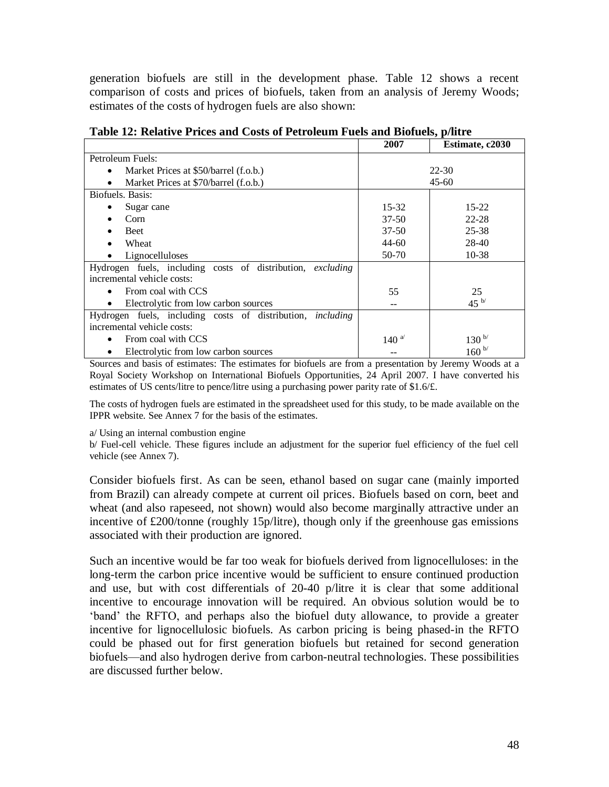generation biofuels are still in the development phase. Table 12 shows a recent comparison of costs and prices of biofuels, taken from an analysis of Jeremy Woods; estimates of the costs of hydrogen fuels are also shown:

|                                                                   | 2007            | Estimate, c2030 |
|-------------------------------------------------------------------|-----------------|-----------------|
| Petroleum Fuels:                                                  |                 |                 |
| Market Prices at \$50/barrel (f.o.b.)<br>$\bullet$                |                 | 22-30           |
| Market Prices at \$70/barrel (f.o.b.)<br>$\bullet$                |                 | $45 - 60$       |
| Biofuels. Basis:                                                  |                 |                 |
| Sugar cane                                                        | $15 - 32$       | $15 - 22$       |
| Corn                                                              | $37 - 50$       | 22-28           |
| <b>Beet</b>                                                       | $37 - 50$       | 25-38           |
| Wheat                                                             | $44 - 60$       | $28-40$         |
| Lignocelluloses<br>٠                                              | 50-70           | $10-38$         |
| Hydrogen fuels, including costs of distribution, excluding        |                 |                 |
| incremental vehicle costs:                                        |                 |                 |
| From coal with CCS                                                | 55              | 25              |
| Electrolytic from low carbon sources<br>٠                         |                 | 45 $^{b/}$      |
| Hydrogen fuels, including costs of distribution, <i>including</i> |                 |                 |
| incremental vehicle costs:                                        |                 |                 |
| From coal with CCS                                                | 140 $^{\omega}$ | $130^{b/}$      |
| Electrolytic from low carbon sources                              |                 | $160^{b/}$      |

**Table 12: Relative Prices and Costs of Petroleum Fuels and Biofuels, p/litre**

Sources and basis of estimates: The estimates for biofuels are from a presentation by Jeremy Woods at a Royal Society Workshop on International Biofuels Opportunities, 24 April 2007. I have converted his estimates of US cents/litre to pence/litre using a purchasing power parity rate of \$1.6/£.

The costs of hydrogen fuels are estimated in the spreadsheet used for this study, to be made available on the IPPR website. See Annex 7 for the basis of the estimates.

a/ Using an internal combustion engine

b/ Fuel-cell vehicle. These figures include an adjustment for the superior fuel efficiency of the fuel cell vehicle (see Annex 7).

Consider biofuels first. As can be seen, ethanol based on sugar cane (mainly imported from Brazil) can already compete at current oil prices. Biofuels based on corn, beet and wheat (and also rapeseed, not shown) would also become marginally attractive under an incentive of £200/tonne (roughly 15p/litre), though only if the greenhouse gas emissions associated with their production are ignored.

Such an incentive would be far too weak for biofuels derived from lignocelluloses: in the long-term the carbon price incentive would be sufficient to ensure continued production and use, but with cost differentials of 20-40 p/litre it is clear that some additional incentive to encourage innovation will be required. An obvious solution would be to ‗band' the RFTO, and perhaps also the biofuel duty allowance, to provide a greater incentive for lignocellulosic biofuels. As carbon pricing is being phased-in the RFTO could be phased out for first generation biofuels but retained for second generation biofuels—and also hydrogen derive from carbon-neutral technologies. These possibilities are discussed further below.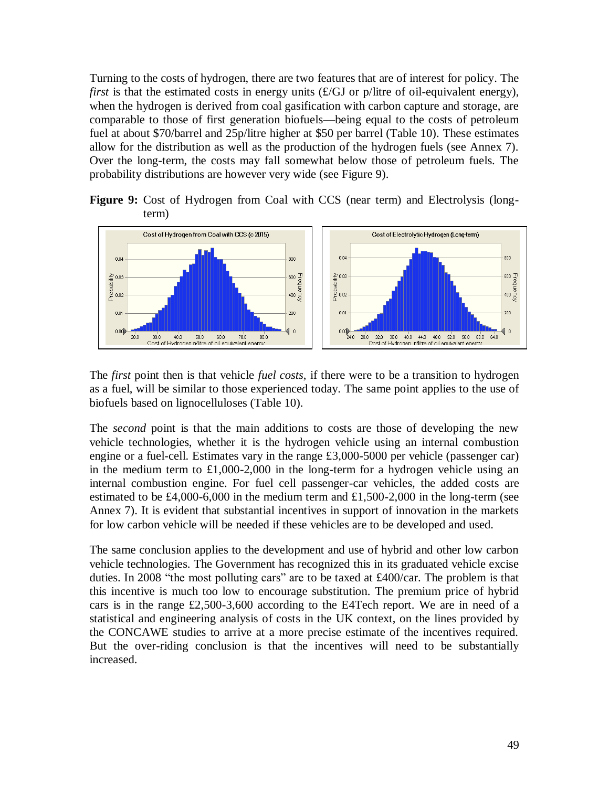Turning to the costs of hydrogen, there are two features that are of interest for policy. The *first* is that the estimated costs in energy units (£/GJ or p/litre of oil-equivalent energy), when the hydrogen is derived from coal gasification with carbon capture and storage, are comparable to those of first generation biofuels—being equal to the costs of petroleum fuel at about \$70/barrel and 25p/litre higher at \$50 per barrel (Table 10). These estimates allow for the distribution as well as the production of the hydrogen fuels (see Annex 7). Over the long-term, the costs may fall somewhat below those of petroleum fuels. The probability distributions are however very wide (see Figure 9).

**Figure 9:** Cost of Hydrogen from Coal with CCS (near term) and Electrolysis (longterm)



The *first* point then is that vehicle *fuel costs*, if there were to be a transition to hydrogen as a fuel, will be similar to those experienced today. The same point applies to the use of biofuels based on lignocelluloses (Table 10).

The *second* point is that the main additions to costs are those of developing the new vehicle technologies, whether it is the hydrogen vehicle using an internal combustion engine or a fuel-cell. Estimates vary in the range £3,000-5000 per vehicle (passenger car) in the medium term to £1,000-2,000 in the long-term for a hydrogen vehicle using an internal combustion engine. For fuel cell passenger-car vehicles, the added costs are estimated to be  $\text{\pounds}4,000$ -6,000 in the medium term and  $\text{\pounds}1,500$ -2,000 in the long-term (see Annex 7). It is evident that substantial incentives in support of innovation in the markets for low carbon vehicle will be needed if these vehicles are to be developed and used.

The same conclusion applies to the development and use of hybrid and other low carbon vehicle technologies. The Government has recognized this in its graduated vehicle excise duties. In 2008 "the most polluting cars" are to be taxed at  $£400/car$ . The problem is that this incentive is much too low to encourage substitution. The premium price of hybrid cars is in the range £2,500-3,600 according to the E4Tech report. We are in need of a statistical and engineering analysis of costs in the UK context, on the lines provided by the CONCAWE studies to arrive at a more precise estimate of the incentives required. But the over-riding conclusion is that the incentives will need to be substantially increased.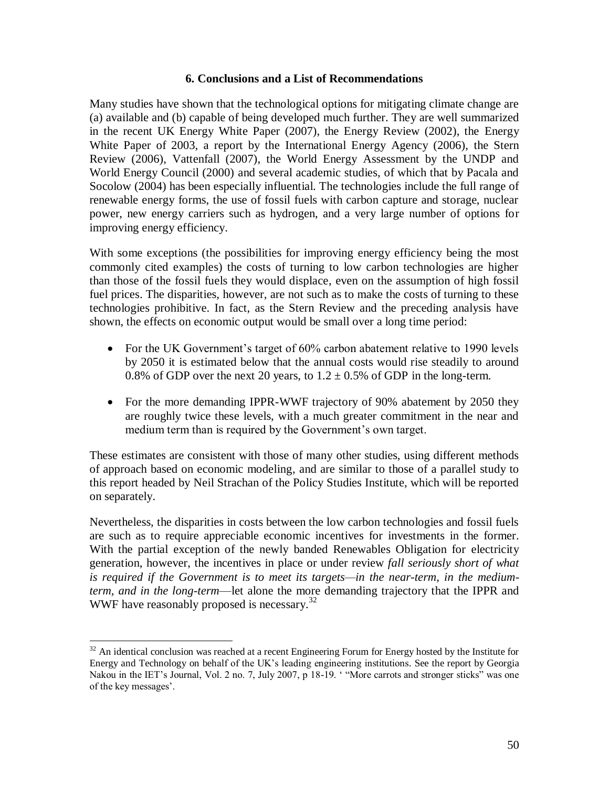#### **6. Conclusions and a List of Recommendations**

Many studies have shown that the technological options for mitigating climate change are (a) available and (b) capable of being developed much further. They are well summarized in the recent UK Energy White Paper (2007), the Energy Review (2002), the Energy White Paper of 2003, a report by the International Energy Agency (2006), the Stern Review (2006), Vattenfall (2007), the World Energy Assessment by the UNDP and World Energy Council (2000) and several academic studies, of which that by Pacala and Socolow (2004) has been especially influential. The technologies include the full range of renewable energy forms, the use of fossil fuels with carbon capture and storage, nuclear power, new energy carriers such as hydrogen, and a very large number of options for improving energy efficiency.

With some exceptions (the possibilities for improving energy efficiency being the most commonly cited examples) the costs of turning to low carbon technologies are higher than those of the fossil fuels they would displace, even on the assumption of high fossil fuel prices. The disparities, however, are not such as to make the costs of turning to these technologies prohibitive. In fact, as the Stern Review and the preceding analysis have shown, the effects on economic output would be small over a long time period:

- For the UK Government's target of 60% carbon abatement relative to 1990 levels by 2050 it is estimated below that the annual costs would rise steadily to around 0.8% of GDP over the next 20 years, to  $1.2 \pm 0.5$ % of GDP in the long-term.
- For the more demanding IPPR-WWF trajectory of 90% abatement by 2050 they are roughly twice these levels, with a much greater commitment in the near and medium term than is required by the Government's own target.

These estimates are consistent with those of many other studies, using different methods of approach based on economic modeling, and are similar to those of a parallel study to this report headed by Neil Strachan of the Policy Studies Institute, which will be reported on separately.

Nevertheless, the disparities in costs between the low carbon technologies and fossil fuels are such as to require appreciable economic incentives for investments in the former. With the partial exception of the newly banded Renewables Obligation for electricity generation, however, the incentives in place or under review *fall seriously short of what is required if the Government is to meet its targets—in the near-term, in the mediumterm, and in the long-term*—let alone the more demanding trajectory that the IPPR and WWF have reasonably proposed is necessary.<sup>32</sup>

 $\overline{a}$ 

 $32$  An identical conclusion was reached at a recent Engineering Forum for Energy hosted by the Institute for Energy and Technology on behalf of the UK's leading engineering institutions. See the report by Georgia Nakou in the IET's Journal, Vol. 2 no. 7, July 2007, p 18-19. "More carrots and stronger sticks" was one of the key messages'.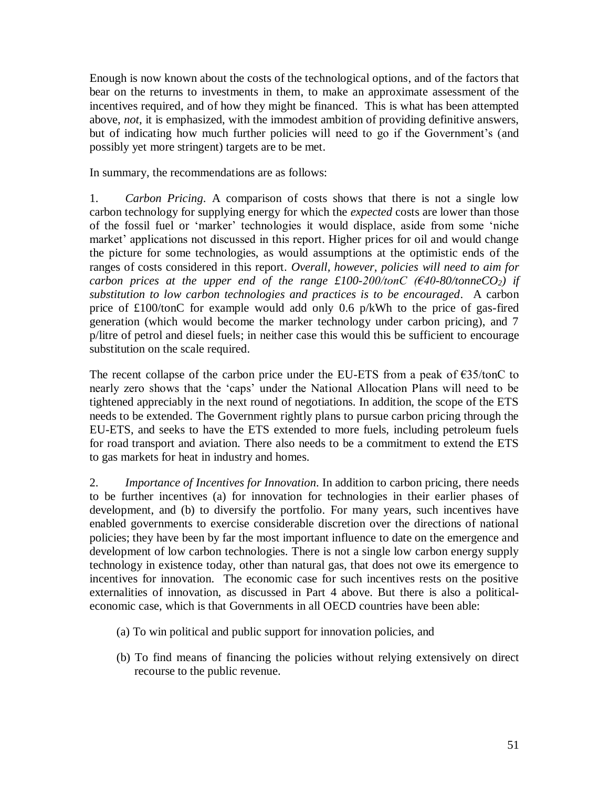Enough is now known about the costs of the technological options, and of the factors that bear on the returns to investments in them, to make an approximate assessment of the incentives required, and of how they might be financed. This is what has been attempted above, *not*, it is emphasized, with the immodest ambition of providing definitive answers, but of indicating how much further policies will need to go if the Government's (and possibly yet more stringent) targets are to be met.

In summary, the recommendations are as follows:

1. *Carbon Pricing*. A comparison of costs shows that there is not a single low carbon technology for supplying energy for which the *expected* costs are lower than those of the fossil fuel or 'marker' technologies it would displace, aside from some 'niche market' applications not discussed in this report. Higher prices for oil and would change the picture for some technologies, as would assumptions at the optimistic ends of the ranges of costs considered in this report. *Overall, however, policies will need to aim for carbon prices at the upper end of the range £100-200/tonC (* $\epsilon$ *40-80/tonneCO*<sub>2</sub>*) if substitution to low carbon technologies and practices is to be encouraged*. A carbon price of £100/tonC for example would add only 0.6 p/kWh to the price of gas-fired generation (which would become the marker technology under carbon pricing), and 7 p/litre of petrol and diesel fuels; in neither case this would this be sufficient to encourage substitution on the scale required.

The recent collapse of the carbon price under the EU-ETS from a peak of  $\epsilon$ 35/tonC to nearly zero shows that the 'caps' under the National Allocation Plans will need to be tightened appreciably in the next round of negotiations. In addition, the scope of the ETS needs to be extended. The Government rightly plans to pursue carbon pricing through the EU-ETS, and seeks to have the ETS extended to more fuels, including petroleum fuels for road transport and aviation. There also needs to be a commitment to extend the ETS to gas markets for heat in industry and homes.

2. *Importance of Incentives for Innovation*. In addition to carbon pricing, there needs to be further incentives (a) for innovation for technologies in their earlier phases of development, and (b) to diversify the portfolio. For many years, such incentives have enabled governments to exercise considerable discretion over the directions of national policies; they have been by far the most important influence to date on the emergence and development of low carbon technologies. There is not a single low carbon energy supply technology in existence today, other than natural gas, that does not owe its emergence to incentives for innovation. The economic case for such incentives rests on the positive externalities of innovation, as discussed in Part 4 above. But there is also a politicaleconomic case, which is that Governments in all OECD countries have been able:

- (a) To win political and public support for innovation policies, and
- (b) To find means of financing the policies without relying extensively on direct recourse to the public revenue.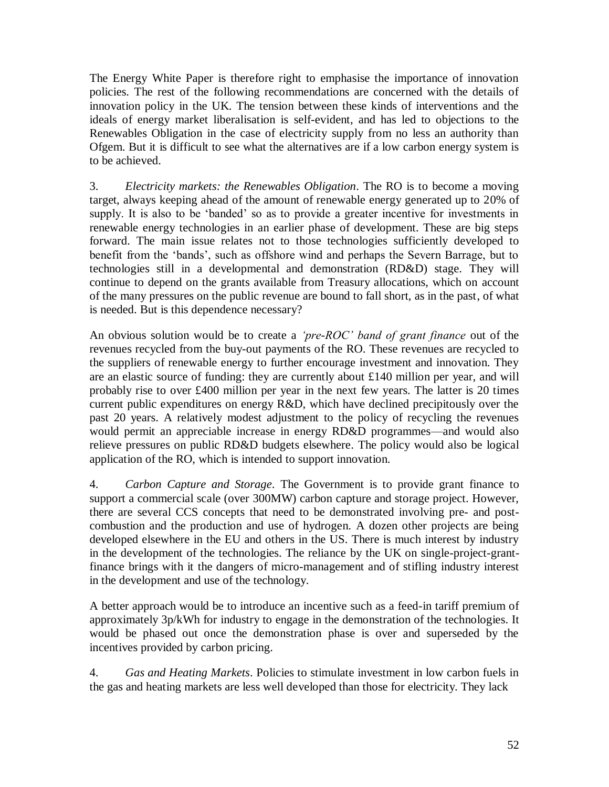The Energy White Paper is therefore right to emphasise the importance of innovation policies. The rest of the following recommendations are concerned with the details of innovation policy in the UK. The tension between these kinds of interventions and the ideals of energy market liberalisation is self-evident, and has led to objections to the Renewables Obligation in the case of electricity supply from no less an authority than Ofgem. But it is difficult to see what the alternatives are if a low carbon energy system is to be achieved.

3. *Electricity markets: the Renewables Obligation*. The RO is to become a moving target, always keeping ahead of the amount of renewable energy generated up to 20% of supply. It is also to be 'banded' so as to provide a greater incentive for investments in renewable energy technologies in an earlier phase of development. These are big steps forward. The main issue relates not to those technologies sufficiently developed to benefit from the 'bands', such as offshore wind and perhaps the Severn Barrage, but to technologies still in a developmental and demonstration (RD&D) stage. They will continue to depend on the grants available from Treasury allocations, which on account of the many pressures on the public revenue are bound to fall short, as in the past, of what is needed. But is this dependence necessary?

An obvious solution would be to create a *'pre-ROC' band of grant finance* out of the revenues recycled from the buy-out payments of the RO. These revenues are recycled to the suppliers of renewable energy to further encourage investment and innovation. They are an elastic source of funding: they are currently about £140 million per year, and will probably rise to over £400 million per year in the next few years. The latter is 20 times current public expenditures on energy R&D, which have declined precipitously over the past 20 years. A relatively modest adjustment to the policy of recycling the revenues would permit an appreciable increase in energy RD&D programmes—and would also relieve pressures on public RD&D budgets elsewhere. The policy would also be logical application of the RO, which is intended to support innovation.

4. *Carbon Capture and Storage*. The Government is to provide grant finance to support a commercial scale (over 300MW) carbon capture and storage project. However, there are several CCS concepts that need to be demonstrated involving pre- and postcombustion and the production and use of hydrogen. A dozen other projects are being developed elsewhere in the EU and others in the US. There is much interest by industry in the development of the technologies. The reliance by the UK on single-project-grantfinance brings with it the dangers of micro-management and of stifling industry interest in the development and use of the technology.

A better approach would be to introduce an incentive such as a feed-in tariff premium of approximately 3p/kWh for industry to engage in the demonstration of the technologies. It would be phased out once the demonstration phase is over and superseded by the incentives provided by carbon pricing.

4. *Gas and Heating Markets*. Policies to stimulate investment in low carbon fuels in the gas and heating markets are less well developed than those for electricity. They lack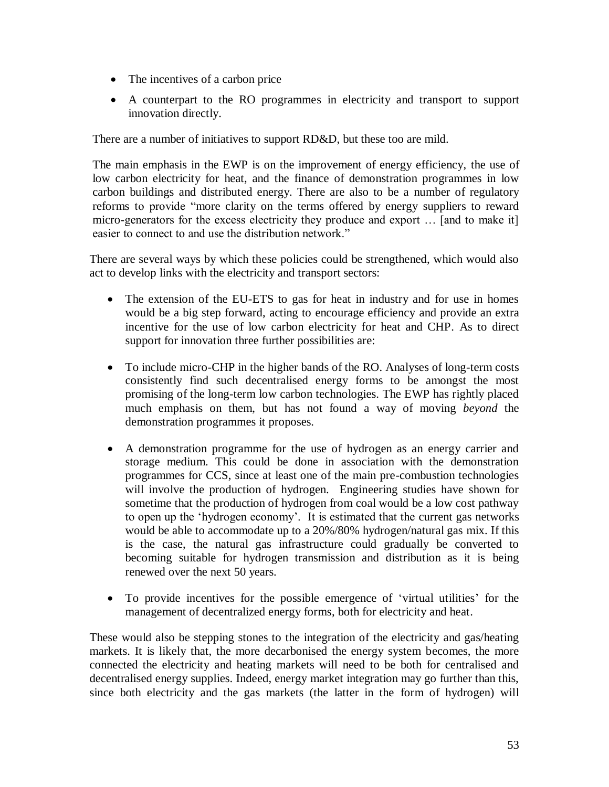- The incentives of a carbon price
- A counterpart to the RO programmes in electricity and transport to support innovation directly.

There are a number of initiatives to support RD&D, but these too are mild.

The main emphasis in the EWP is on the improvement of energy efficiency, the use of low carbon electricity for heat, and the finance of demonstration programmes in low carbon buildings and distributed energy. There are also to be a number of regulatory reforms to provide "more clarity on the terms offered by energy suppliers to reward micro-generators for the excess electricity they produce and export … [and to make it] easier to connect to and use the distribution network."

There are several ways by which these policies could be strengthened, which would also act to develop links with the electricity and transport sectors:

- The extension of the EU-ETS to gas for heat in industry and for use in homes would be a big step forward, acting to encourage efficiency and provide an extra incentive for the use of low carbon electricity for heat and CHP. As to direct support for innovation three further possibilities are:
- To include micro-CHP in the higher bands of the RO. Analyses of long-term costs consistently find such decentralised energy forms to be amongst the most promising of the long-term low carbon technologies. The EWP has rightly placed much emphasis on them, but has not found a way of moving *beyond* the demonstration programmes it proposes.
- A demonstration programme for the use of hydrogen as an energy carrier and storage medium. This could be done in association with the demonstration programmes for CCS, since at least one of the main pre-combustion technologies will involve the production of hydrogen. Engineering studies have shown for sometime that the production of hydrogen from coal would be a low cost pathway to open up the ‗hydrogen economy'. It is estimated that the current gas networks would be able to accommodate up to a 20%/80% hydrogen/natural gas mix. If this is the case, the natural gas infrastructure could gradually be converted to becoming suitable for hydrogen transmission and distribution as it is being renewed over the next 50 years.
- To provide incentives for the possible emergence of 'virtual utilities' for the management of decentralized energy forms, both for electricity and heat.

These would also be stepping stones to the integration of the electricity and gas/heating markets. It is likely that, the more decarbonised the energy system becomes, the more connected the electricity and heating markets will need to be both for centralised and decentralised energy supplies. Indeed, energy market integration may go further than this, since both electricity and the gas markets (the latter in the form of hydrogen) will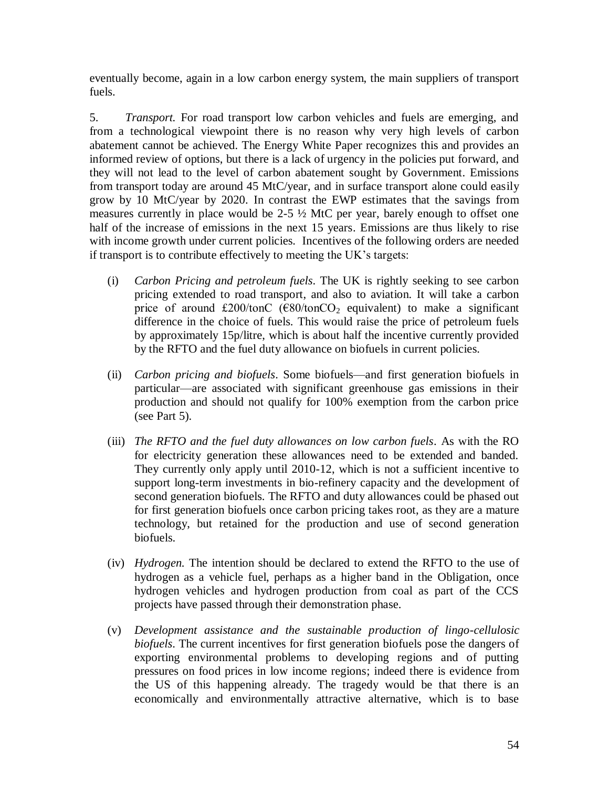eventually become, again in a low carbon energy system, the main suppliers of transport fuels.

5. *Transport.* For road transport low carbon vehicles and fuels are emerging, and from a technological viewpoint there is no reason why very high levels of carbon abatement cannot be achieved. The Energy White Paper recognizes this and provides an informed review of options, but there is a lack of urgency in the policies put forward, and they will not lead to the level of carbon abatement sought by Government. Emissions from transport today are around 45 MtC/year, and in surface transport alone could easily grow by 10 MtC/year by 2020. In contrast the EWP estimates that the savings from measures currently in place would be 2-5 ½ MtC per year, barely enough to offset one half of the increase of emissions in the next 15 years. Emissions are thus likely to rise with income growth under current policies. Incentives of the following orders are needed if transport is to contribute effectively to meeting the UK's targets:

- (i) *Carbon Pricing and petroleum fuels*. The UK is rightly seeking to see carbon pricing extended to road transport, and also to aviation. It will take a carbon price of around £200/tonC ( $\epsilon$ 80/tonCO<sub>2</sub> equivalent) to make a significant difference in the choice of fuels. This would raise the price of petroleum fuels by approximately 15p/litre, which is about half the incentive currently provided by the RFTO and the fuel duty allowance on biofuels in current policies.
- (ii) *Carbon pricing and biofuels*. Some biofuels—and first generation biofuels in particular—are associated with significant greenhouse gas emissions in their production and should not qualify for 100% exemption from the carbon price (see Part 5).
- (iii) *The RFTO and the fuel duty allowances on low carbon fuels*. As with the RO for electricity generation these allowances need to be extended and banded. They currently only apply until 2010-12, which is not a sufficient incentive to support long-term investments in bio-refinery capacity and the development of second generation biofuels. The RFTO and duty allowances could be phased out for first generation biofuels once carbon pricing takes root, as they are a mature technology, but retained for the production and use of second generation biofuels.
- (iv) *Hydrogen.* The intention should be declared to extend the RFTO to the use of hydrogen as a vehicle fuel, perhaps as a higher band in the Obligation, once hydrogen vehicles and hydrogen production from coal as part of the CCS projects have passed through their demonstration phase.
- (v) *Development assistance and the sustainable production of lingo-cellulosic biofuels*. The current incentives for first generation biofuels pose the dangers of exporting environmental problems to developing regions and of putting pressures on food prices in low income regions; indeed there is evidence from the US of this happening already. The tragedy would be that there is an economically and environmentally attractive alternative, which is to base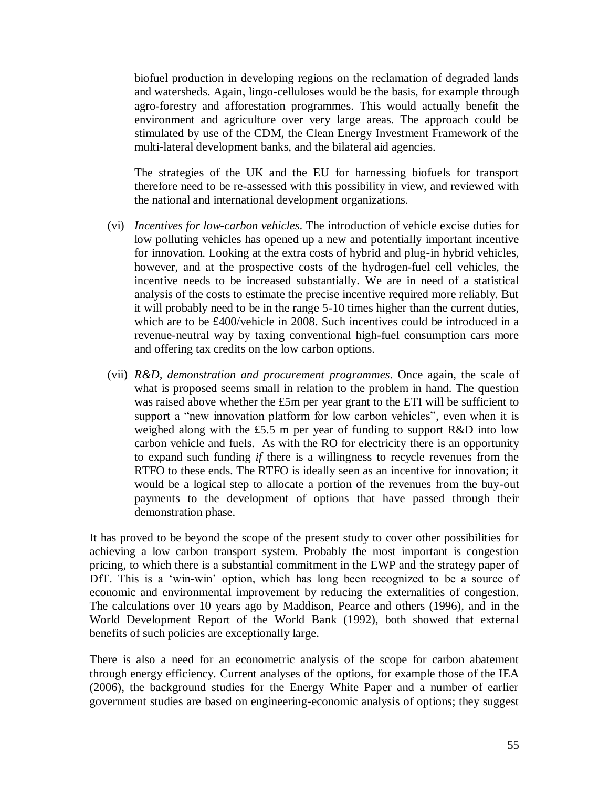biofuel production in developing regions on the reclamation of degraded lands and watersheds. Again, lingo-celluloses would be the basis, for example through agro-forestry and afforestation programmes. This would actually benefit the environment and agriculture over very large areas. The approach could be stimulated by use of the CDM, the Clean Energy Investment Framework of the multi-lateral development banks, and the bilateral aid agencies.

The strategies of the UK and the EU for harnessing biofuels for transport therefore need to be re-assessed with this possibility in view, and reviewed with the national and international development organizations.

- (vi) *Incentives for low-carbon vehicles*. The introduction of vehicle excise duties for low polluting vehicles has opened up a new and potentially important incentive for innovation. Looking at the extra costs of hybrid and plug-in hybrid vehicles, however, and at the prospective costs of the hydrogen-fuel cell vehicles, the incentive needs to be increased substantially. We are in need of a statistical analysis of the costs to estimate the precise incentive required more reliably. But it will probably need to be in the range 5-10 times higher than the current duties, which are to be £400/vehicle in 2008. Such incentives could be introduced in a revenue-neutral way by taxing conventional high-fuel consumption cars more and offering tax credits on the low carbon options.
- (vii) *R&D, demonstration and procurement programmes*. Once again, the scale of what is proposed seems small in relation to the problem in hand. The question was raised above whether the £5m per year grant to the ETI will be sufficient to support a "new innovation platform for low carbon vehicles", even when it is weighed along with the £5.5 m per year of funding to support R&D into low carbon vehicle and fuels. As with the RO for electricity there is an opportunity to expand such funding *if* there is a willingness to recycle revenues from the RTFO to these ends. The RTFO is ideally seen as an incentive for innovation; it would be a logical step to allocate a portion of the revenues from the buy-out payments to the development of options that have passed through their demonstration phase.

It has proved to be beyond the scope of the present study to cover other possibilities for achieving a low carbon transport system. Probably the most important is congestion pricing, to which there is a substantial commitment in the EWP and the strategy paper of DfT. This is a 'win-win' option, which has long been recognized to be a source of economic and environmental improvement by reducing the externalities of congestion. The calculations over 10 years ago by Maddison, Pearce and others (1996), and in the World Development Report of the World Bank (1992), both showed that external benefits of such policies are exceptionally large.

There is also a need for an econometric analysis of the scope for carbon abatement through energy efficiency. Current analyses of the options, for example those of the IEA (2006), the background studies for the Energy White Paper and a number of earlier government studies are based on engineering-economic analysis of options; they suggest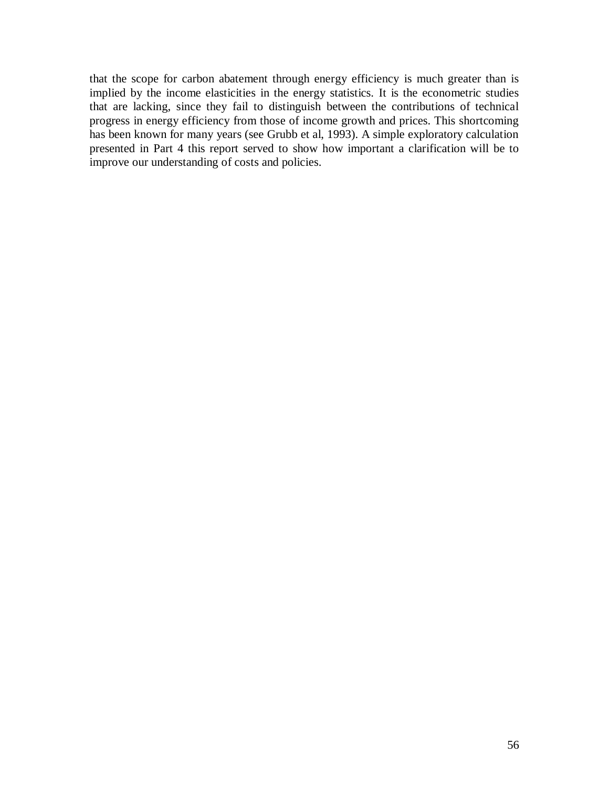that the scope for carbon abatement through energy efficiency is much greater than is implied by the income elasticities in the energy statistics. It is the econometric studies that are lacking, since they fail to distinguish between the contributions of technical progress in energy efficiency from those of income growth and prices. This shortcoming has been known for many years (see Grubb et al, 1993). A simple exploratory calculation presented in Part 4 this report served to show how important a clarification will be to improve our understanding of costs and policies.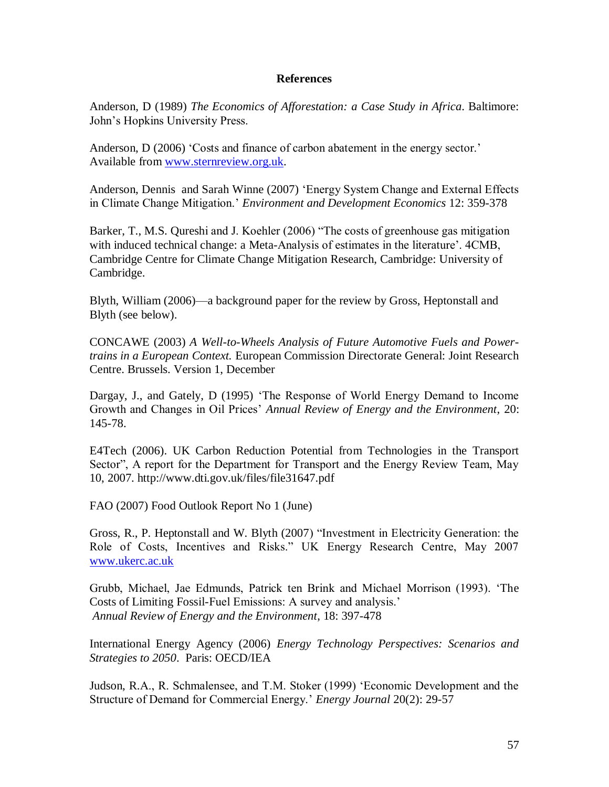#### **References**

Anderson, D (1989) *The Economics of Afforestation: a Case Study in Africa*. Baltimore: John's Hopkins University Press.

Anderson, D (2006) 'Costs and finance of carbon abatement in the energy sector.' Available from [www.sternreview.org.uk.](http://www.sternreview.org.uk/)

Anderson, Dennis and Sarah Winne (2007) ‗Energy System Change and External Effects in Climate Change Mitigation.' *Environment and Development Economics* 12: 359-378

Barker, T., M.S. Qureshi and J. Koehler (2006) "The costs of greenhouse gas mitigation with induced technical change: a Meta-Analysis of estimates in the literature'. 4CMB, Cambridge Centre for Climate Change Mitigation Research, Cambridge: University of Cambridge.

Blyth, William (2006)—a background paper for the review by Gross, Heptonstall and Blyth (see below).

CONCAWE (2003) *A Well-to-Wheels Analysis of Future Automotive Fuels and Powertrains in a European Context.* European Commission Directorate General: Joint Research Centre. Brussels. Version 1, December

Dargay, J., and Gately, D (1995) ‗The Response of World Energy Demand to Income Growth and Changes in Oil Prices' *Annual Review of Energy and the Environment*, 20: 145-78.

E4Tech (2006). UK Carbon Reduction Potential from Technologies in the Transport Sector", A report for the Department for Transport and the Energy Review Team, May 10, 2007. http://www.dti.gov.uk/files/file31647.pdf

FAO (2007) Food Outlook Report No 1 (June)

Gross, R., P. Heptonstall and W. Blyth (2007) "Investment in Electricity Generation: the Role of Costs, Incentives and Risks." UK Energy Research Centre, May 2007 [www.ukerc.ac.uk](http://www.ukerc.ac.uk/)

Grubb, Michael, Jae Edmunds, Patrick ten Brink and Michael Morrison (1993). ‗The Costs of Limiting Fossil-Fuel Emissions: A survey and analysis.' *Annual Review of Energy and the Environment*, 18: 397-478

International Energy Agency (2006) *Energy Technology Perspectives: Scenarios and Strategies to 2050*. Paris: OECD/IEA

Judson, R.A., R. Schmalensee, and T.M. Stoker (1999) ‗Economic Development and the Structure of Demand for Commercial Energy.' *Energy Journal* 20(2): 29-57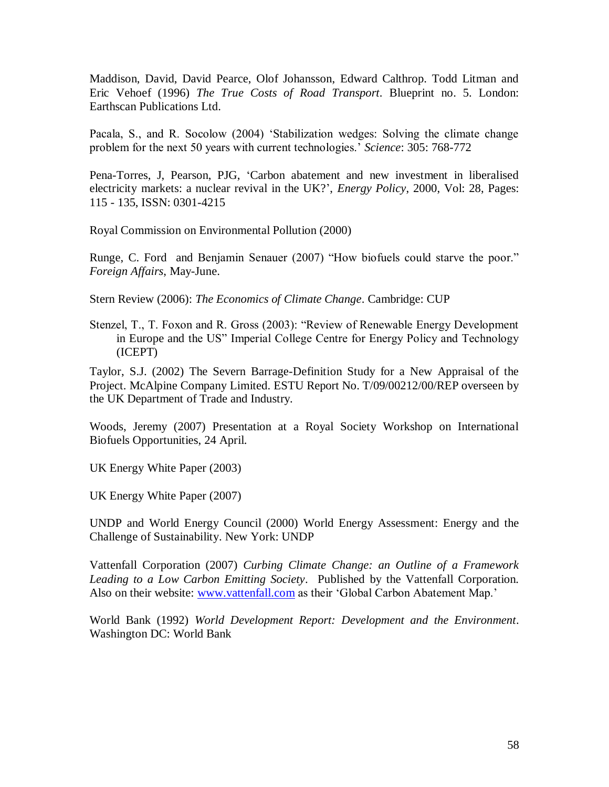Maddison, David, David Pearce, Olof Johansson, Edward Calthrop. Todd Litman and Eric Vehoef (1996) *The True Costs of Road Transport*. Blueprint no. 5. London: Earthscan Publications Ltd.

Pacala, S., and R. Socolow (2004) 'Stabilization wedges: Solving the climate change problem for the next 50 years with current technologies.' *Science*: 305: 768-772

Pena-Torres, J, Pearson, PJG, ‗Carbon abatement and new investment in liberalised electricity markets: a nuclear revival in the UK?', *Energy Policy*, 2000, Vol: 28, Pages: 115 - 135, ISSN: 0301-4215

Royal Commission on Environmental Pollution (2000)

Runge, C. Ford and Benjamin Senauer (2007) "How biofuels could starve the poor." *Foreign Affairs*, May-June.

Stern Review (2006): *The Economics of Climate Change*. Cambridge: CUP

Stenzel, T., T. Foxon and R. Gross (2003): "Review of Renewable Energy Development in Europe and the US" Imperial College Centre for Energy Policy and Technology (ICEPT)

Taylor, S.J. (2002) The Severn Barrage-Definition Study for a New Appraisal of the Project. McAlpine Company Limited. ESTU Report No. T/09/00212/00/REP overseen by the UK Department of Trade and Industry.

Woods, Jeremy (2007) Presentation at a Royal Society Workshop on International Biofuels Opportunities, 24 April.

UK Energy White Paper (2003)

UK Energy White Paper (2007)

UNDP and World Energy Council (2000) World Energy Assessment: Energy and the Challenge of Sustainability. New York: UNDP

Vattenfall Corporation (2007) *Curbing Climate Change: an Outline of a Framework Leading to a Low Carbon Emitting Society*. Published by the Vattenfall Corporation. Also on their website: [www.vattenfall.com](http://www.vattenfall.com/) as their 'Global Carbon Abatement Map.'

World Bank (1992) *World Development Report: Development and the Environment*. Washington DC: World Bank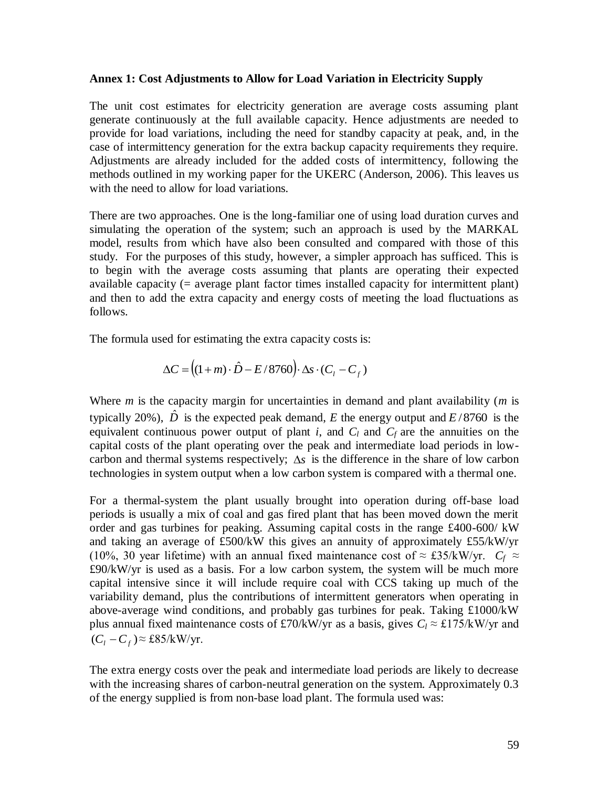#### **Annex 1: Cost Adjustments to Allow for Load Variation in Electricity Supply**

The unit cost estimates for electricity generation are average costs assuming plant generate continuously at the full available capacity. Hence adjustments are needed to provide for load variations, including the need for standby capacity at peak, and, in the case of intermittency generation for the extra backup capacity requirements they require. Adjustments are already included for the added costs of intermittency, following the methods outlined in my working paper for the UKERC (Anderson, 2006). This leaves us with the need to allow for load variations.

There are two approaches. One is the long-familiar one of using load duration curves and simulating the operation of the system; such an approach is used by the MARKAL model, results from which have also been consulted and compared with those of this study. For the purposes of this study, however, a simpler approach has sufficed. This is to begin with the average costs assuming that plants are operating their expected available capacity (= average plant factor times installed capacity for intermittent plant) and then to add the extra capacity and energy costs of meeting the load fluctuations as follows.

The formula used for estimating the extra capacity costs is:

$$
\Delta C = \left( (1+m) \cdot \hat{D} - E/8760 \right) \cdot \Delta s \cdot (C_l - C_f)
$$

Where *m* is the capacity margin for uncertainties in demand and plant availability (*m* is typically 20%),  $\hat{D}$  is the expected peak demand, *E* the energy output and *E*/8760 is the equivalent continuous power output of plant *i*, and  $C_l$  and  $C_f$  are the annuities on the capital costs of the plant operating over the peak and intermediate load periods in lowcarbon and thermal systems respectively;  $\Delta s$  is the difference in the share of low carbon technologies in system output when a low carbon system is compared with a thermal one.

For a thermal-system the plant usually brought into operation during off-base load periods is usually a mix of coal and gas fired plant that has been moved down the merit order and gas turbines for peaking. Assuming capital costs in the range £400-600/ kW and taking an average of £500/kW this gives an annuity of approximately £55/kW/yr (10%, 30 year lifetime) with an annual fixed maintenance cost of  $\approx$  £35/kW/yr.  $C_f \approx$ £90/kW/yr is used as a basis. For a low carbon system, the system will be much more capital intensive since it will include require coal with CCS taking up much of the variability demand, plus the contributions of intermittent generators when operating in above-average wind conditions, and probably gas turbines for peak. Taking £1000/kW plus annual fixed maintenance costs of £70/kW/yr as a basis, gives  $C_l \approx \text{\textsterling}175/k$ W/yr and  $(C_i - C_f) \approx \pounds 85/kW/yr.$ 

The extra energy costs over the peak and intermediate load periods are likely to decrease with the increasing shares of carbon-neutral generation on the system. Approximately 0.3 of the energy supplied is from non-base load plant. The formula used was: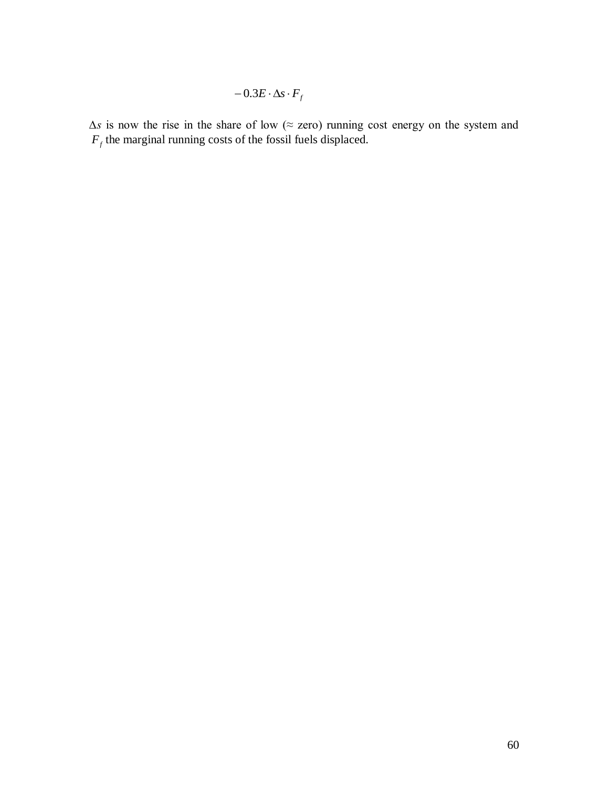$$
-0.3E\cdot\Delta s\cdot F_{f}
$$

 $-0.3F \cdot As \cdot F_f$ <br>c of low ( $\approx$  zcro) running cost cncrgy on the system and<br>of the fossil fitels displaced. *∆s* is now the rise in the share of low (≈ zero) running cost energy on the system and  $F_f$  the marginal running costs of the fossil fuels displaced.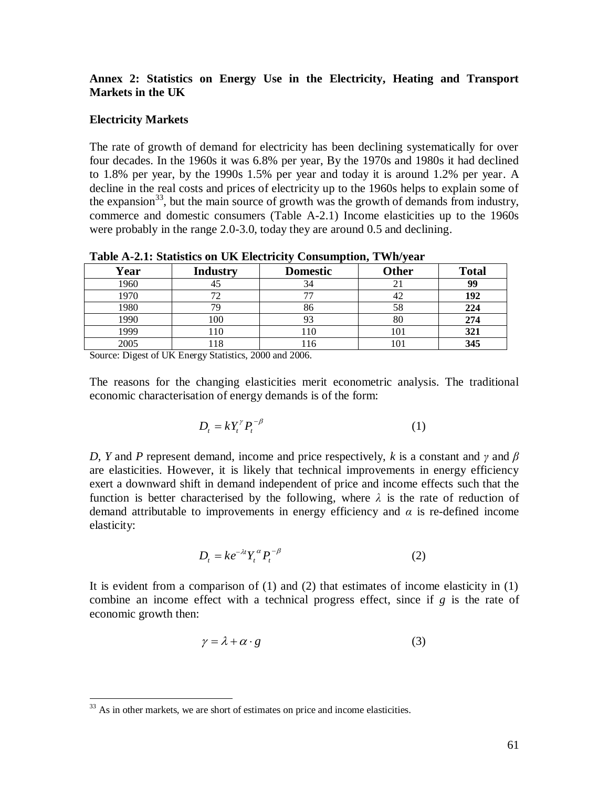### **Annex 2: Statistics on Energy Use in the Electricity, Heating and Transport Markets in the UK**

### **Electricity Markets**

The rate of growth of demand for electricity has been declining systematically for over four decades. In the 1960s it was 6.8% per year, By the 1970s and 1980s it had declined to 1.8% per year, by the 1990s 1.5% per year and today it is around 1.2% per year. A decline in the real costs and prices of electricity up to the 1960s helps to explain some of the expansion<sup>33</sup>, but the main source of growth was the growth of demands from industry, commerce and domestic consumers (Table A-2.1) Income elasticities up to the 1960s were probably in the range 2.0-3.0, today they are around 0.5 and declining.

|      |                 |                 | - - -        |              |
|------|-----------------|-----------------|--------------|--------------|
| Year | <b>Industry</b> | <b>Domestic</b> | <b>Other</b> | <b>Total</b> |
| 1960 |                 | 34              |              | 99           |
| 1970 |                 |                 | 42           | 192          |
| 1980 | 79              | 86              | 58           | 224          |
| 1990 | 100             |                 | 80           | 274          |
| 1999 | 110             | 110             | 101          | 321          |
| 2005 | $\circ$         | 16              |              | 345          |

**Table A-2.1: Statistics on UK Electricity Consumption, TWh/year**

Source: Digest of UK Energy Statistics, 2000 and 2006.

The reasons for the changing elasticities merit econometric analysis. The traditional economic characterisation of energy demands is of the form:

$$
D_t = kY_t^{\gamma} P_t^{-\beta} \tag{1}
$$

*D*, *Y* and *P* represent demand, income and price respectively, *k* is a constant and *γ* and *β* are elasticities. However, it is likely that technical improvements in energy efficiency exert a downward shift in demand independent of price and income effects such that the function is better characterised by the following, where *λ* is the rate of reduction of demand attributable to improvements in energy efficiency and *α* is re-defined income elasticity:

$$
D_t = k e^{-\lambda t} Y_t^{\alpha} P_t^{-\beta} \tag{2}
$$

It is evident from a comparison of (1) and (2) that estimates of income elasticity in (1) combine an income effect with a technical progress effect, since if *g* is the rate of economic growth then:

$$
\gamma = \lambda + \alpha \cdot g \tag{3}
$$

 $\overline{a}$ 

 $33$  As in other markets, we are short of estimates on price and income elasticities.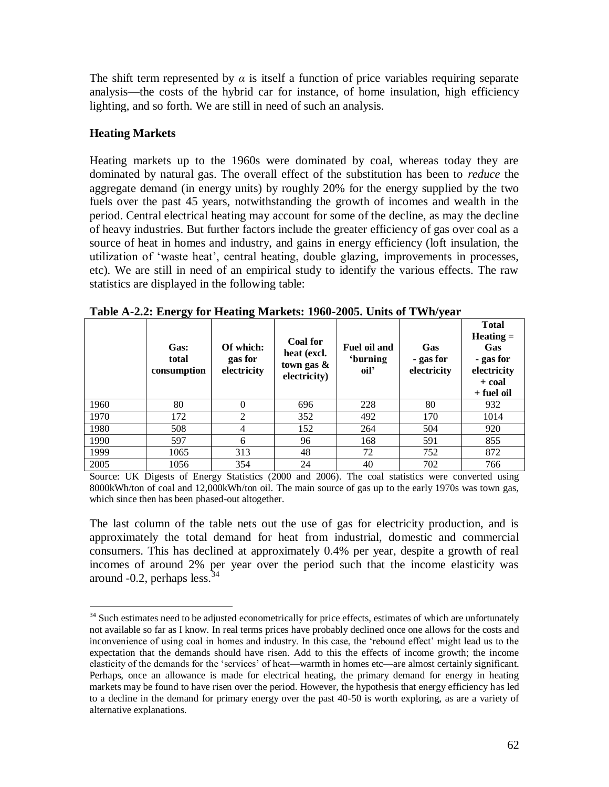The shift term represented by  $\alpha$  is itself a function of price variables requiring separate analysis—the costs of the hybrid car for instance, of home insulation, high efficiency lighting, and so forth. We are still in need of such an analysis.

### **Heating Markets**

 $\overline{a}$ 

Heating markets up to the 1960s were dominated by coal, whereas today they are dominated by natural gas. The overall effect of the substitution has been to *reduce* the aggregate demand (in energy units) by roughly 20% for the energy supplied by the two fuels over the past 45 years, notwithstanding the growth of incomes and wealth in the period. Central electrical heating may account for some of the decline, as may the decline of heavy industries. But further factors include the greater efficiency of gas over coal as a source of heat in homes and industry, and gains in energy efficiency (loft insulation, the utilization of ‗waste heat', central heating, double glazing, improvements in processes, etc). We are still in need of an empirical study to identify the various effects. The raw statistics are displayed in the following table:

|      | ັັ<br>Gas:<br>total<br>consumption | ັ<br>Of which:<br>gas for<br>electricity | Coal for<br>heat (excl.<br>town gas $\&$<br>electricity) | <b>Fuel oil and</b><br><i>'burning</i><br>oil' | Gas<br>- gas for<br>electricity | <b>Total</b><br>$Heating =$<br>Gas<br>- gas for<br>electricity<br>+ coal<br>+ fuel oil |
|------|------------------------------------|------------------------------------------|----------------------------------------------------------|------------------------------------------------|---------------------------------|----------------------------------------------------------------------------------------|
| 1960 | 80                                 | $\Omega$                                 | 696                                                      | 228                                            | 80                              | 932                                                                                    |
| 1970 | 172                                | 2                                        | 352                                                      | 492                                            | 170                             | 1014                                                                                   |
| 1980 | 508                                | $\overline{4}$                           | 152                                                      | 264                                            | 504                             | 920                                                                                    |
| 1990 | 597                                | 6                                        | 96                                                       | 168                                            | 591                             | 855                                                                                    |
| 1999 | 1065                               | 313                                      | 48                                                       | 72                                             | 752                             | 872                                                                                    |
| 2005 | 1056                               | 354                                      | 24                                                       | 40                                             | 702                             | 766                                                                                    |

**Table A-2.2: Energy for Heating Markets: 1960-2005. Units of TWh/year**

Source: UK Digests of Energy Statistics (2000 and 2006). The coal statistics were converted using 8000kWh/ton of coal and 12,000kWh/ton oil. The main source of gas up to the early 1970s was town gas, which since then has been phased-out altogether.

The last column of the table nets out the use of gas for electricity production, and is approximately the total demand for heat from industrial, domestic and commercial consumers. This has declined at approximately 0.4% per year, despite a growth of real incomes of around 2% per year over the period such that the income elasticity was around  $-0.2$ , perhaps less.  $34$ 

<sup>&</sup>lt;sup>34</sup> Such estimates need to be adjusted econometrically for price effects, estimates of which are unfortunately not available so far as I know. In real terms prices have probably declined once one allows for the costs and inconvenience of using coal in homes and industry. In this case, the 'rebound effect' might lead us to the expectation that the demands should have risen. Add to this the effects of income growth; the income elasticity of the demands for the 'services' of heat—warmth in homes etc—are almost certainly significant. Perhaps, once an allowance is made for electrical heating, the primary demand for energy in heating markets may be found to have risen over the period. However, the hypothesis that energy efficiency has led to a decline in the demand for primary energy over the past 40-50 is worth exploring, as are a variety of alternative explanations.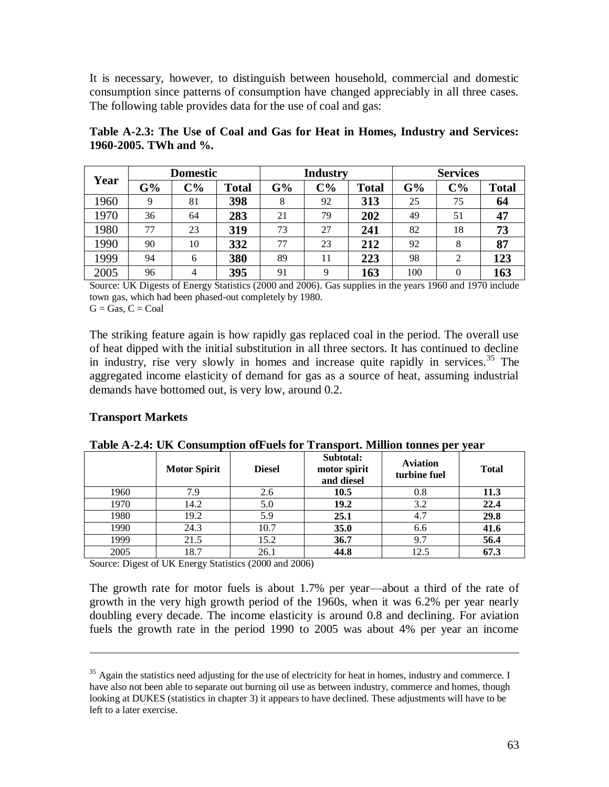It is necessary, however, to distinguish between household, commercial and domestic consumption since patterns of consumption have changed appreciably in all three cases. The following table provides data for the use of coal and gas:

|      |    |       | <b>Domestic</b> |    | <b>Industry</b> |              |     |          |              | <b>Services</b> |  |
|------|----|-------|-----------------|----|-----------------|--------------|-----|----------|--------------|-----------------|--|
| Year | G% | $C\%$ | <b>Total</b>    | G% | $C\%$           | <b>Total</b> | G%  | $C\%$    | <b>Total</b> |                 |  |
| 1960 | 9  | 81    | 398             | 8  | 92              | 313          | 25  | 75       | 64           |                 |  |
| 1970 | 36 | 64    | 283             | 21 | 79              | 202          | 49  | 51       | 47           |                 |  |
| 1980 | 77 | 23    | 319             | 73 | 27              | 241          | 82  | 18       | 73           |                 |  |
| 1990 | 90 | 10    | 332             | 77 | 23              | 212          | 92  | 8        | 87           |                 |  |
| 1999 | 94 | 6     | 380             | 89 | 11              | 223          | 98  | 2        | 123          |                 |  |
| 2005 | 96 | 4     | 395             | 91 | Q               | 163          | 100 | $\theta$ | 163          |                 |  |

**Table A-2.3: The Use of Coal and Gas for Heat in Homes, Industry and Services: 1960-2005. TWh and %.**

Source: UK Digests of Energy Statistics (2000 and 2006). Gas supplies in the years 1960 and 1970 include town gas, which had been phased-out completely by 1980.  $G =$  Gas,  $C =$  Coal

The striking feature again is how rapidly gas replaced coal in the period. The overall use of heat dipped with the initial substitution in all three sectors. It has continued to decline in industry, rise very slowly in homes and increase quite rapidly in services.<sup>35</sup> The aggregated income elasticity of demand for gas as a source of heat, assuming industrial demands have bottomed out, is very low, around 0.2.

### **Transport Markets**

 $\overline{a}$ 

|      | <b>Motor Spirit</b> | <b>Diesel</b> | Subtotal:<br>motor spirit<br>and diesel | <b>Aviation</b><br>turbine fuel | <b>Total</b> |
|------|---------------------|---------------|-----------------------------------------|---------------------------------|--------------|
| 1960 | 7.9                 | 2.6           | 10.5                                    | 0.8                             | 11.3         |
| 1970 | 14.2                | 5.0           | 19.2                                    | 3.2                             | 22.4         |
| 1980 | 19.2                | 5.9           | 25.1                                    | 4.7                             | 29.8         |
| 1990 | 24.3                | 10.7          | 35.0                                    | 6.6                             | 41.6         |
| 1999 | 21.5                | 15.2          | 36.7                                    | 9.7                             | 56.4         |
| 2005 | 18.7                | 26.1          | 44.8                                    | 12.5                            | 67.3         |

**Table A-2.4: UK Consumption ofFuels for Transport. Million tonnes per year**

Source: Digest of UK Energy Statistics (2000 and 2006)

The growth rate for motor fuels is about 1.7% per year—about a third of the rate of growth in the very high growth period of the 1960s, when it was 6.2% per year nearly doubling every decade. The income elasticity is around 0.8 and declining. For aviation fuels the growth rate in the period 1990 to 2005 was about 4% per year an income

<sup>&</sup>lt;sup>35</sup> Again the statistics need adjusting for the use of electricity for heat in homes, industry and commerce. I have also not been able to separate out burning oil use as between industry, commerce and homes, though looking at DUKES (statistics in chapter 3) it appears to have declined. These adjustments will have to be left to a later exercise.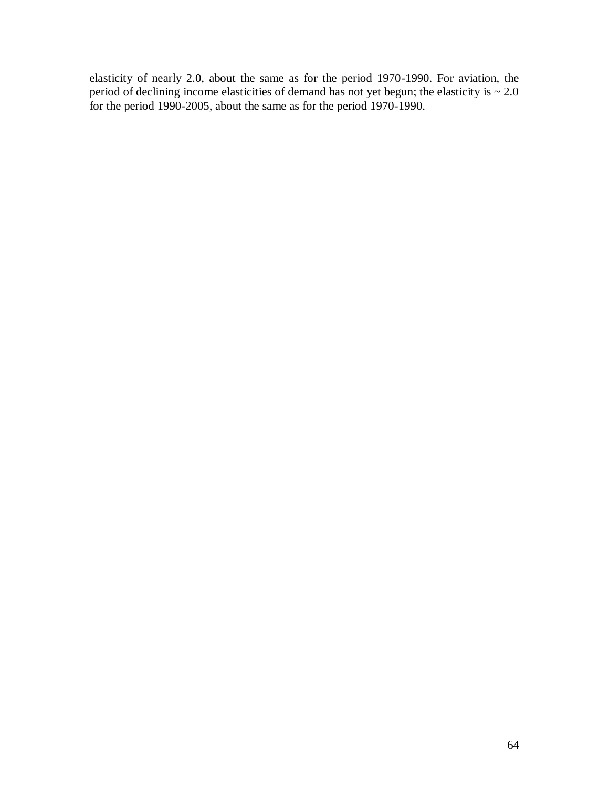elasticity of nearly 2.0, about the same as for the period 1970-1990. For aviation, the period of declining income elasticities of demand has not yet begun; the elasticity is  $\sim 2.0$ for the period 1990-2005, about the same as for the period 1970-1990.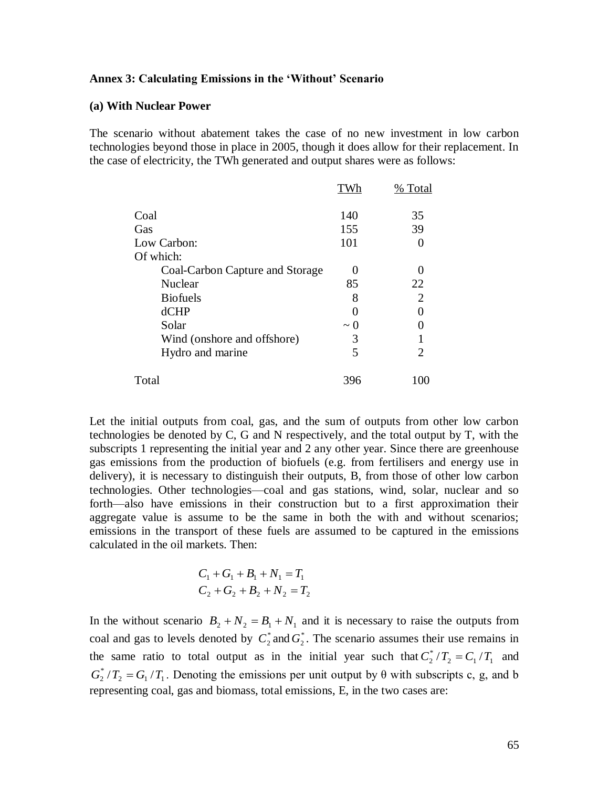#### **Annex 3: Calculating Emissions in the 'Without' Scenario**

#### **(a) With Nuclear Power**

The scenario without abatement takes the case of no new investment in low carbon technologies beyond those in place in 2005, though it does allow for their replacement. In the case of electricity, the TWh generated and output shares were as follows:

|                                 |          | % Total |
|---------------------------------|----------|---------|
| Coal                            | 140      | 35      |
| Gas                             | 155      | 39      |
| Low Carbon:                     | 101      |         |
| Of which:                       |          |         |
| Coal-Carbon Capture and Storage |          |         |
| Nuclear                         | 85       | 22      |
| <b>Biofuels</b>                 | 8        | 2       |
| dCHP                            |          |         |
| Solar                           | $\sim 0$ |         |
| Wind (onshore and offshore)     | 3        |         |
| Hydro and marine                | 5        | 2       |
| Total                           | 396      | 100     |

Let the initial outputs from coal, gas, and the sum of outputs from other low carbon technologies be denoted by C, G and N respectively, and the total output by T, with the subscripts 1 representing the initial year and 2 any other year. Since there are greenhouse gas emissions from the production of biofuels (e.g. from fertilisers and energy use in delivery), it is necessary to distinguish their outputs, B, from those of other low carbon technologies. Other technologies—coal and gas stations, wind, solar, nuclear and so forth—also have emissions in their construction but to a first approximation their aggregate value is assume to be the same in both the with and without scenarios; emissions in the transport of these fuels are assumed to be captured in the emissions calculated in the oil markets. Then:

$$
C_1 + G_1 + B_1 + N_1 = T_1
$$
  

$$
C_2 + G_2 + B_2 + N_2 = T_2
$$

In the without scenario  $B_2 + N_2 = B_1 + N_1$  and it is necessary to raise the outputs from coal and gas to levels denoted by  $C_2^*$  and  $G_2^*$ . The scenario assumes their use remains in the same ratio to total output as in the initial year such that  $C_2^*/T_2 = C_1/T_1$  $C_2^* / T_2 = C_1 / T_1$  and  $2 - O_1 / I_1$  $G_2^*/T_2 = G_1/T_1$ . Denoting the emissions per unit output by  $\theta$  with subscripts c, g, and b representing coal, gas and biomass, total emissions, E, in the two cases are: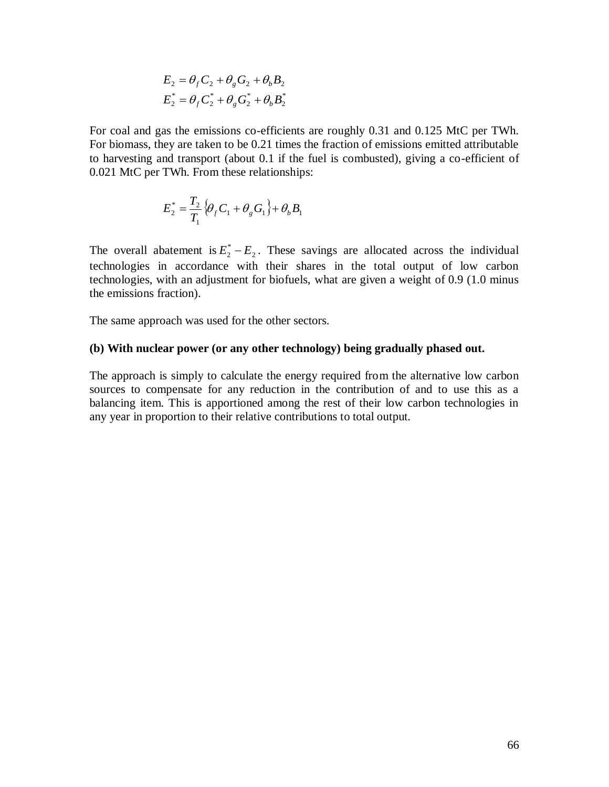$$
E_2 = \theta_f C_2 + \theta_g G_2 + \theta_b B_2
$$
  

$$
E_2^* = \theta_f C_2^* + \theta_g G_2^* + \theta_b B_2^*
$$

For coal and gas the emissions co-efficients are roughly 0.31 and 0.125 MtC per TWh. For biomass, they are taken to be 0.21 times the fraction of emissions emitted attributable to harvesting and transport (about 0.1 if the fuel is combusted), giving a co-efficient of 0.021 MtC per TWh. From these relationships:

$$
E_{2}^{*} = \frac{T_{2}}{T_{1}} \{ \theta_{f} C_{1} + \theta_{g} G_{1} \} + \theta_{b} B_{1}
$$

 $E_z = \partial_y C_z + \partial_y G_z + \partial_z B_z^*$ <br>  $E_z^* = \theta_z C_z^* + \theta_z C_z^* + \theta_z B_z^*$ <br>
the the emissions co-efficients are roughly 0.31 and 0.125 MtC per TWh<br>
the three is decorations to exerce the fraction of emissions emitted attributable<br>
they are The overall abatement is  $E_2^* - E_2$ . These savings are allocated across the individual technologies in accordance with their shares in the total output of low carbon technologies, with an adjustment for biofuels, what are given a weight of 0.9 (1.0 minus the emissions fraction).

The same approach was used for the other sectors.

#### **(b) With nuclear power (or any other technology) being gradually phased out.**

The approach is simply to calculate the energy required from the alternative low carbon sources to compensate for any reduction in the contribution of and to use this as a balancing item. This is apportioned among the rest of their low carbon technologies in any year in proportion to their relative contributions to total output.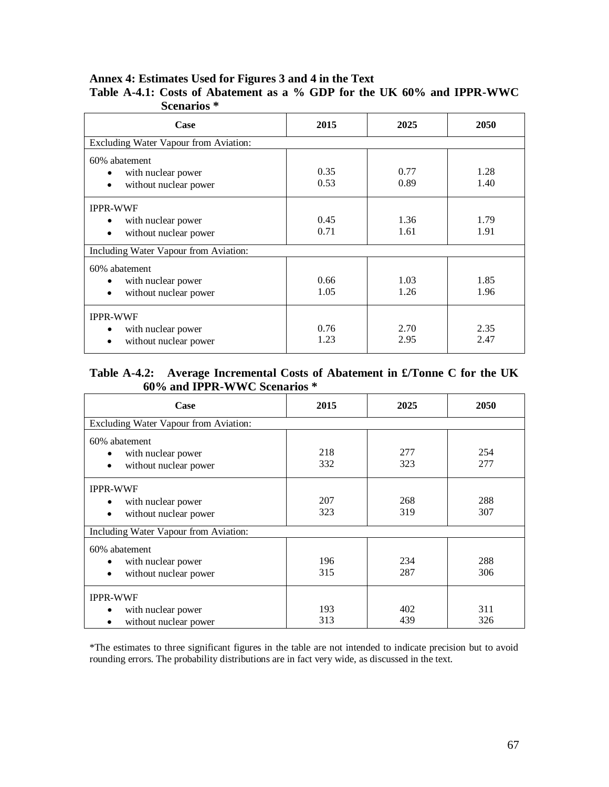## **Annex 4: Estimates Used for Figures 3 and 4 in the Text**

| Scenarios <sup>*</sup>                                                                   |              |              |              |  |  |  |
|------------------------------------------------------------------------------------------|--------------|--------------|--------------|--|--|--|
| Case                                                                                     | 2015         | 2025         | 2050         |  |  |  |
| Excluding Water Vapour from Aviation:                                                    |              |              |              |  |  |  |
| 60% abatement<br>with nuclear power<br>without nuclear power<br>$\bullet$                | 0.35<br>0.53 | 0.77<br>0.89 | 1.28<br>1.40 |  |  |  |
| <b>IPPR-WWF</b><br>with nuclear power<br>$\bullet$<br>without nuclear power<br>$\bullet$ | 0.45<br>0.71 | 1.36<br>1.61 | 1.79<br>1.91 |  |  |  |
| Including Water Vapour from Aviation:                                                    |              |              |              |  |  |  |
| 60% abatement<br>with nuclear power<br>$\bullet$<br>without nuclear power<br>$\bullet$   | 0.66<br>1.05 | 1.03<br>1.26 | 1.85<br>1.96 |  |  |  |
| <b>IPPR-WWF</b><br>with nuclear power<br>٠<br>without nuclear power                      | 0.76<br>1.23 | 2.70<br>2.95 | 2.35<br>2.47 |  |  |  |

### **Table A-4.1: Costs of Abatement as a % GDP for the UK 60% and IPPR-WWC Scenarios \***

### **Table A-4.2: Average Incremental Costs of Abatement in £/Tonne C for the UK 60% and IPPR-WWC Scenarios \***

| Case                                                                             | 2015       | 2025       | 2050       |  |  |  |  |
|----------------------------------------------------------------------------------|------------|------------|------------|--|--|--|--|
| Excluding Water Vapour from Aviation:                                            |            |            |            |  |  |  |  |
| 60% abatement<br>with nuclear power<br>without nuclear power<br>$\bullet$        | 218<br>332 | 277<br>323 | 254<br>277 |  |  |  |  |
| <b>IPPR-WWF</b><br>with nuclear power<br>٠<br>without nuclear power<br>$\bullet$ | 207<br>323 | 268<br>319 | 288<br>307 |  |  |  |  |
| Including Water Vapour from Aviation:                                            |            |            |            |  |  |  |  |
| 60% abatement<br>with nuclear power<br>without nuclear power<br>$\bullet$        | 196<br>315 | 234<br>287 | 288<br>306 |  |  |  |  |
| <b>IPPR-WWF</b><br>with nuclear power<br>٠<br>without nuclear power<br>$\bullet$ | 193<br>313 | 402<br>439 | 311<br>326 |  |  |  |  |

\*The estimates to three significant figures in the table are not intended to indicate precision but to avoid rounding errors. The probability distributions are in fact very wide, as discussed in the text.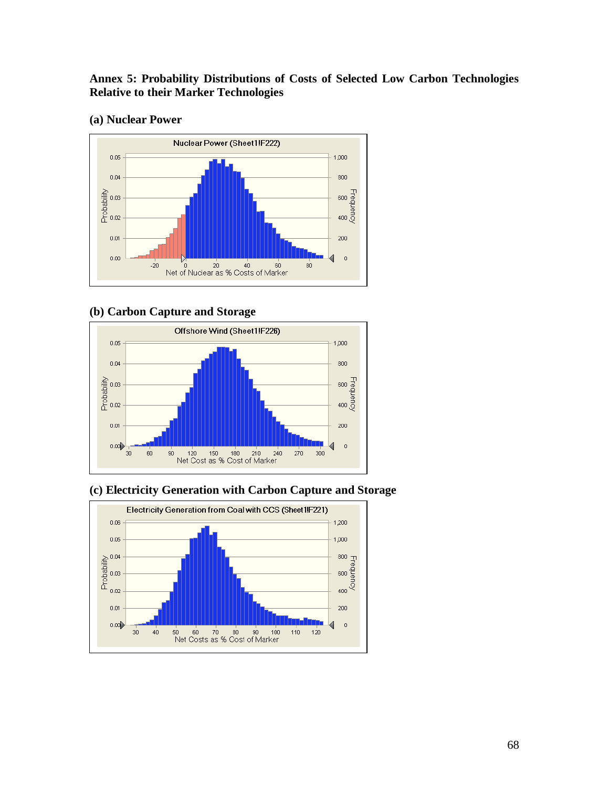## **Annex 5: Probability Distributions of Costs of Selected Low Carbon Technologies Relative to their Marker Technologies**

### **(a) Nuclear Power**



### **(b) Carbon Capture and Storage**





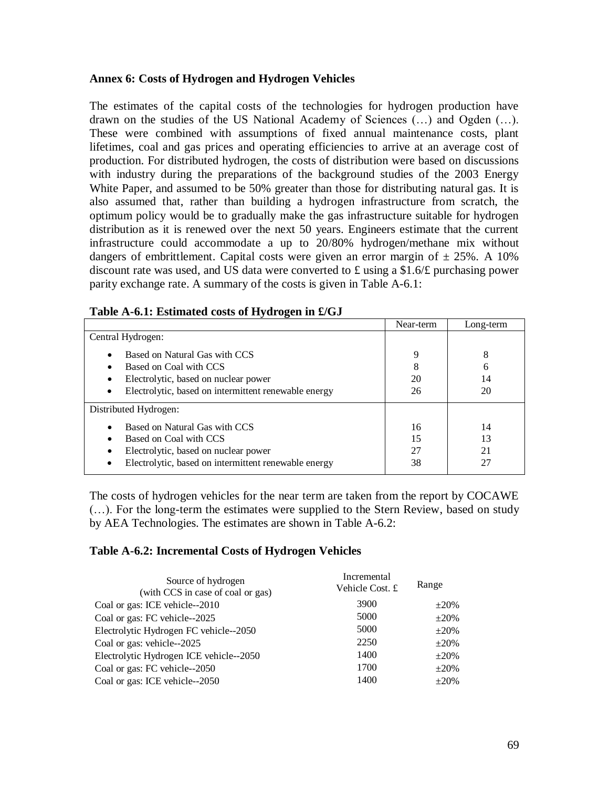#### **Annex 6: Costs of Hydrogen and Hydrogen Vehicles**

The estimates of the capital costs of the technologies for hydrogen production have drawn on the studies of the US National Academy of Sciences (…) and Ogden (…). These were combined with assumptions of fixed annual maintenance costs, plant lifetimes, coal and gas prices and operating efficiencies to arrive at an average cost of production. For distributed hydrogen, the costs of distribution were based on discussions with industry during the preparations of the background studies of the 2003 Energy White Paper, and assumed to be 50% greater than those for distributing natural gas. It is also assumed that, rather than building a hydrogen infrastructure from scratch, the optimum policy would be to gradually make the gas infrastructure suitable for hydrogen distribution as it is renewed over the next 50 years. Engineers estimate that the current infrastructure could accommodate a up to 20/80% hydrogen/methane mix without dangers of embrittlement. Capital costs were given an error margin of  $\pm 25\%$ . A 10% discount rate was used, and US data were converted to £ using a \$1.6/£ purchasing power parity exchange rate. A summary of the costs is given in Table A-6.1:

| $\overline{ }$                                            | Near-term | Long-term |
|-----------------------------------------------------------|-----------|-----------|
| Central Hydrogen:                                         |           |           |
| Based on Natural Gas with CCS<br>$\bullet$                | 9         | 8         |
| Based on Coal with CCS                                    | 8         | 6         |
| Electrolytic, based on nuclear power                      | 20        | 14        |
| Electrolytic, based on intermittent renewable energy<br>٠ | 26        | 20        |
| Distributed Hydrogen:                                     |           |           |
| Based on Natural Gas with CCS<br>٠                        | 16        | 14        |
| Based on Coal with CCS                                    | 15        | 13        |
| Electrolytic, based on nuclear power                      | 27        | 21        |
| Electrolytic, based on intermittent renewable energy      | 38        | 27        |

| Table A-6.1: Estimated costs of Hydrogen in £/GJ |  |  |
|--------------------------------------------------|--|--|
|                                                  |  |  |

The costs of hydrogen vehicles for the near term are taken from the report by COCAWE (…). For the long-term the estimates were supplied to the Stern Review, based on study by AEA Technologies. The estimates are shown in Table A-6.2:

#### **Table A-6.2: Incremental Costs of Hydrogen Vehicles**

| Source of hydrogen<br>(with CCS in case of coal or gas) | Incremental<br>Vehicle Cost. £ | Range      |
|---------------------------------------------------------|--------------------------------|------------|
| Coal or gas: ICE vehicle--2010                          | 3900                           | $\pm 20\%$ |
| Coal or gas: FC vehicle--2025                           | 5000                           | $\pm 20\%$ |
| Electrolytic Hydrogen FC vehicle--2050                  | 5000                           | $\pm 20\%$ |
| Coal or gas: vehicle--2025                              | 2250                           | $+20%$     |
| Electrolytic Hydrogen ICE vehicle--2050                 | 1400                           | $\pm 20\%$ |
| Coal or gas: FC vehicle--2050                           | 1700                           | $+20%$     |
| Coal or gas: ICE vehicle--2050                          | 1400                           | $+20%$     |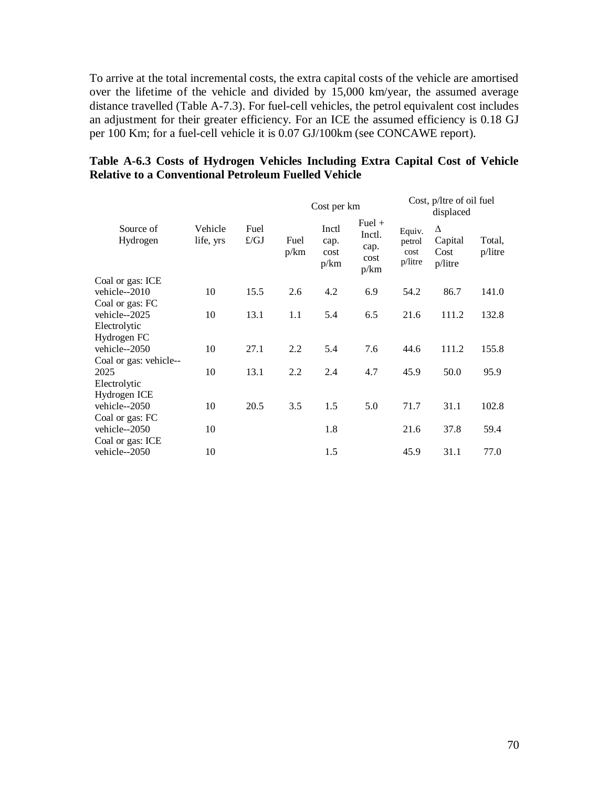To arrive at the total incremental costs, the extra capital costs of the vehicle are amortised over the lifetime of the vehicle and divided by 15,000 km/year, the assumed average distance travelled (Table A-7.3). For fuel-cell vehicles, the petrol equivalent cost includes an adjustment for their greater efficiency. For an ICE the assumed efficiency is 0.18 GJ per 100 Km; for a fuel-cell vehicle it is 0.07 GJ/100km (see CONCAWE report).

### **Table A-6.3 Costs of Hydrogen Vehicles Including Extra Capital Cost of Vehicle Relative to a Conventional Petroleum Fuelled Vehicle**

|                        |                      |              |              | Cost per km                   |                                            | Cost, p/ltre of oil fuel<br>displaced |                                 |                      |
|------------------------|----------------------|--------------|--------------|-------------------------------|--------------------------------------------|---------------------------------------|---------------------------------|----------------------|
| Source of<br>Hydrogen  | Vehicle<br>life, yrs | Fuel<br>f/GJ | Fuel<br>p/km | Inctl<br>cap.<br>cost<br>p/km | $Fuel +$<br>Inctl.<br>cap.<br>cost<br>p/km | Equiv.<br>petrol<br>cost<br>p/litre   | Δ<br>Capital<br>Cost<br>p/litre | Total,<br>$p/l$ itre |
| Coal or gas: ICE       |                      |              |              |                               |                                            |                                       |                                 |                      |
| vehicle--2010          | 10                   | 15.5         | 2.6          | 4.2                           | 6.9                                        | 54.2                                  | 86.7                            | 141.0                |
| Coal or gas: FC        |                      |              |              |                               |                                            |                                       |                                 |                      |
| vehicle--2025          | 10                   | 13.1         | 1.1          | 5.4                           | 6.5                                        | 21.6                                  | 111.2                           | 132.8                |
| Electrolytic           |                      |              |              |                               |                                            |                                       |                                 |                      |
| Hydrogen FC            |                      |              |              |                               |                                            |                                       |                                 |                      |
| vehicle--2050          | 10                   | 27.1         | 2.2          | 5.4                           | 7.6                                        | 44.6                                  | 111.2                           | 155.8                |
| Coal or gas: vehicle-- |                      |              |              |                               |                                            |                                       |                                 |                      |
| 2025                   | 10                   | 13.1         | 2.2          | 2.4                           | 4.7                                        | 45.9                                  | 50.0                            | 95.9                 |
| Electrolytic           |                      |              |              |                               |                                            |                                       |                                 |                      |
| Hydrogen ICE           |                      |              |              |                               |                                            |                                       |                                 |                      |
| vehicle--2050          | 10                   | 20.5         | 3.5          | 1.5                           | 5.0                                        | 71.7                                  | 31.1                            | 102.8                |
| Coal or gas: FC        |                      |              |              |                               |                                            |                                       |                                 |                      |
| vehicle--2050          | 10                   |              |              | 1.8                           |                                            | 21.6                                  | 37.8                            | 59.4                 |
| Coal or gas: ICE       |                      |              |              |                               |                                            |                                       |                                 |                      |
| vehicle--2050          | 10                   |              |              | 1.5                           |                                            | 45.9                                  | 31.1                            | 77.0                 |